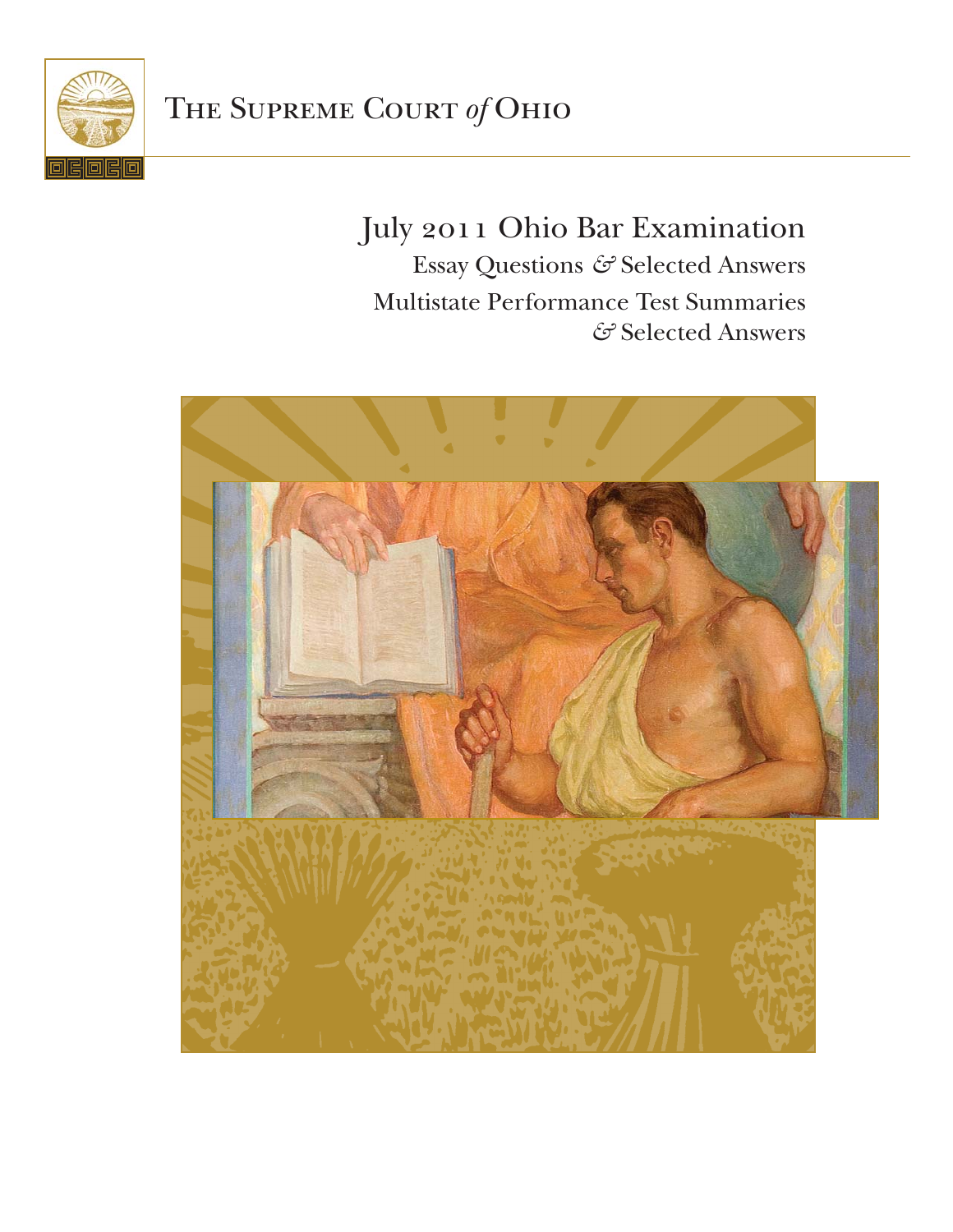

### The Supreme Court *of* Ohio

July 2011 Ohio Bar Examination Essay Questions *&* Selected Answers Multistate Performance Test Summaries *&* Selected Answers

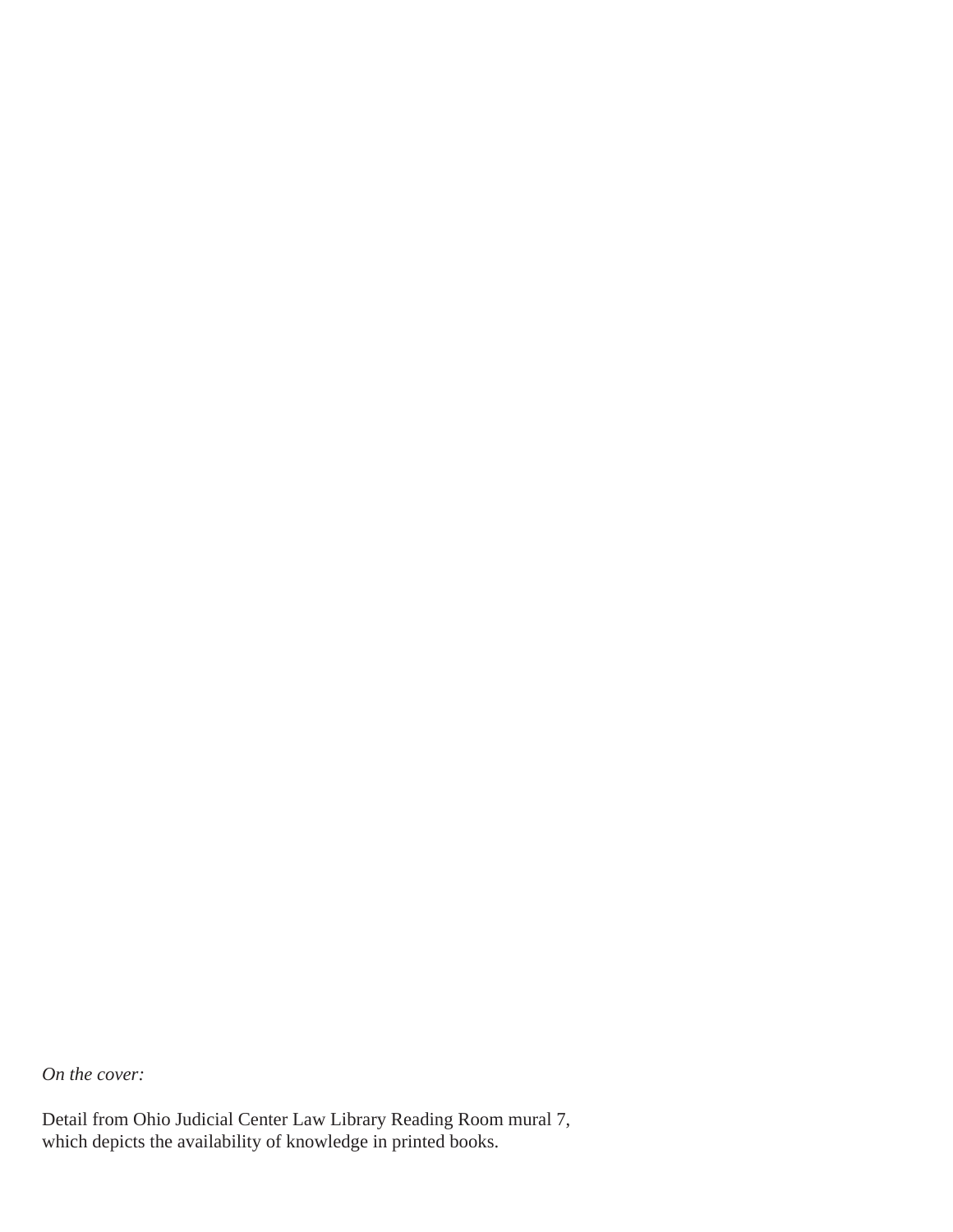*On the cover:*

Detail from Ohio Judicial Center Law Library Reading Room mural 7, which depicts the availability of knowledge in printed books.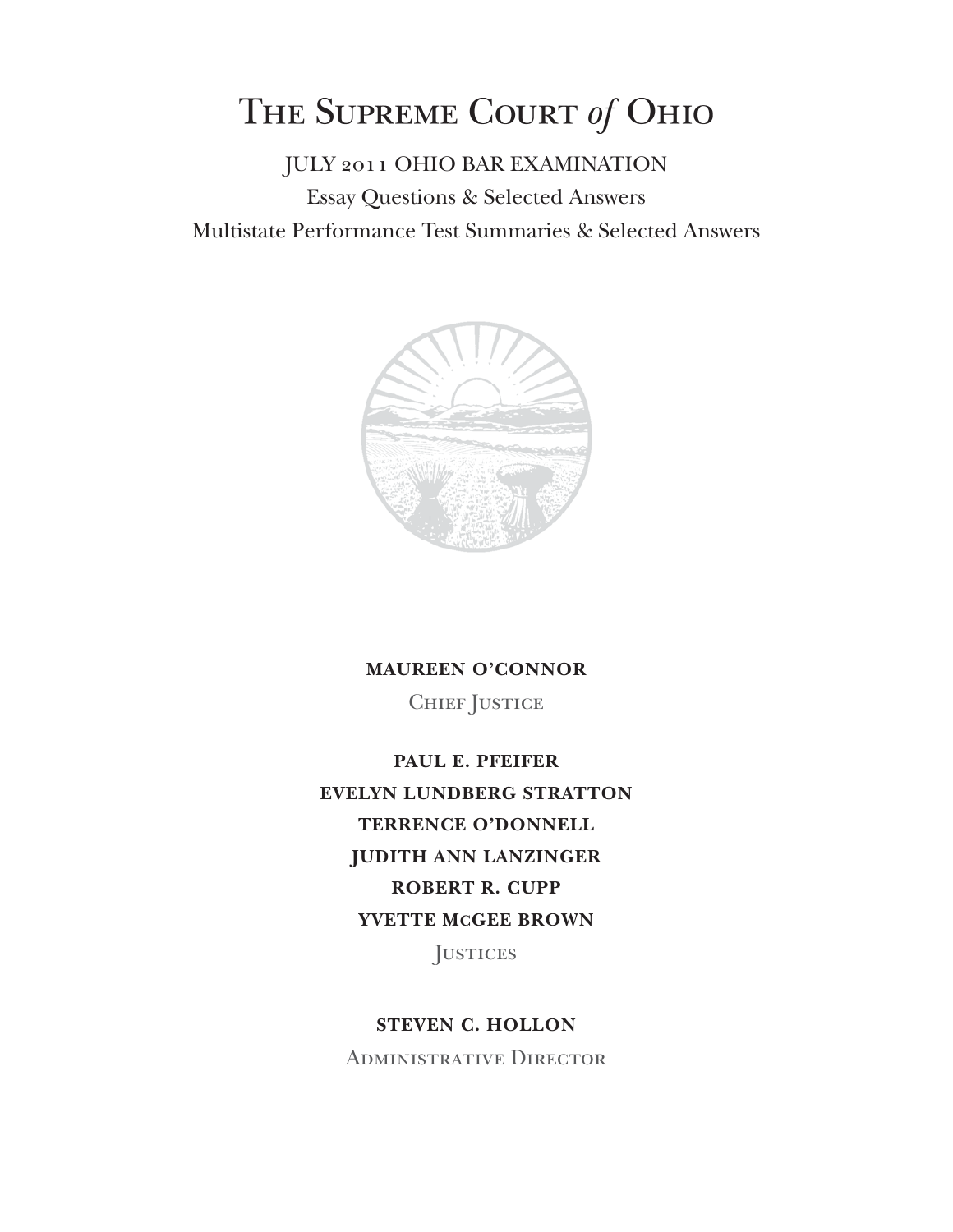# THE SUPREME COURT of OHIO

#### JULY 2011 OHIO BAR EXAMINATION

Essay Questions & Selected Answers Multistate Performance Test Summaries & Selected Answers



#### **MAUREEN O'CONNOR**

CHIEF JUSTICE

**PAUL E. PFEIFER EVELYN LUNDBERG STRATTON TERRENCE O'DONNELL JUDITH ANN LANZINGER ROBERT R. CUPP YVETTE MCGEE BROWN JUSTICES** 

**STEVEN C. HOLLON**

Administrative Director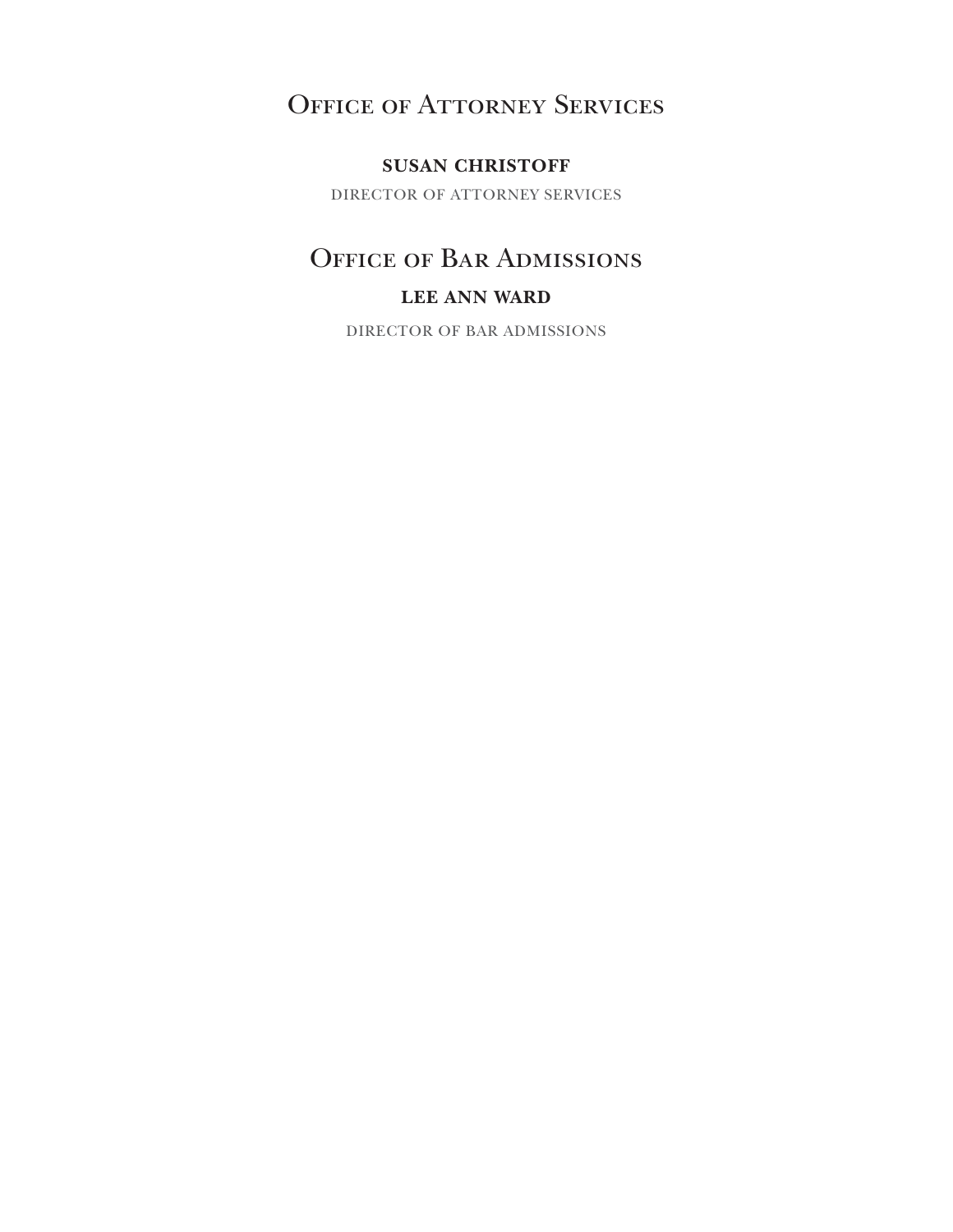OFFICE OF ATTORNEY SERVICES

**SUSAN CHRISTOFF**

DIRECTOR OF ATTORNEY SERVICES

### OFFICE OF BAR ADMISSIONS **LEE ANN WARD**

DIRECTOR OF BAR ADMISSIONS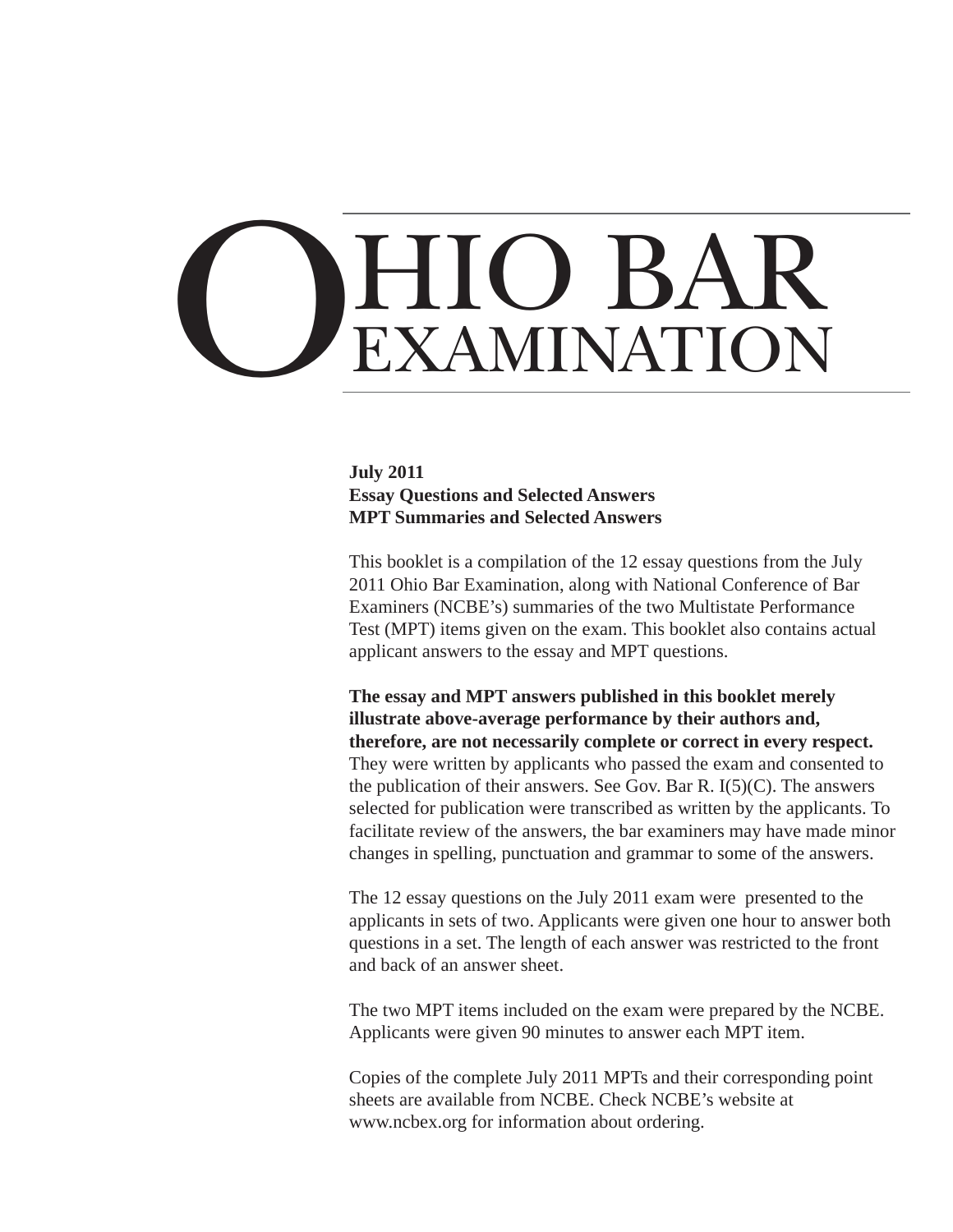# HIO BAR<br>EXAMINATION

**July 2011 Essay Questions and Selected Answers MPT Summaries and Selected Answers**

This booklet is a compilation of the 12 essay questions from the July 2011 Ohio Bar Examination, along with National Conference of Bar Examiners (NCBE's) summaries of the two Multistate Performance Test (MPT) items given on the exam. This booklet also contains actual applicant answers to the essay and MPT questions.

**The essay and MPT answers published in this booklet merely illustrate above-average performance by their authors and, therefore, are not necessarily complete or correct in every respect.** They were written by applicants who passed the exam and consented to the publication of their answers. See Gov. Bar R.  $I(5)(C)$ . The answers selected for publication were transcribed as written by the applicants. To facilitate review of the answers, the bar examiners may have made minor changes in spelling, punctuation and grammar to some of the answers.

The 12 essay questions on the July 2011 exam were presented to the applicants in sets of two. Applicants were given one hour to answer both questions in a set. The length of each answer was restricted to the front and back of an answer sheet.

The two MPT items included on the exam were prepared by the NCBE. Applicants were given 90 minutes to answer each MPT item.

Copies of the complete July 2011 MPTs and their corresponding point sheets are available from NCBE. Check NCBE's website at www.ncbex.org for information about ordering.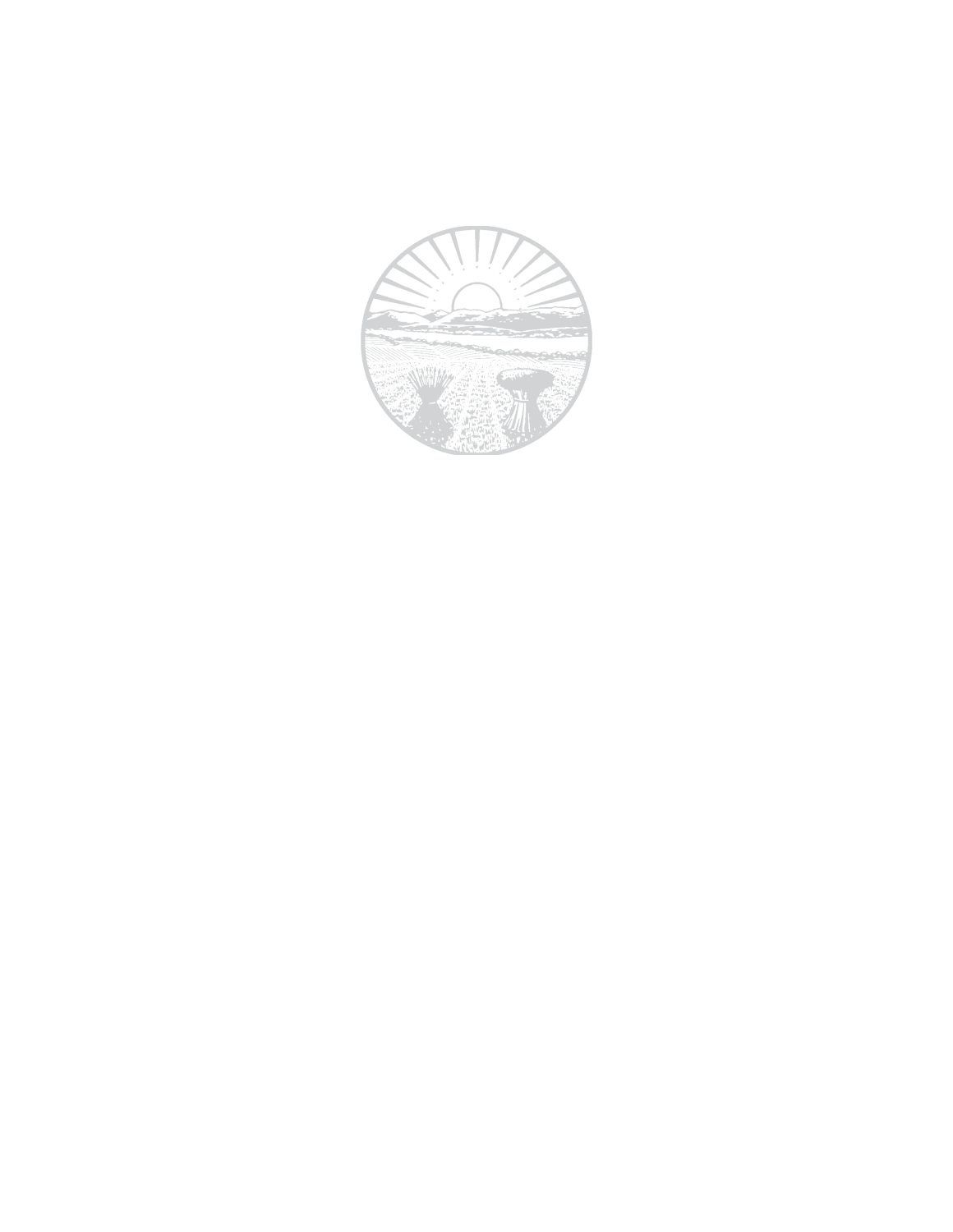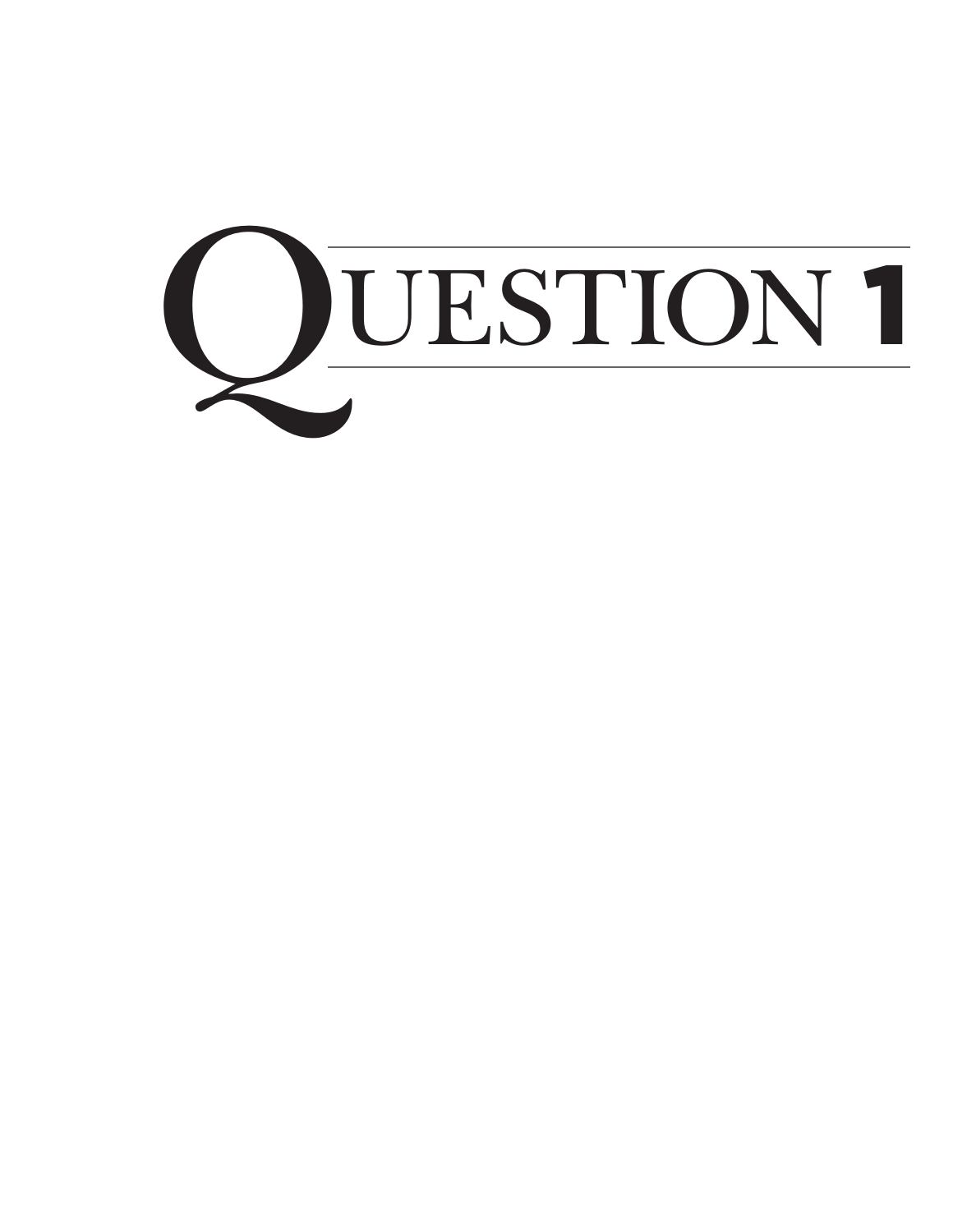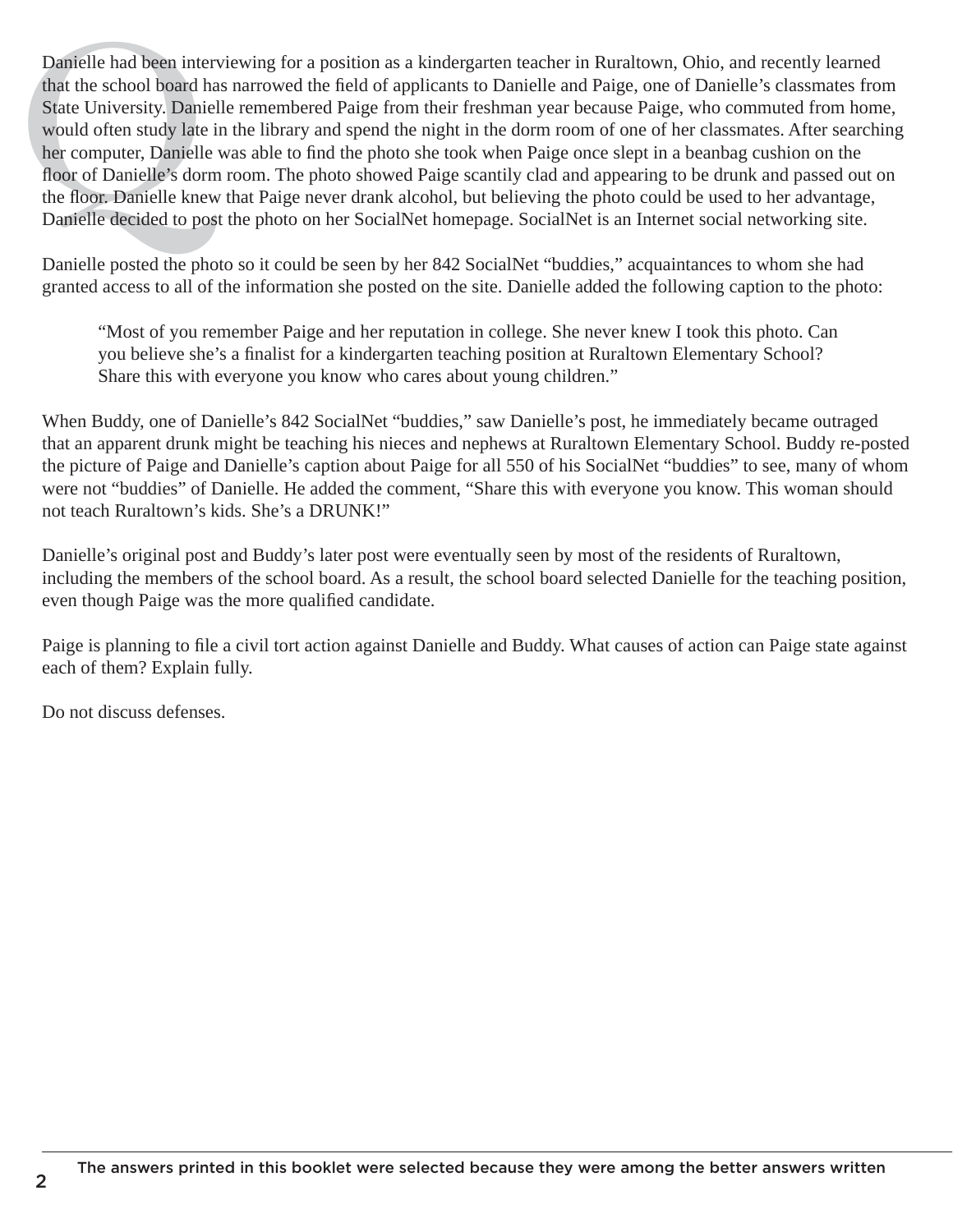Danielle had been int<br>that the school board<br>State University. Dan<br>would often study lat<br>her computer, Danielle's do<br>the floor. Danielle kne<br>Danielle decided to p Danielle had been interviewing for a position as a kindergarten teacher in Ruraltown, Ohio, and recently learned that the school board has narrowed the field of applicants to Danielle and Paige, one of Danielle's classmates from State University. Danielle remembered Paige from their freshman year because Paige, who commuted from home, would often study late in the library and spend the night in the dorm room of one of her classmates. After searching her computer, Danielle was able to find the photo she took when Paige once slept in a beanbag cushion on the floor of Danielle's dorm room. The photo showed Paige scantily clad and appearing to be drunk and passed out on the floor. Danielle knew that Paige never drank alcohol, but believing the photo could be used to her advantage, Danielle decided to post the photo on her SocialNet homepage. SocialNet is an Internet social networking site.

Danielle posted the photo so it could be seen by her 842 SocialNet "buddies," acquaintances to whom she had granted access to all of the information she posted on the site. Danielle added the following caption to the photo:

"Most of you remember Paige and her reputation in college. She never knew I took this photo. Can you believe she's a finalist for a kindergarten teaching position at Ruraltown Elementary School? Share this with everyone you know who cares about young children."

When Buddy, one of Danielle's 842 SocialNet "buddies," saw Danielle's post, he immediately became outraged that an apparent drunk might be teaching his nieces and nephews at Ruraltown Elementary School. Buddy re-posted the picture of Paige and Danielle's caption about Paige for all 550 of his SocialNet "buddies" to see, many of whom were not "buddies" of Danielle. He added the comment, "Share this with everyone you know. This woman should not teach Ruraltown's kids. She's a DRUNK!"

Danielle's original post and Buddy's later post were eventually seen by most of the residents of Ruraltown, including the members of the school board. As a result, the school board selected Danielle for the teaching position, even though Paige was the more qualified candidate.

Paige is planning to file a civil tort action against Danielle and Buddy. What causes of action can Paige state against each of them? Explain fully.

Do not discuss defenses.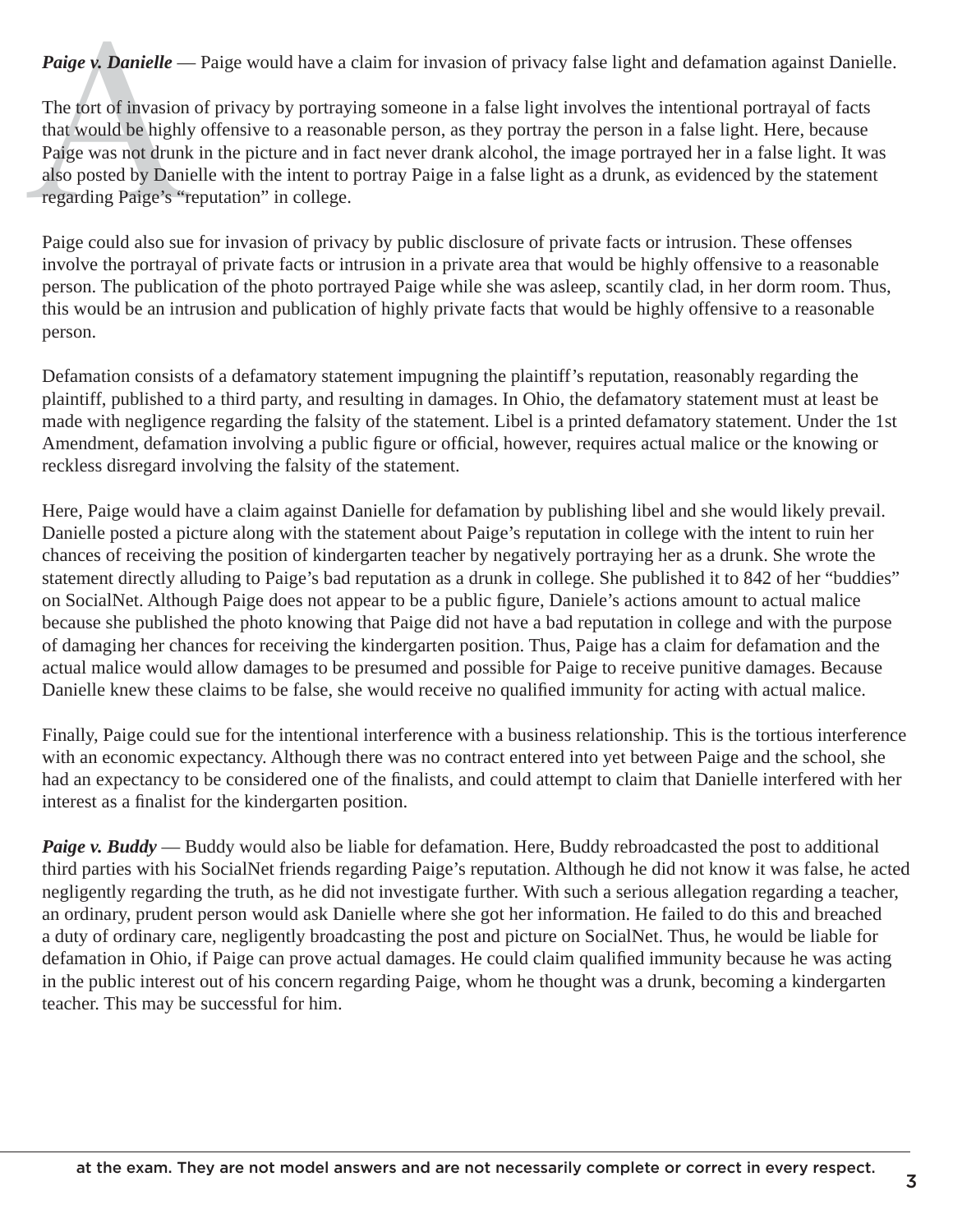*Paige v. Danielle* — Paige would have a claim for invasion of privacy false light and defamation against Danielle.

Paige v. Danielle –<br>The tort of invasion<br>that would be highl<br>Paige was not drun<br>also posted by Dan<br>regarding Paige's "<br>Paige could also su The tort of invasion of privacy by portraying someone in a false light involves the intentional portrayal of facts that would be highly offensive to a reasonable person, as they portray the person in a false light. Here, because Paige was not drunk in the picture and in fact never drank alcohol, the image portrayed her in a false light. It was also posted by Danielle with the intent to portray Paige in a false light as a drunk, as evidenced by the statement regarding Paige's "reputation" in college.

Paige could also sue for invasion of privacy by public disclosure of private facts or intrusion. These offenses involve the portrayal of private facts or intrusion in a private area that would be highly offensive to a reasonable person. The publication of the photo portrayed Paige while she was asleep, scantily clad, in her dorm room. Thus, this would be an intrusion and publication of highly private facts that would be highly offensive to a reasonable person.

Defamation consists of a defamatory statement impugning the plaintiff's reputation, reasonably regarding the plaintiff, published to a third party, and resulting in damages. In Ohio, the defamatory statement must at least be made with negligence regarding the falsity of the statement. Libel is a printed defamatory statement. Under the 1st Amendment, defamation involving a public figure or official, however, requires actual malice or the knowing or reckless disregard involving the falsity of the statement.

Here, Paige would have a claim against Danielle for defamation by publishing libel and she would likely prevail. Danielle posted a picture along with the statement about Paige's reputation in college with the intent to ruin her chances of receiving the position of kindergarten teacher by negatively portraying her as a drunk. She wrote the statement directly alluding to Paige's bad reputation as a drunk in college. She published it to 842 of her "buddies" on SocialNet. Although Paige does not appear to be a public figure, Daniele's actions amount to actual malice because she published the photo knowing that Paige did not have a bad reputation in college and with the purpose of damaging her chances for receiving the kindergarten position. Thus, Paige has a claim for defamation and the actual malice would allow damages to be presumed and possible for Paige to receive punitive damages. Because Danielle knew these claims to be false, she would receive no qualified immunity for acting with actual malice.

Finally, Paige could sue for the intentional interference with a business relationship. This is the tortious interference with an economic expectancy. Although there was no contract entered into yet between Paige and the school, she had an expectancy to be considered one of the finalists, and could attempt to claim that Danielle interfered with her interest as a finalist for the kindergarten position.

*Paige v. Buddy* — Buddy would also be liable for defamation. Here, Buddy rebroadcasted the post to additional third parties with his SocialNet friends regarding Paige's reputation. Although he did not know it was false, he acted negligently regarding the truth, as he did not investigate further. With such a serious allegation regarding a teacher, an ordinary, prudent person would ask Danielle where she got her information. He failed to do this and breached a duty of ordinary care, negligently broadcasting the post and picture on SocialNet. Thus, he would be liable for defamation in Ohio, if Paige can prove actual damages. He could claim qualified immunity because he was acting in the public interest out of his concern regarding Paige, whom he thought was a drunk, becoming a kindergarten teacher. This may be successful for him.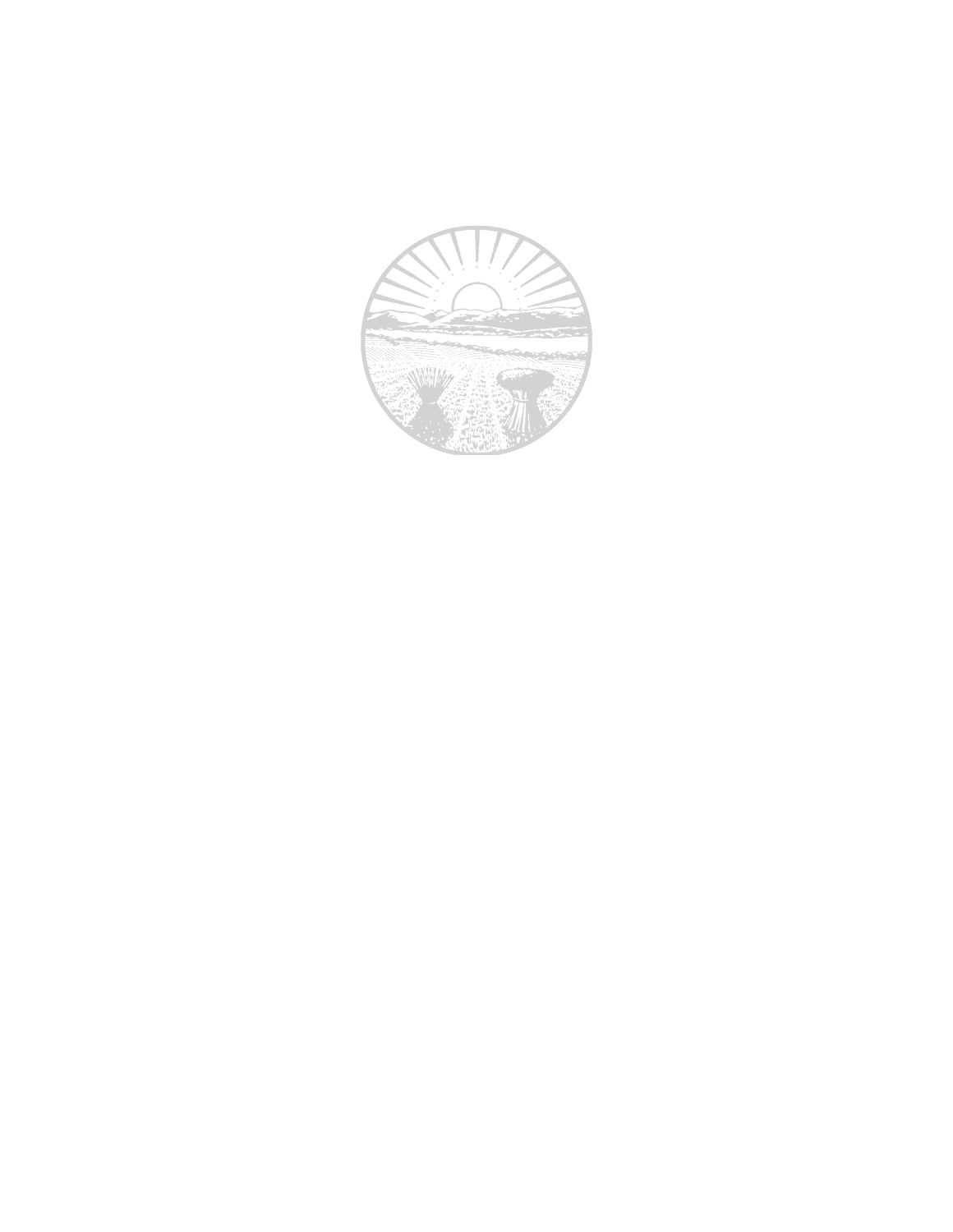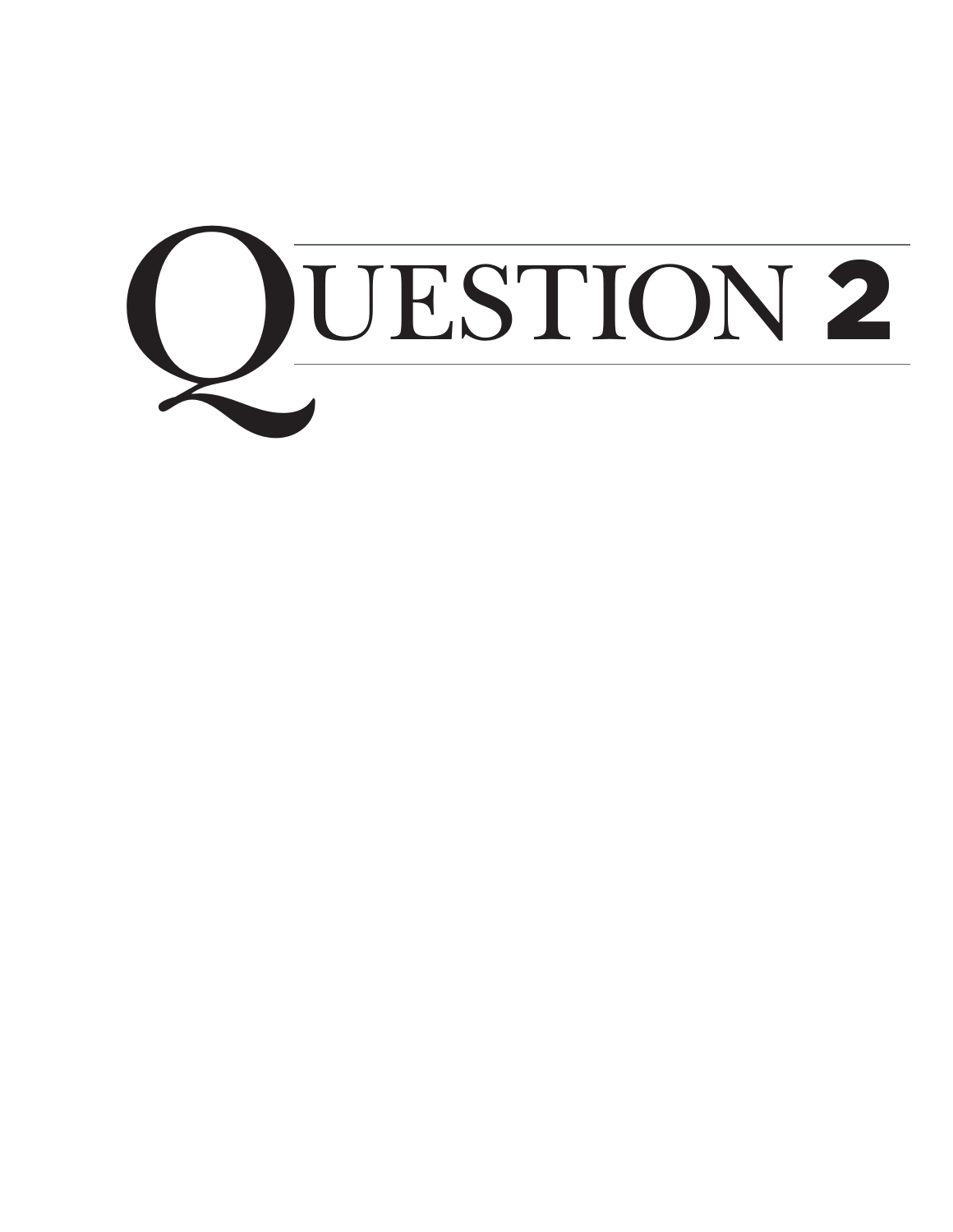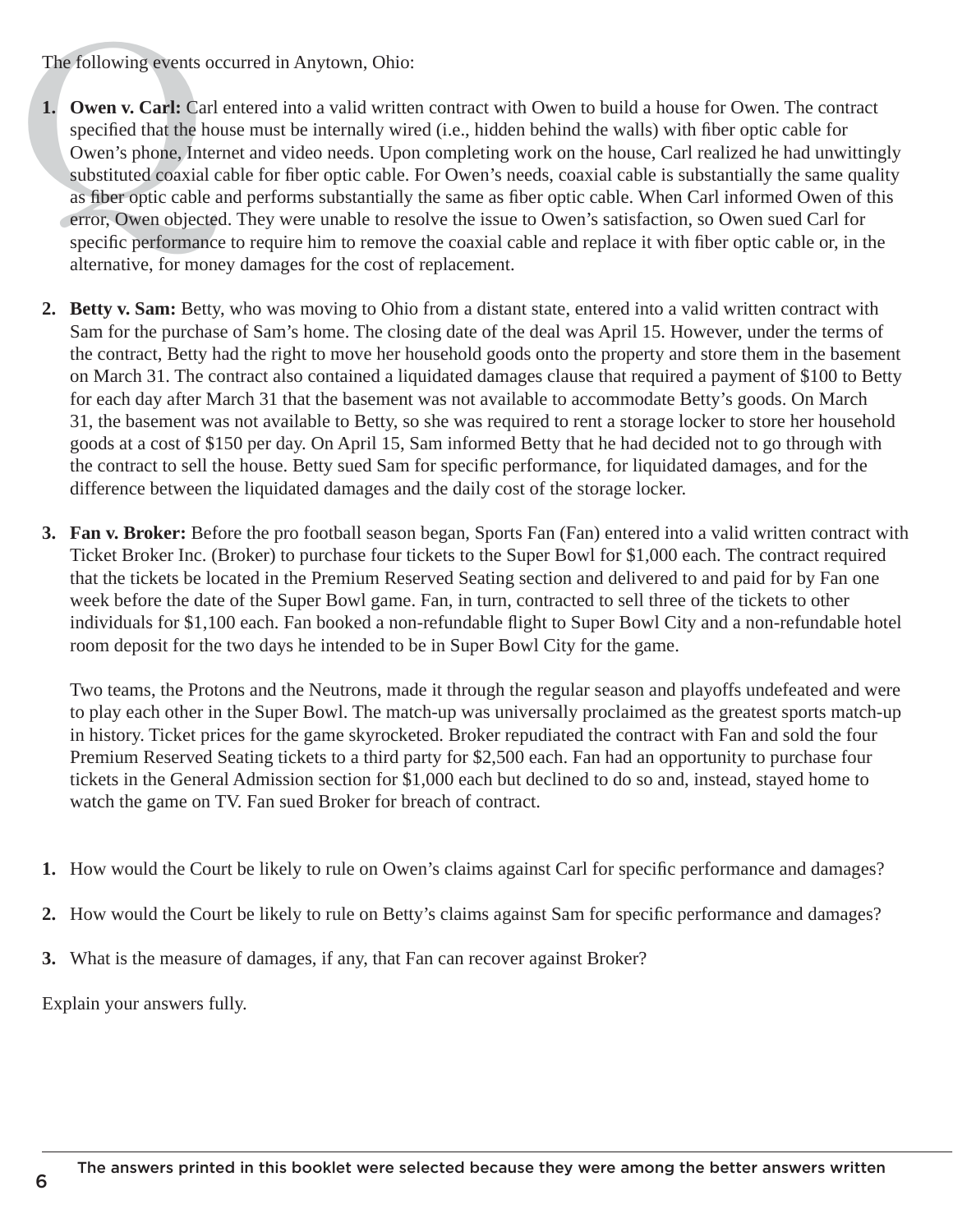The following events occurred in Anytown, Ohio:

- The following events<br>
1. Owen v. Carl: Ca<br>
specified that the<br>
Owen's phone, In<br>
substituted coaxia<br>
as fiber optic cabl<br>
error, Owen objec<br>
specific performa **1. Owen v. Carl:** Carl entered into a valid written contract with Owen to build a house for Owen. The contract specified that the house must be internally wired (i.e., hidden behind the walls) with fiber optic cable for Owen's phone, Internet and video needs. Upon completing work on the house, Carl realized he had unwittingly substituted coaxial cable for fiber optic cable. For Owen's needs, coaxial cable is substantially the same quality as fiber optic cable and performs substantially the same as fiber optic cable. When Carl informed Owen of this error, Owen objected. They were unable to resolve the issue to Owen's satisfaction, so Owen sued Carl for specific performance to require him to remove the coaxial cable and replace it with fiber optic cable or, in the alternative, for money damages for the cost of replacement.
	- **2. Betty v. Sam:** Betty, who was moving to Ohio from a distant state, entered into a valid written contract with Sam for the purchase of Sam's home. The closing date of the deal was April 15. However, under the terms of the contract, Betty had the right to move her household goods onto the property and store them in the basement on March 31. The contract also contained a liquidated damages clause that required a payment of \$100 to Betty for each day after March 31 that the basement was not available to accommodate Betty's goods. On March 31, the basement was not available to Betty, so she was required to rent a storage locker to store her household goods at a cost of \$150 per day. On April 15, Sam informed Betty that he had decided not to go through with the contract to sell the house. Betty sued Sam for specific performance, for liquidated damages, and for the difference between the liquidated damages and the daily cost of the storage locker.
	- **3. Fan v. Broker:** Before the pro football season began, Sports Fan (Fan) entered into a valid written contract with Ticket Broker Inc. (Broker) to purchase four tickets to the Super Bowl for \$1,000 each. The contract required that the tickets be located in the Premium Reserved Seating section and delivered to and paid for by Fan one week before the date of the Super Bowl game. Fan, in turn, contracted to sell three of the tickets to other individuals for \$1,100 each. Fan booked a non-refundable flight to Super Bowl City and a non-refundable hotel room deposit for the two days he intended to be in Super Bowl City for the game.

Two teams, the Protons and the Neutrons, made it through the regular season and playoffs undefeated and were to play each other in the Super Bowl. The match-up was universally proclaimed as the greatest sports match-up in history. Ticket prices for the game skyrocketed. Broker repudiated the contract with Fan and sold the four Premium Reserved Seating tickets to a third party for \$2,500 each. Fan had an opportunity to purchase four tickets in the General Admission section for \$1,000 each but declined to do so and, instead, stayed home to watch the game on TV. Fan sued Broker for breach of contract.

- **1.** How would the Court be likely to rule on Owen's claims against Carl for specific performance and damages?
- **2.** How would the Court be likely to rule on Betty's claims against Sam for specific performance and damages?
- **3.** What is the measure of damages, if any, that Fan can recover against Broker?

Explain your answers fully.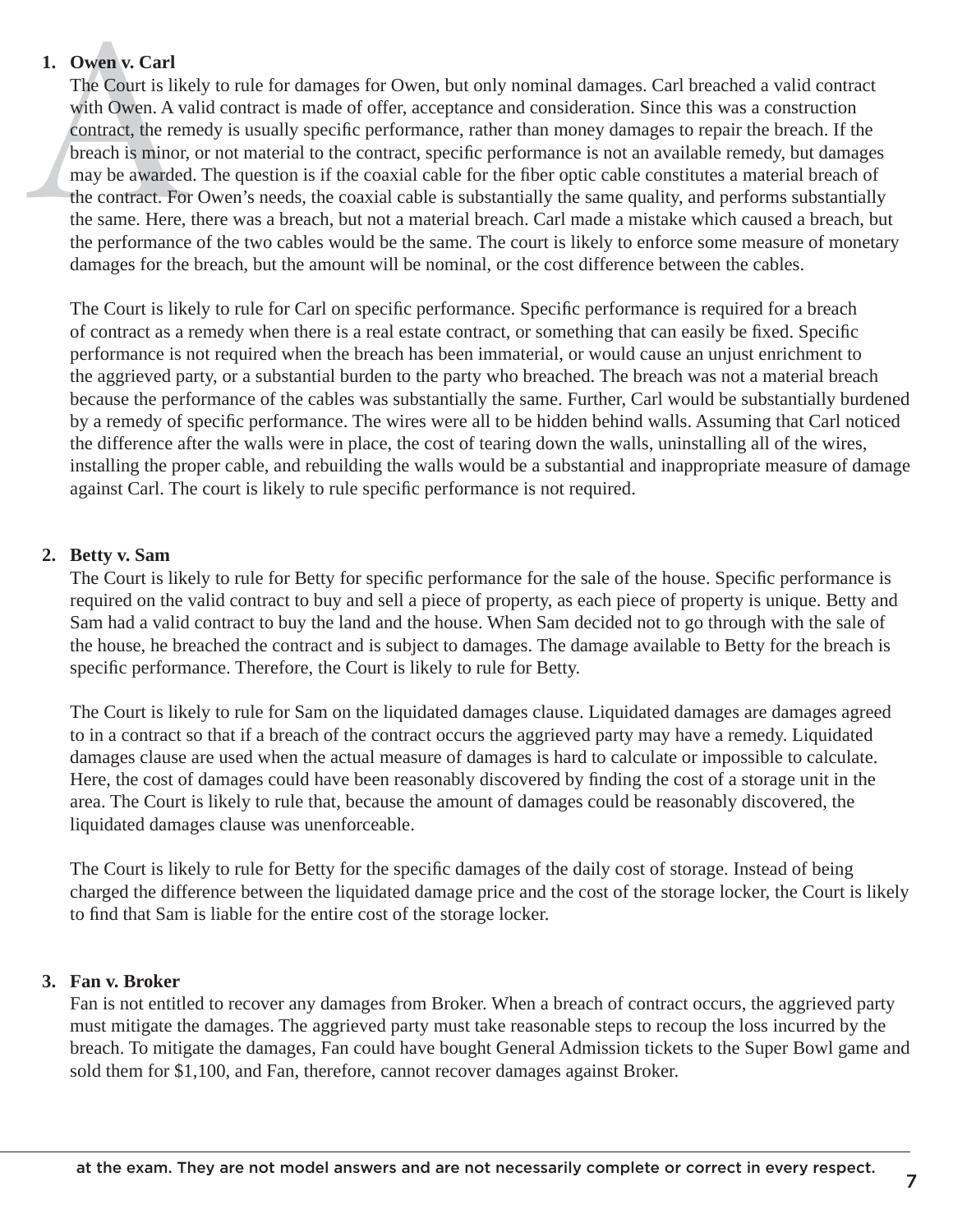#### **1. Owen v. Carl**

1. Owen v. Carl<br>The Court is lik<br>with Owen. A v<br>contract, the ren<br>breach is minor<br>may be awarde<br>the contract. Fo<br>the same. Here,<br>the performanc The Court is likely to rule for damages for Owen, but only nominal damages. Carl breached a valid contract with Owen. A valid contract is made of offer, acceptance and consideration. Since this was a construction contract, the remedy is usually specific performance, rather than money damages to repair the breach. If the breach is minor, or not material to the contract, specific performance is not an available remedy, but damages may be awarded. The question is if the coaxial cable for the fiber optic cable constitutes a material breach of the contract. For Owen's needs, the coaxial cable is substantially the same quality, and performs substantially the same. Here, there was a breach, but not a material breach. Carl made a mistake which caused a breach, but the performance of the two cables would be the same. The court is likely to enforce some measure of monetary damages for the breach, but the amount will be nominal, or the cost difference between the cables.

The Court is likely to rule for Carl on specific performance. Specific performance is required for a breach of contract as a remedy when there is a real estate contract, or something that can easily be fixed. Specific performance is not required when the breach has been immaterial, or would cause an unjust enrichment to the aggrieved party, or a substantial burden to the party who breached. The breach was not a material breach because the performance of the cables was substantially the same. Further, Carl would be substantially burdened by a remedy of specific performance. The wires were all to be hidden behind walls. Assuming that Carl noticed the difference after the walls were in place, the cost of tearing down the walls, uninstalling all of the wires, installing the proper cable, and rebuilding the walls would be a substantial and inappropriate measure of damage against Carl. The court is likely to rule specific performance is not required.

#### **2. Betty v. Sam**

The Court is likely to rule for Betty for specific performance for the sale of the house. Specific performance is required on the valid contract to buy and sell a piece of property, as each piece of property is unique. Betty and Sam had a valid contract to buy the land and the house. When Sam decided not to go through with the sale of the house, he breached the contract and is subject to damages. The damage available to Betty for the breach is specific performance. Therefore, the Court is likely to rule for Betty.

The Court is likely to rule for Sam on the liquidated damages clause. Liquidated damages are damages agreed to in a contract so that if a breach of the contract occurs the aggrieved party may have a remedy. Liquidated damages clause are used when the actual measure of damages is hard to calculate or impossible to calculate. Here, the cost of damages could have been reasonably discovered by finding the cost of a storage unit in the area. The Court is likely to rule that, because the amount of damages could be reasonably discovered, the liquidated damages clause was unenforceable.

The Court is likely to rule for Betty for the specific damages of the daily cost of storage. Instead of being charged the difference between the liquidated damage price and the cost of the storage locker, the Court is likely to find that Sam is liable for the entire cost of the storage locker.

#### **3. Fan v. Broker**

Fan is not entitled to recover any damages from Broker. When a breach of contract occurs, the aggrieved party must mitigate the damages. The aggrieved party must take reasonable steps to recoup the loss incurred by the breach. To mitigate the damages, Fan could have bought General Admission tickets to the Super Bowl game and sold them for \$1,100, and Fan, therefore, cannot recover damages against Broker.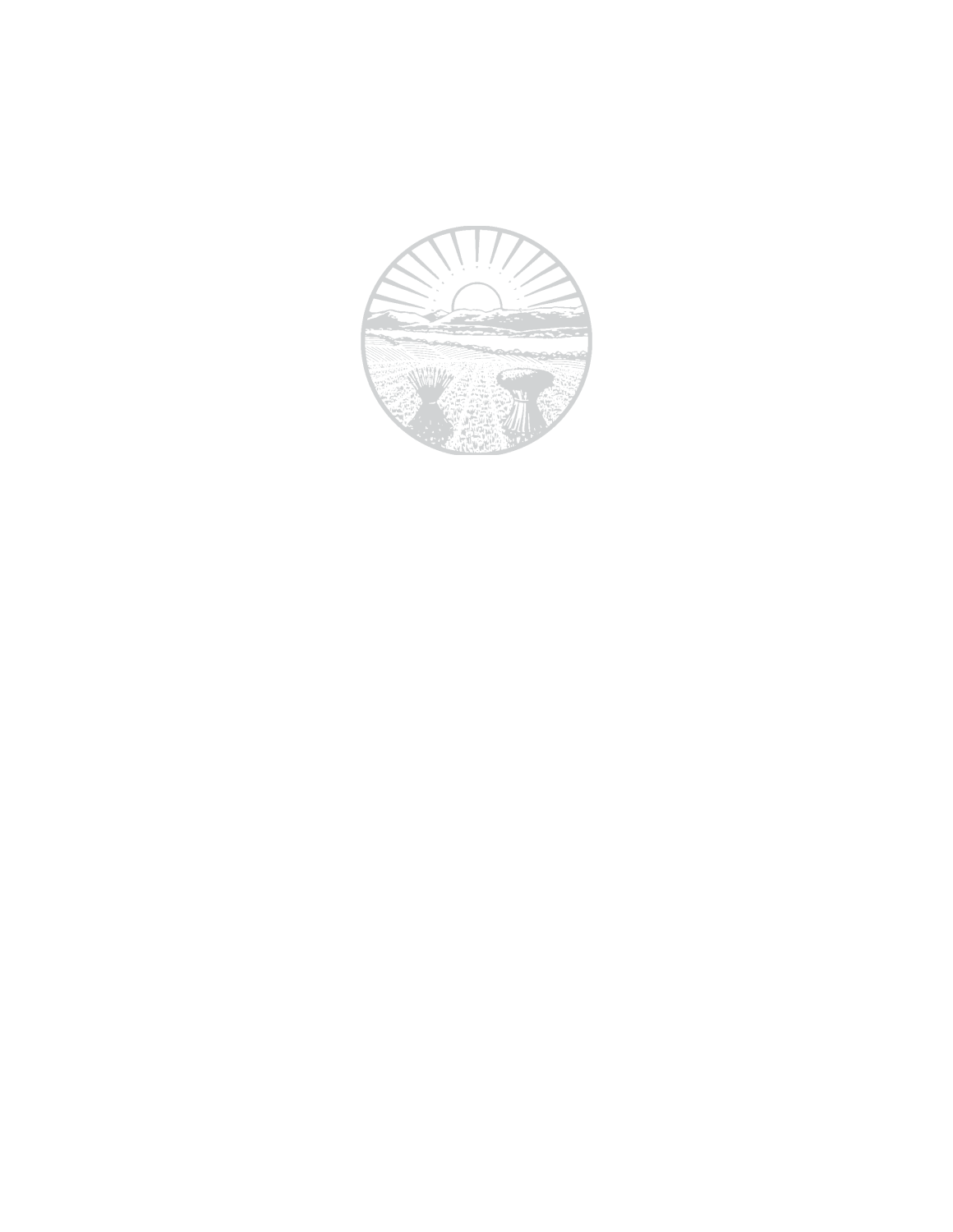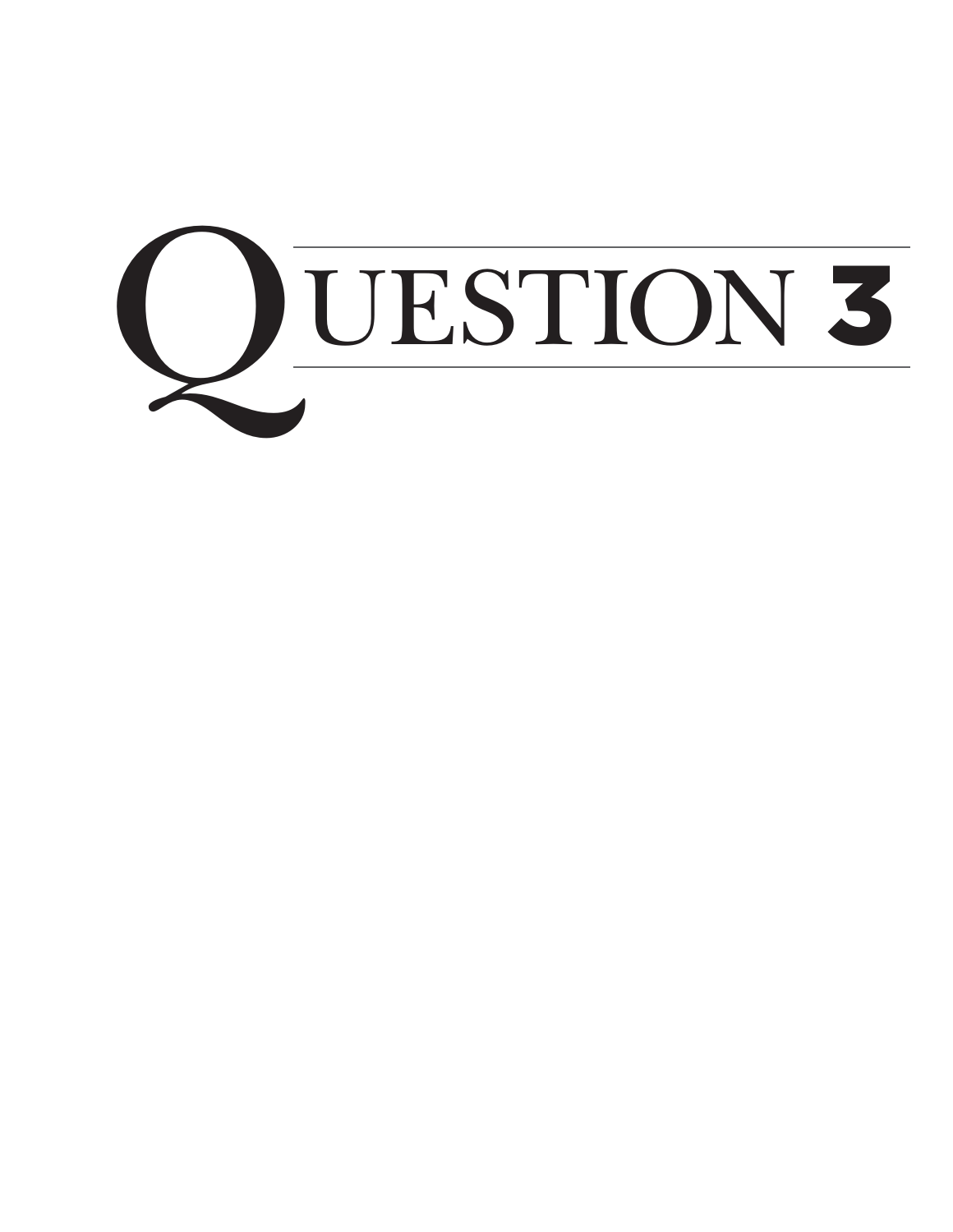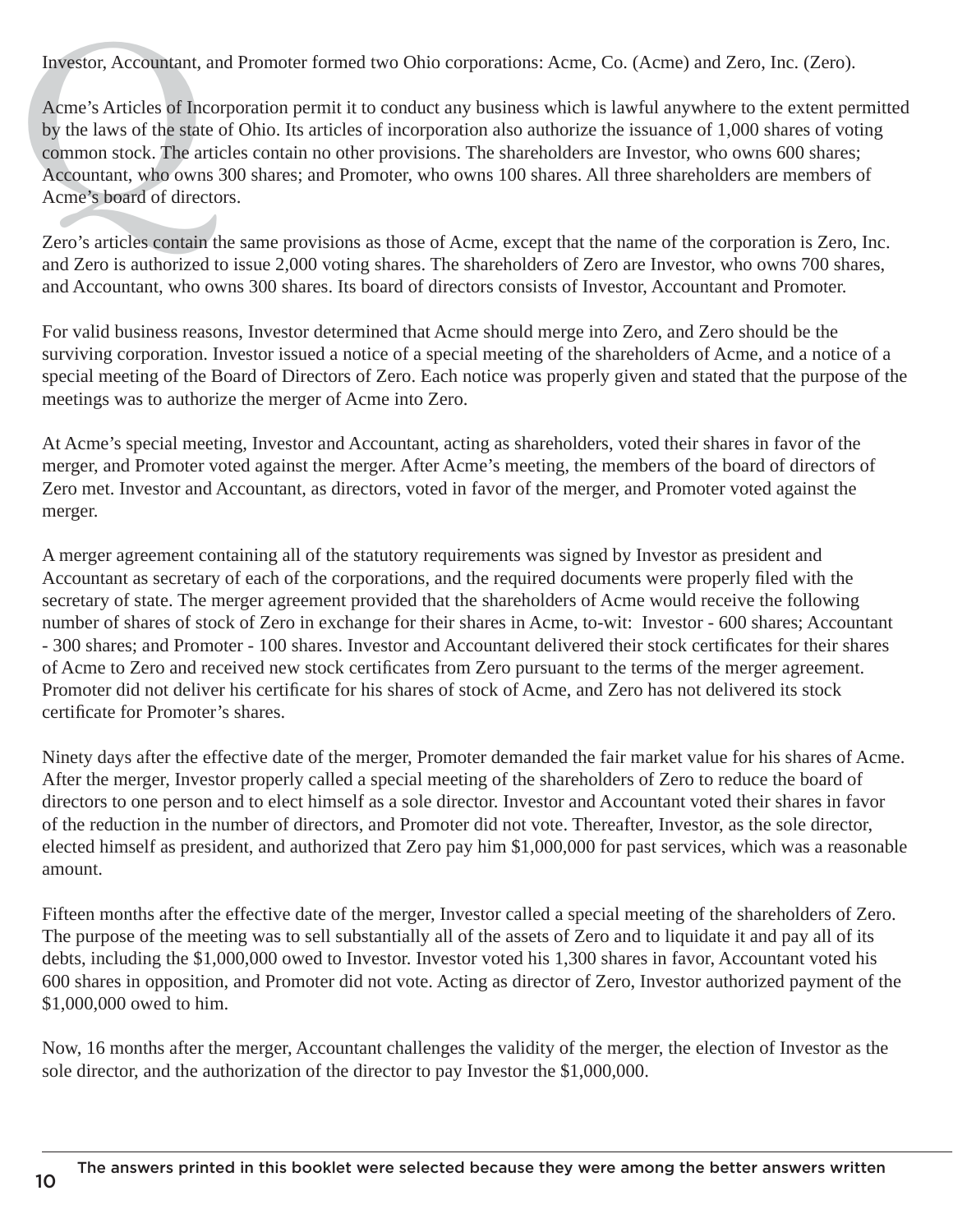Investor, Accountant, and Promoter formed two Ohio corporations: Acme, Co. (Acme) and Zero, Inc. (Zero).

Investor, Accountant,<br>Acme's Articles of In<br>by the laws of the sta<br>common stock. The a<br>Accountant, who own<br>Acme's board of dire<br>Zero's articles contain Acme's Articles of Incorporation permit it to conduct any business which is lawful anywhere to the extent permitted by the laws of the state of Ohio. Its articles of incorporation also authorize the issuance of 1,000 shares of voting common stock. The articles contain no other provisions. The shareholders are Investor, who owns 600 shares; Accountant, who owns 300 shares; and Promoter, who owns 100 shares. All three shareholders are members of Acme's board of directors.

Zero's articles contain the same provisions as those of Acme, except that the name of the corporation is Zero, Inc. and Zero is authorized to issue 2,000 voting shares. The shareholders of Zero are Investor, who owns 700 shares, and Accountant, who owns 300 shares. Its board of directors consists of Investor, Accountant and Promoter.

For valid business reasons, Investor determined that Acme should merge into Zero, and Zero should be the surviving corporation. Investor issued a notice of a special meeting of the shareholders of Acme, and a notice of a special meeting of the Board of Directors of Zero. Each notice was properly given and stated that the purpose of the meetings was to authorize the merger of Acme into Zero.

At Acme's special meeting, Investor and Accountant, acting as shareholders, voted their shares in favor of the merger, and Promoter voted against the merger. After Acme's meeting, the members of the board of directors of Zero met. Investor and Accountant, as directors, voted in favor of the merger, and Promoter voted against the merger.

A merger agreement containing all of the statutory requirements was signed by Investor as president and Accountant as secretary of each of the corporations, and the required documents were properly filed with the secretary of state. The merger agreement provided that the shareholders of Acme would receive the following number of shares of stock of Zero in exchange for their shares in Acme, to-wit: Investor - 600 shares; Accountant - 300 shares; and Promoter - 100 shares. Investor and Accountant delivered their stock certificates for their shares of Acme to Zero and received new stock certificates from Zero pursuant to the terms of the merger agreement. Promoter did not deliver his certificate for his shares of stock of Acme, and Zero has not delivered its stock certificate for Promoter's shares.

Ninety days after the effective date of the merger, Promoter demanded the fair market value for his shares of Acme. After the merger, Investor properly called a special meeting of the shareholders of Zero to reduce the board of directors to one person and to elect himself as a sole director. Investor and Accountant voted their shares in favor of the reduction in the number of directors, and Promoter did not vote. Thereafter, Investor, as the sole director, elected himself as president, and authorized that Zero pay him \$1,000,000 for past services, which was a reasonable amount.

Fifteen months after the effective date of the merger, Investor called a special meeting of the shareholders of Zero. The purpose of the meeting was to sell substantially all of the assets of Zero and to liquidate it and pay all of its debts, including the \$1,000,000 owed to Investor. Investor voted his 1,300 shares in favor, Accountant voted his 600 shares in opposition, and Promoter did not vote. Acting as director of Zero, Investor authorized payment of the \$1,000,000 owed to him.

Now, 16 months after the merger, Accountant challenges the validity of the merger, the election of Investor as the sole director, and the authorization of the director to pay Investor the \$1,000,000.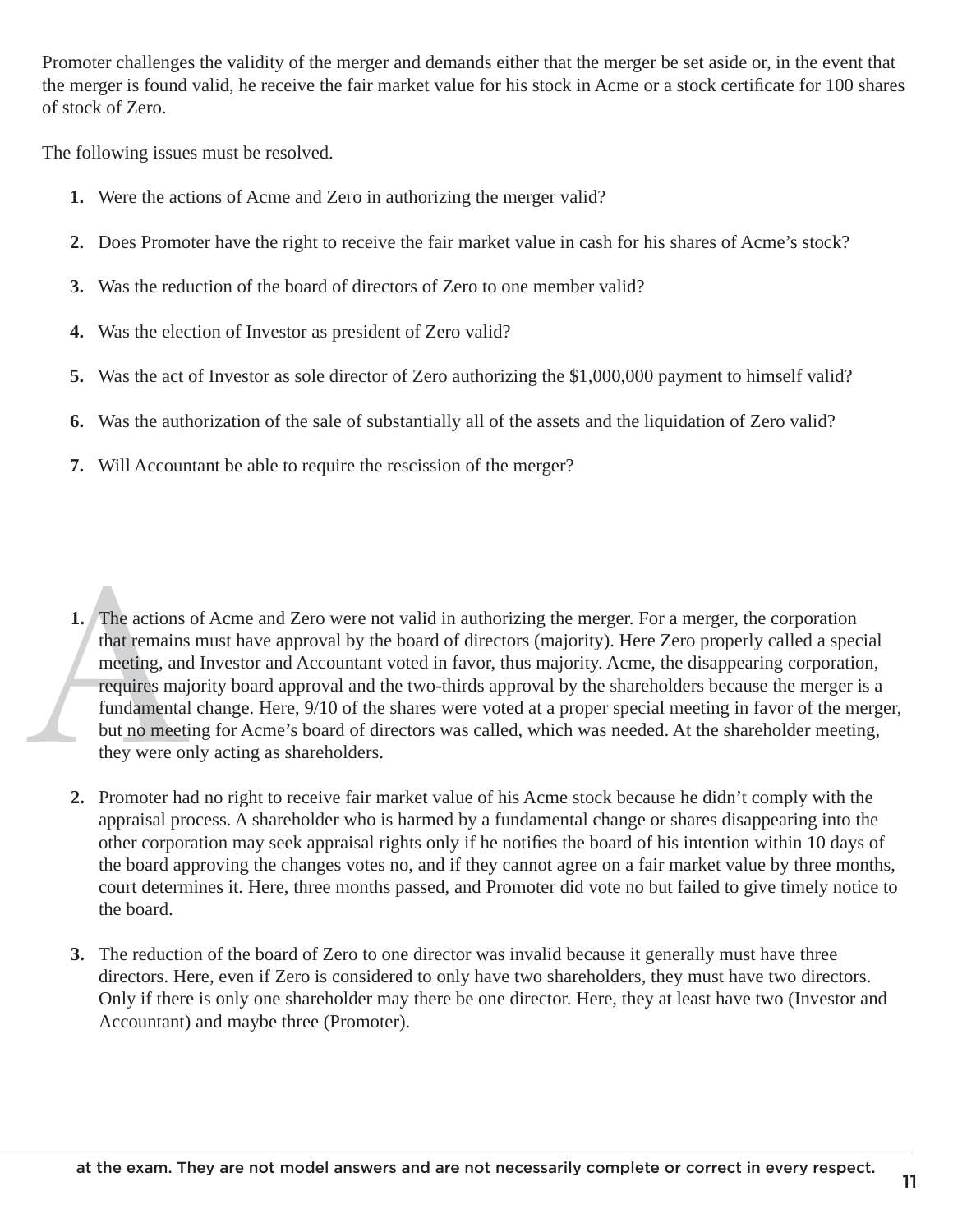Promoter challenges the validity of the merger and demands either that the merger be set aside or, in the event that the merger is found valid, he receive the fair market value for his stock in Acme or a stock certificate for 100 shares of stock of Zero.

The following issues must be resolved.

- **1.** Were the actions of Acme and Zero in authorizing the merger valid?
- **2.** Does Promoter have the right to receive the fair market value in cash for his shares of Acme's stock?
- **3.** Was the reduction of the board of directors of Zero to one member valid?
- **4.** Was the election of Investor as president of Zero valid?
- **5.** Was the act of Investor as sole director of Zero authorizing the \$1,000,000 payment to himself valid?
- **6.** Was the authorization of the sale of substantially all of the assets and the liquidation of Zero valid?
- **7.** Will Accountant be able to require the rescission of the merger?

1. The actions<br>that remain<br>meeting, an<br>requires ma<br>fundamenta<br>but no meet<br>they were o **1.** The actions of Acme and Zero were not valid in authorizing the merger. For a merger, the corporation that remains must have approval by the board of directors (majority). Here Zero properly called a special meeting, and Investor and Accountant voted in favor, thus majority. Acme, the disappearing corporation, requires majority board approval and the two-thirds approval by the shareholders because the merger is a fundamental change. Here, 9/10 of the shares were voted at a proper special meeting in favor of the merger, but no meeting for Acme's board of directors was called, which was needed. At the shareholder meeting, they were only acting as shareholders.

- **2.** Promoter had no right to receive fair market value of his Acme stock because he didn't comply with the appraisal process. A shareholder who is harmed by a fundamental change or shares disappearing into the other corporation may seek appraisal rights only if he notifies the board of his intention within 10 days of the board approving the changes votes no, and if they cannot agree on a fair market value by three months, court determines it. Here, three months passed, and Promoter did vote no but failed to give timely notice to the board.
- **3.** The reduction of the board of Zero to one director was invalid because it generally must have three directors. Here, even if Zero is considered to only have two shareholders, they must have two directors. Only if there is only one shareholder may there be one director. Here, they at least have two (Investor and Accountant) and maybe three (Promoter).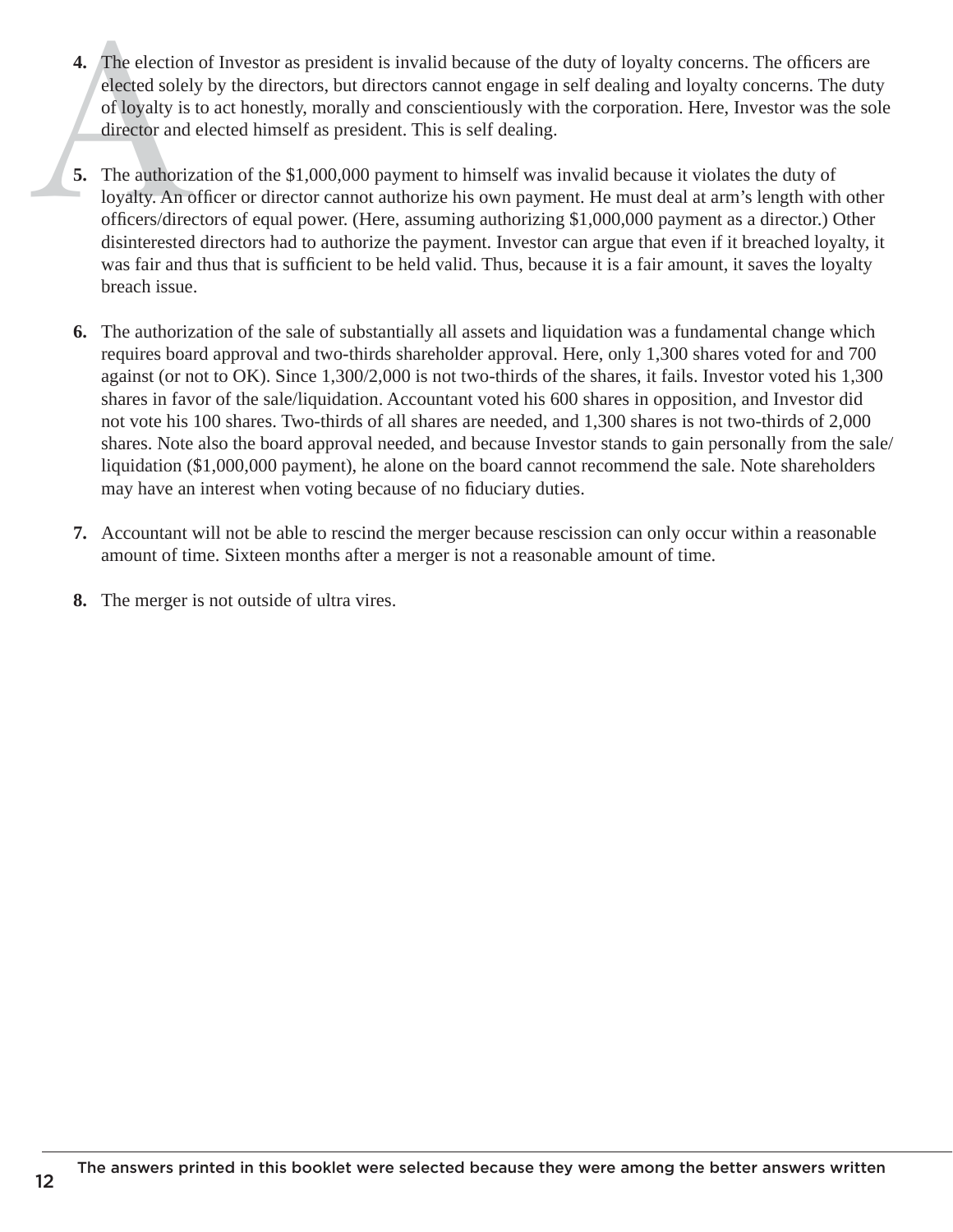- **4.** The election of Investor as president is invalid because of the duty of loyalty concerns. The officers are elected solely by the directors, but directors cannot engage in self dealing and loyalty concerns. The duty of loyalty is to act honestly, morally and conscientiously with the corporation. Here, Investor was the sole director and elected himself as president. This is self dealing.
- 4. The election<br>elected sole<br>of loyalty is<br>director and<br>5. The authori<br>loyalty. An<br>officers/dire<br>disinterested **5.** The authorization of the \$1,000,000 payment to himself was invalid because it violates the duty of loyalty. An officer or director cannot authorize his own payment. He must deal at arm's length with other officers/directors of equal power. (Here, assuming authorizing \$1,000,000 payment as a director.) Other disinterested directors had to authorize the payment. Investor can argue that even if it breached loyalty, it was fair and thus that is sufficient to be held valid. Thus, because it is a fair amount, it saves the loyalty breach issue.
	- **6.** The authorization of the sale of substantially all assets and liquidation was a fundamental change which requires board approval and two-thirds shareholder approval. Here, only 1,300 shares voted for and 700 against (or not to OK). Since 1,300/2,000 is not two-thirds of the shares, it fails. Investor voted his 1,300 shares in favor of the sale/liquidation. Accountant voted his 600 shares in opposition, and Investor did not vote his 100 shares. Two-thirds of all shares are needed, and 1,300 shares is not two-thirds of 2,000 shares. Note also the board approval needed, and because Investor stands to gain personally from the sale/ liquidation (\$1,000,000 payment), he alone on the board cannot recommend the sale. Note shareholders may have an interest when voting because of no fiduciary duties.
	- **7.** Accountant will not be able to rescind the merger because rescission can only occur within a reasonable amount of time. Sixteen months after a merger is not a reasonable amount of time.
	- **8.** The merger is not outside of ultra vires.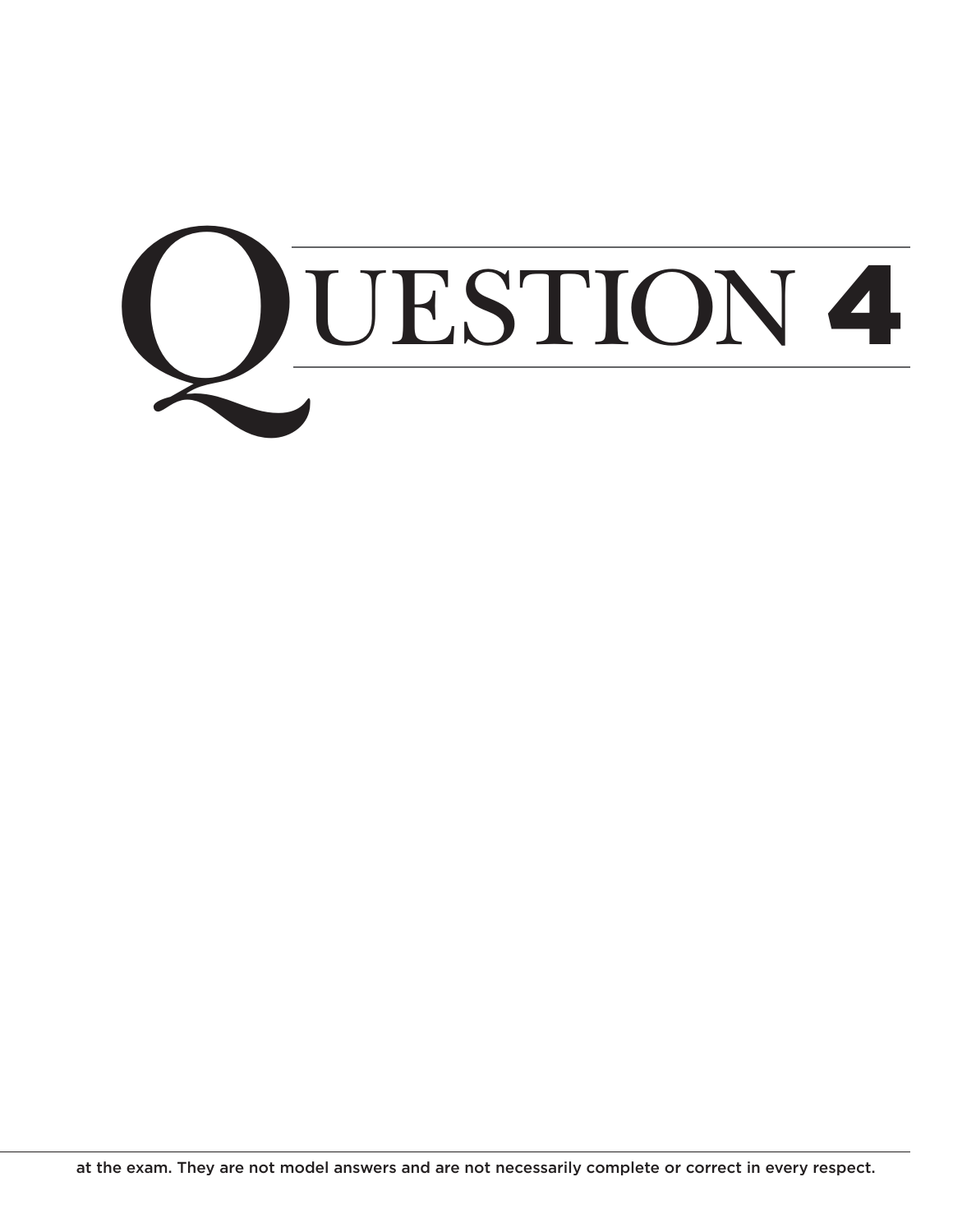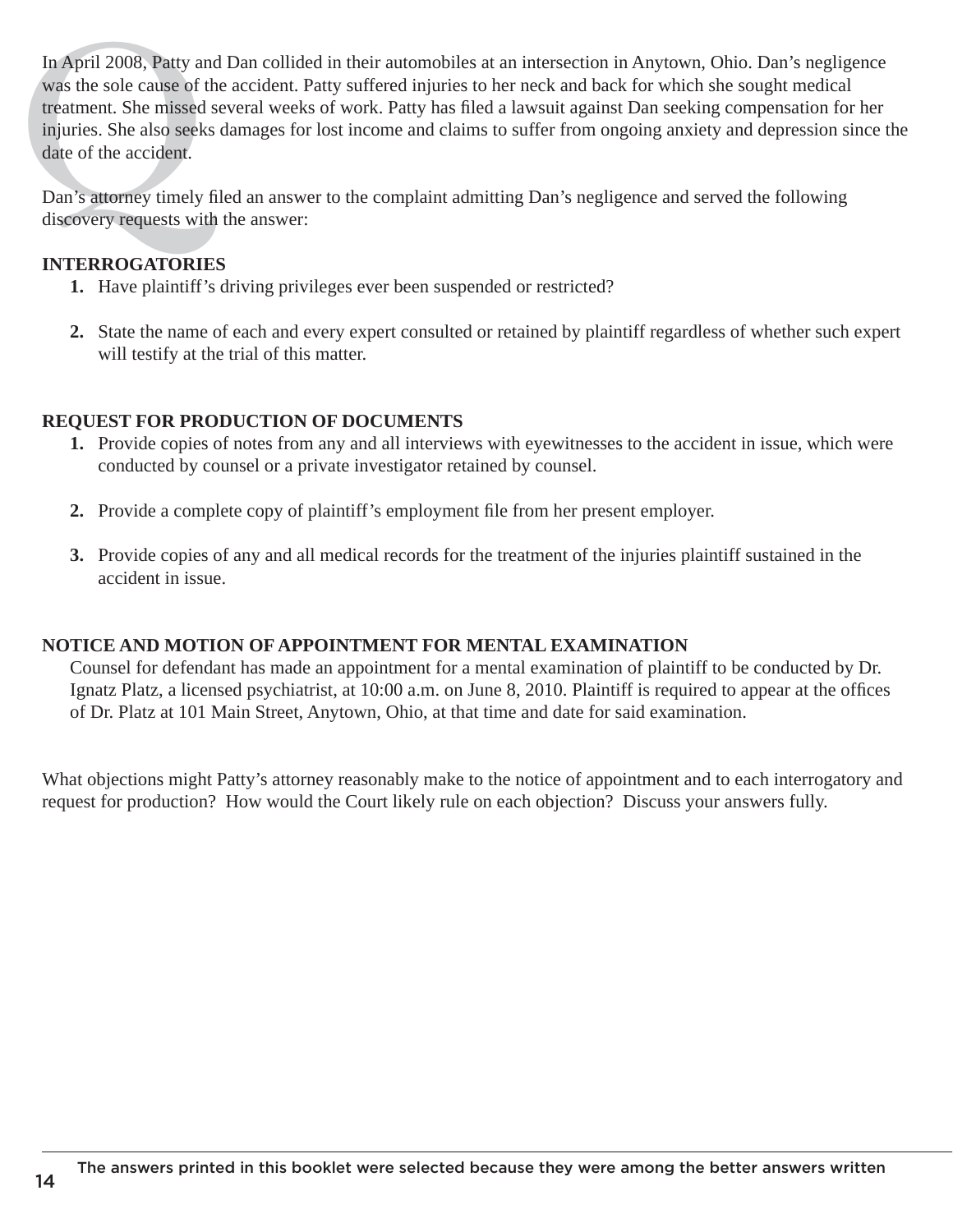In April 2008, Patty a<br>was the sole cause of<br>treatment. She missed<br>injuries. She also seel<br>date of the accident.<br>Dan's attorney timely<br>discovery requests wi In April 2008, Patty and Dan collided in their automobiles at an intersection in Anytown, Ohio. Dan's negligence was the sole cause of the accident. Patty suffered injuries to her neck and back for which she sought medical treatment. She missed several weeks of work. Patty has filed a lawsuit against Dan seeking compensation for her injuries. She also seeks damages for lost income and claims to suffer from ongoing anxiety and depression since the date of the accident.

Dan's attorney timely filed an answer to the complaint admitting Dan's negligence and served the following discovery requests with the answer:

#### **INTERROGATORIES**

- **1.** Have plaintiff's driving privileges ever been suspended or restricted?
- **2.** State the name of each and every expert consulted or retained by plaintiff regardless of whether such expert will testify at the trial of this matter.

#### **REQUEST FOR PRODUCTION OF DOCUMENTS**

- **1.** Provide copies of notes from any and all interviews with eyewitnesses to the accident in issue, which were conducted by counsel or a private investigator retained by counsel.
- **2.** Provide a complete copy of plaintiff's employment file from her present employer.
- **3.** Provide copies of any and all medical records for the treatment of the injuries plaintiff sustained in the accident in issue.

#### **NOTICE AND MOTION OF APPOINTMENT FOR MENTAL EXAMINATION**

Counsel for defendant has made an appointment for a mental examination of plaintiff to be conducted by Dr. Ignatz Platz, a licensed psychiatrist, at 10:00 a.m. on June 8, 2010. Plaintiff is required to appear at the offices of Dr. Platz at 101 Main Street, Anytown, Ohio, at that time and date for said examination.

What objections might Patty's attorney reasonably make to the notice of appointment and to each interrogatory and request for production? How would the Court likely rule on each objection? Discuss your answers fully.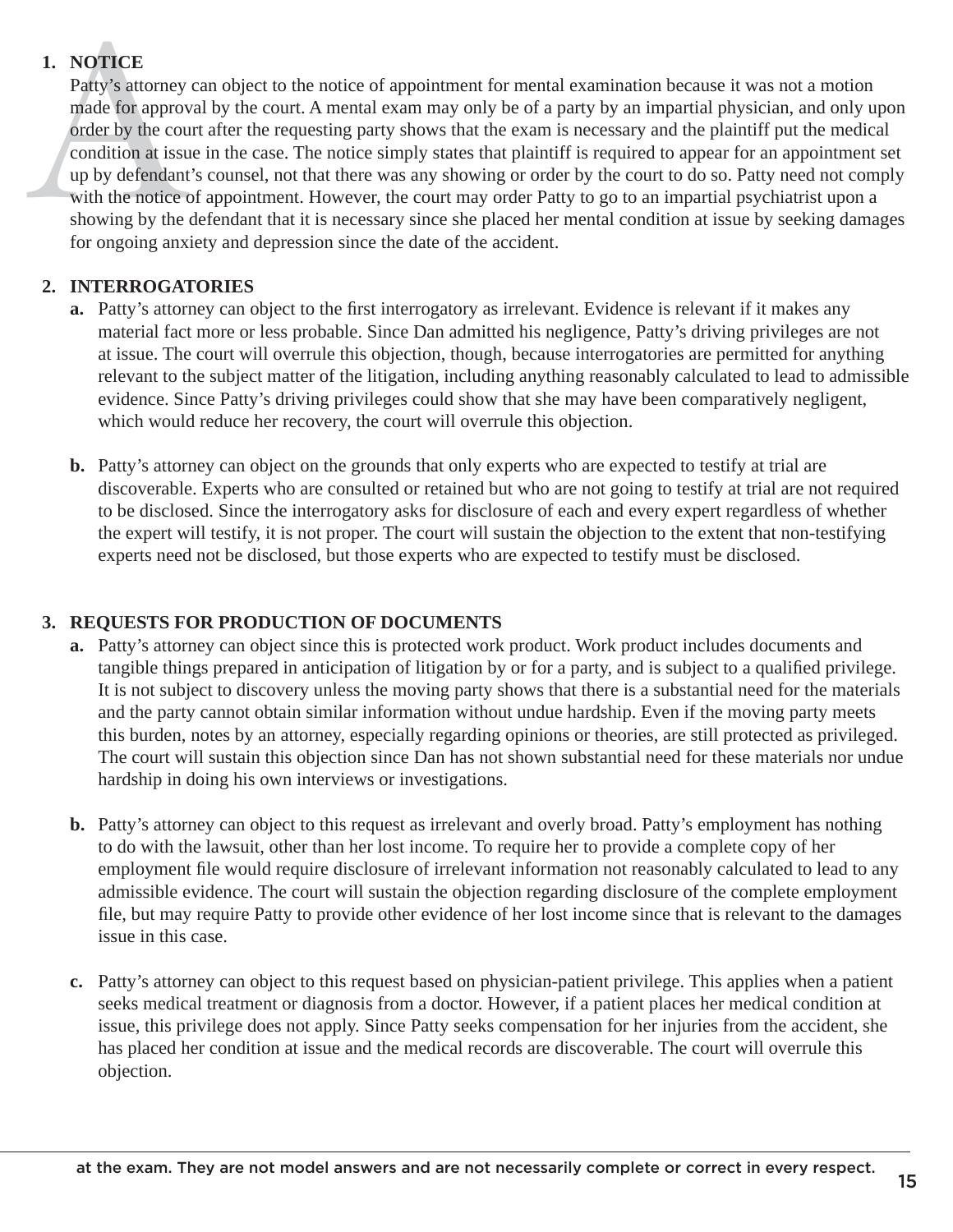#### **1. NOTICE**

**1. NOTICE**<br>Patty's attorney<br>made for appro<br>order by the cor<br>condition at iss<br>up by defendan<br>with the notice<br>showing by the<br>for ongoing any Patty's attorney can object to the notice of appointment for mental examination because it was not a motion made for approval by the court. A mental exam may only be of a party by an impartial physician, and only upon order by the court after the requesting party shows that the exam is necessary and the plaintiff put the medical condition at issue in the case. The notice simply states that plaintiff is required to appear for an appointment set up by defendant's counsel, not that there was any showing or order by the court to do so. Patty need not comply with the notice of appointment. However, the court may order Patty to go to an impartial psychiatrist upon a showing by the defendant that it is necessary since she placed her mental condition at issue by seeking damages for ongoing anxiety and depression since the date of the accident.

#### **2. INTERROGATORIES**

- **a.** Patty's attorney can object to the first interrogatory as irrelevant. Evidence is relevant if it makes any material fact more or less probable. Since Dan admitted his negligence, Patty's driving privileges are not at issue. The court will overrule this objection, though, because interrogatories are permitted for anything relevant to the subject matter of the litigation, including anything reasonably calculated to lead to admissible evidence. Since Patty's driving privileges could show that she may have been comparatively negligent, which would reduce her recovery, the court will overrule this objection.
- **b.** Patty's attorney can object on the grounds that only experts who are expected to testify at trial are discoverable. Experts who are consulted or retained but who are not going to testify at trial are not required to be disclosed. Since the interrogatory asks for disclosure of each and every expert regardless of whether the expert will testify, it is not proper. The court will sustain the objection to the extent that non-testifying experts need not be disclosed, but those experts who are expected to testify must be disclosed.

#### **3. REQUESTS FOR PRODUCTION OF DOCUMENTS**

- **a.** Patty's attorney can object since this is protected work product. Work product includes documents and tangible things prepared in anticipation of litigation by or for a party, and is subject to a qualified privilege. It is not subject to discovery unless the moving party shows that there is a substantial need for the materials and the party cannot obtain similar information without undue hardship. Even if the moving party meets this burden, notes by an attorney, especially regarding opinions or theories, are still protected as privileged. The court will sustain this objection since Dan has not shown substantial need for these materials nor undue hardship in doing his own interviews or investigations.
- **b.** Patty's attorney can object to this request as irrelevant and overly broad. Patty's employment has nothing to do with the lawsuit, other than her lost income. To require her to provide a complete copy of her employment file would require disclosure of irrelevant information not reasonably calculated to lead to any admissible evidence. The court will sustain the objection regarding disclosure of the complete employment file, but may require Patty to provide other evidence of her lost income since that is relevant to the damages issue in this case.
- **c.** Patty's attorney can object to this request based on physician-patient privilege. This applies when a patient seeks medical treatment or diagnosis from a doctor. However, if a patient places her medical condition at issue, this privilege does not apply. Since Patty seeks compensation for her injuries from the accident, she has placed her condition at issue and the medical records are discoverable. The court will overrule this objection.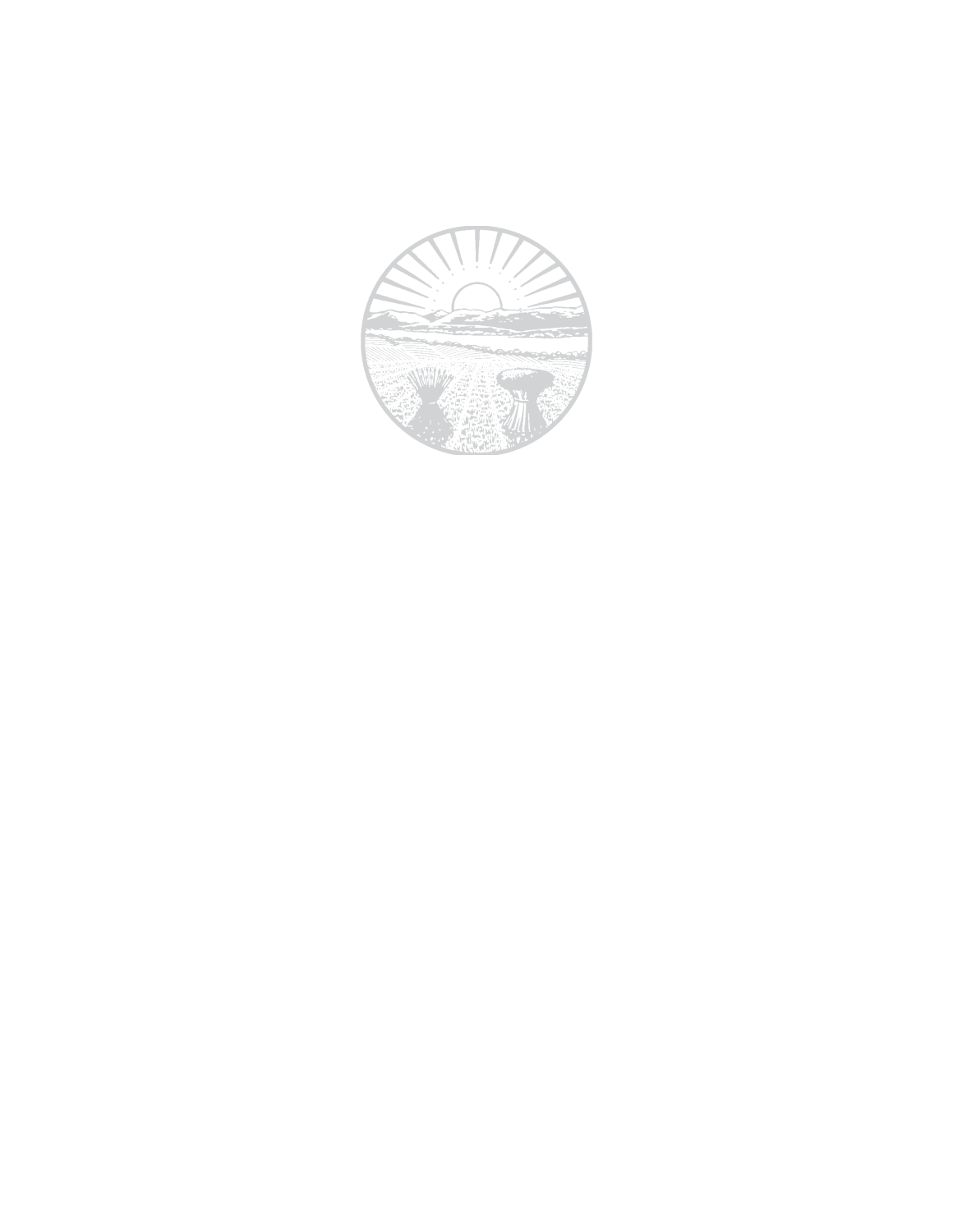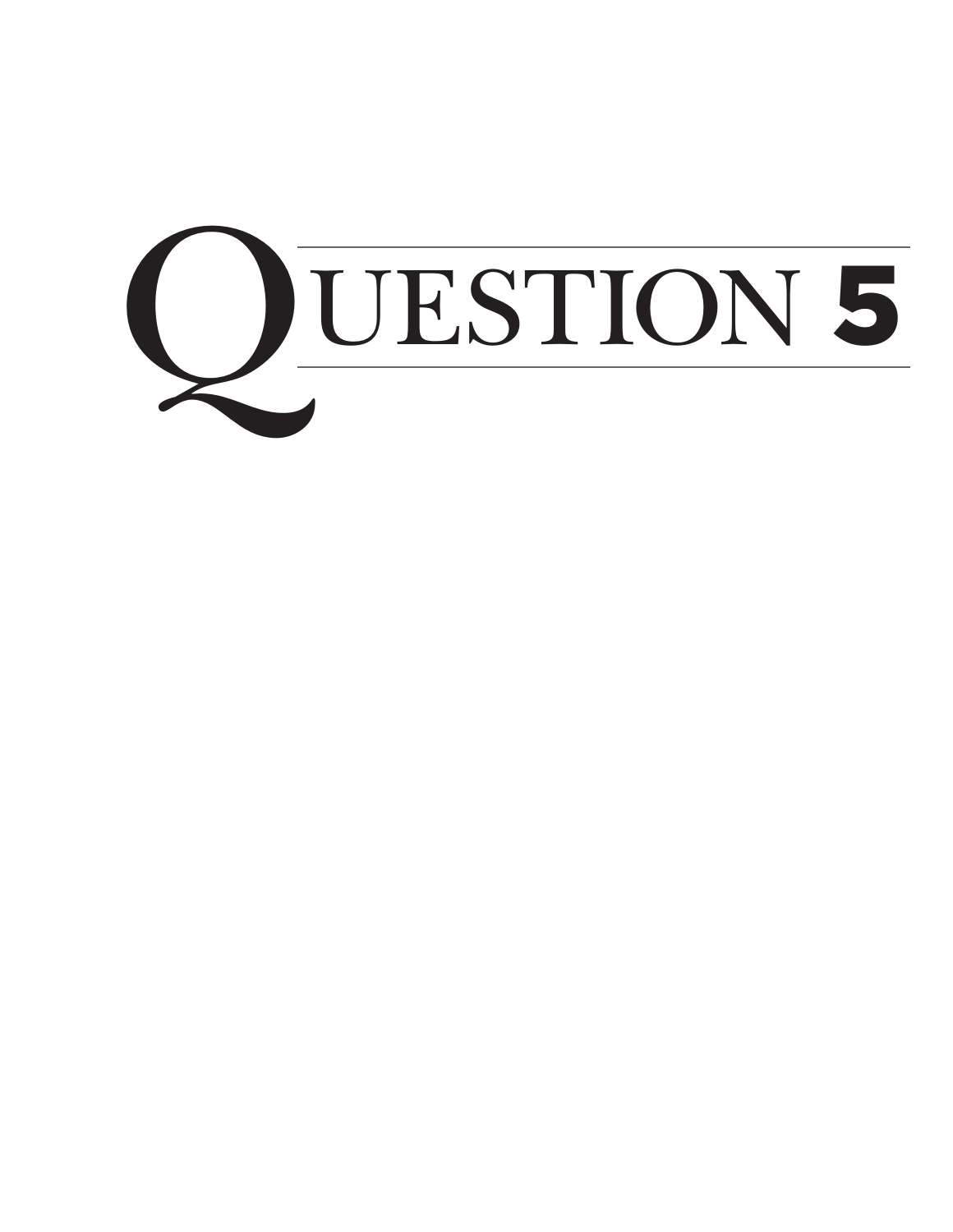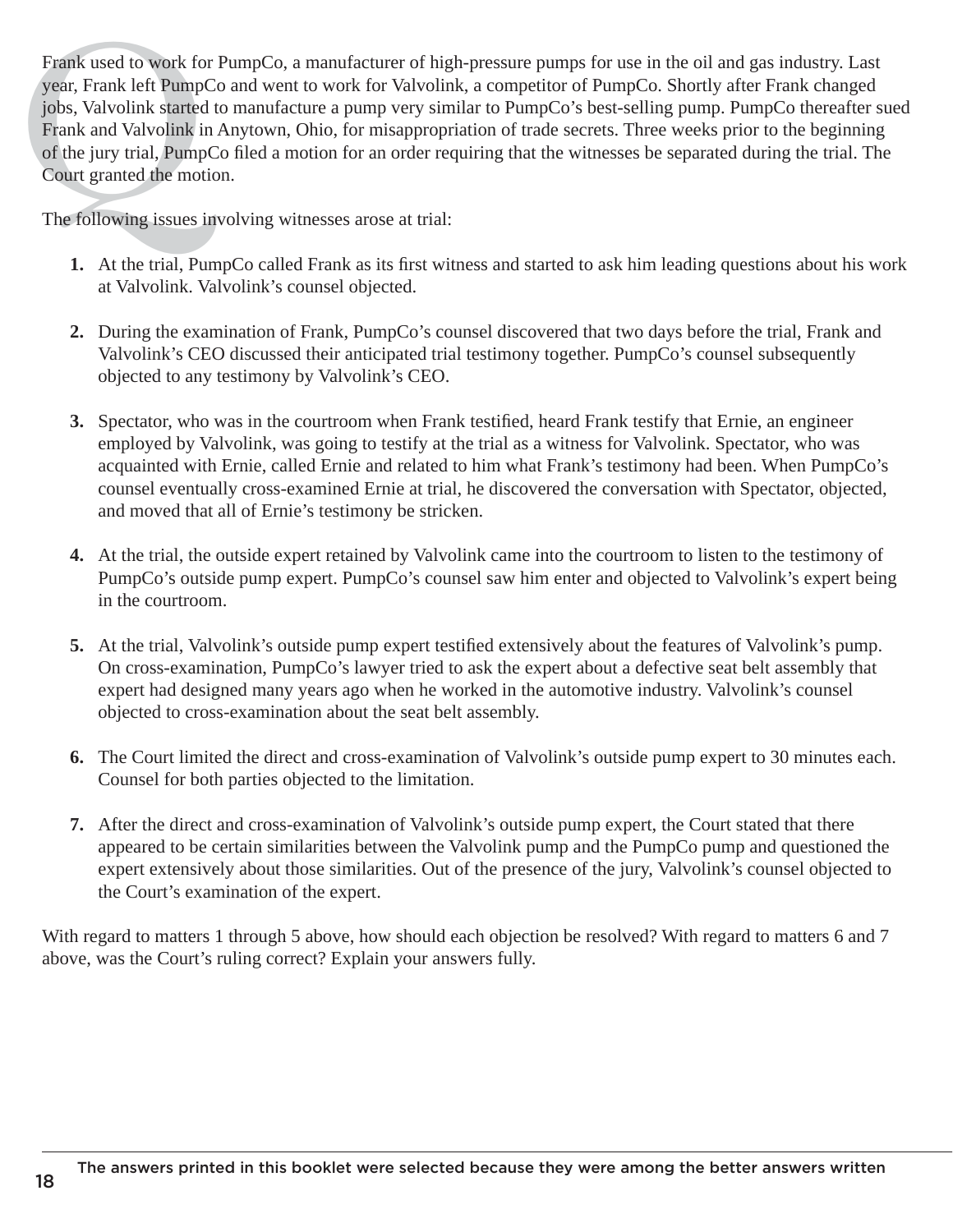Frank used to work for<br>year, Frank left Pump<br>jobs, Valvolink starte<br>Frank and Valvolink i<br>of the jury trial, Pump<br>Court granted the mo<br>The following issues Frank used to work for PumpCo, a manufacturer of high-pressure pumps for use in the oil and gas industry. Last year, Frank left PumpCo and went to work for Valvolink, a competitor of PumpCo. Shortly after Frank changed jobs, Valvolink started to manufacture a pump very similar to PumpCo's best-selling pump. PumpCo thereafter sued Frank and Valvolink in Anytown, Ohio, for misappropriation of trade secrets. Three weeks prior to the beginning of the jury trial, PumpCo filed a motion for an order requiring that the witnesses be separated during the trial. The Court granted the motion.

The following issues involving witnesses arose at trial:

- **1.** At the trial, PumpCo called Frank as its first witness and started to ask him leading questions about his work at Valvolink. Valvolink's counsel objected.
- **2.** During the examination of Frank, PumpCo's counsel discovered that two days before the trial, Frank and Valvolink's CEO discussed their anticipated trial testimony together. PumpCo's counsel subsequently objected to any testimony by Valvolink's CEO.
- **3.** Spectator, who was in the courtroom when Frank testified, heard Frank testify that Ernie, an engineer employed by Valvolink, was going to testify at the trial as a witness for Valvolink. Spectator, who was acquainted with Ernie, called Ernie and related to him what Frank's testimony had been. When PumpCo's counsel eventually cross-examined Ernie at trial, he discovered the conversation with Spectator, objected, and moved that all of Ernie's testimony be stricken.
- **4.** At the trial, the outside expert retained by Valvolink came into the courtroom to listen to the testimony of PumpCo's outside pump expert. PumpCo's counsel saw him enter and objected to Valvolink's expert being in the courtroom.
- **5.** At the trial, Valvolink's outside pump expert testified extensively about the features of Valvolink's pump. On cross-examination, PumpCo's lawyer tried to ask the expert about a defective seat belt assembly that expert had designed many years ago when he worked in the automotive industry. Valvolink's counsel objected to cross-examination about the seat belt assembly.
- **6.** The Court limited the direct and cross-examination of Valvolink's outside pump expert to 30 minutes each. Counsel for both parties objected to the limitation.
- **7.** After the direct and cross-examination of Valvolink's outside pump expert, the Court stated that there appeared to be certain similarities between the Valvolink pump and the PumpCo pump and questioned the expert extensively about those similarities. Out of the presence of the jury, Valvolink's counsel objected to the Court's examination of the expert.

With regard to matters 1 through 5 above, how should each objection be resolved? With regard to matters 6 and 7 above, was the Court's ruling correct? Explain your answers fully.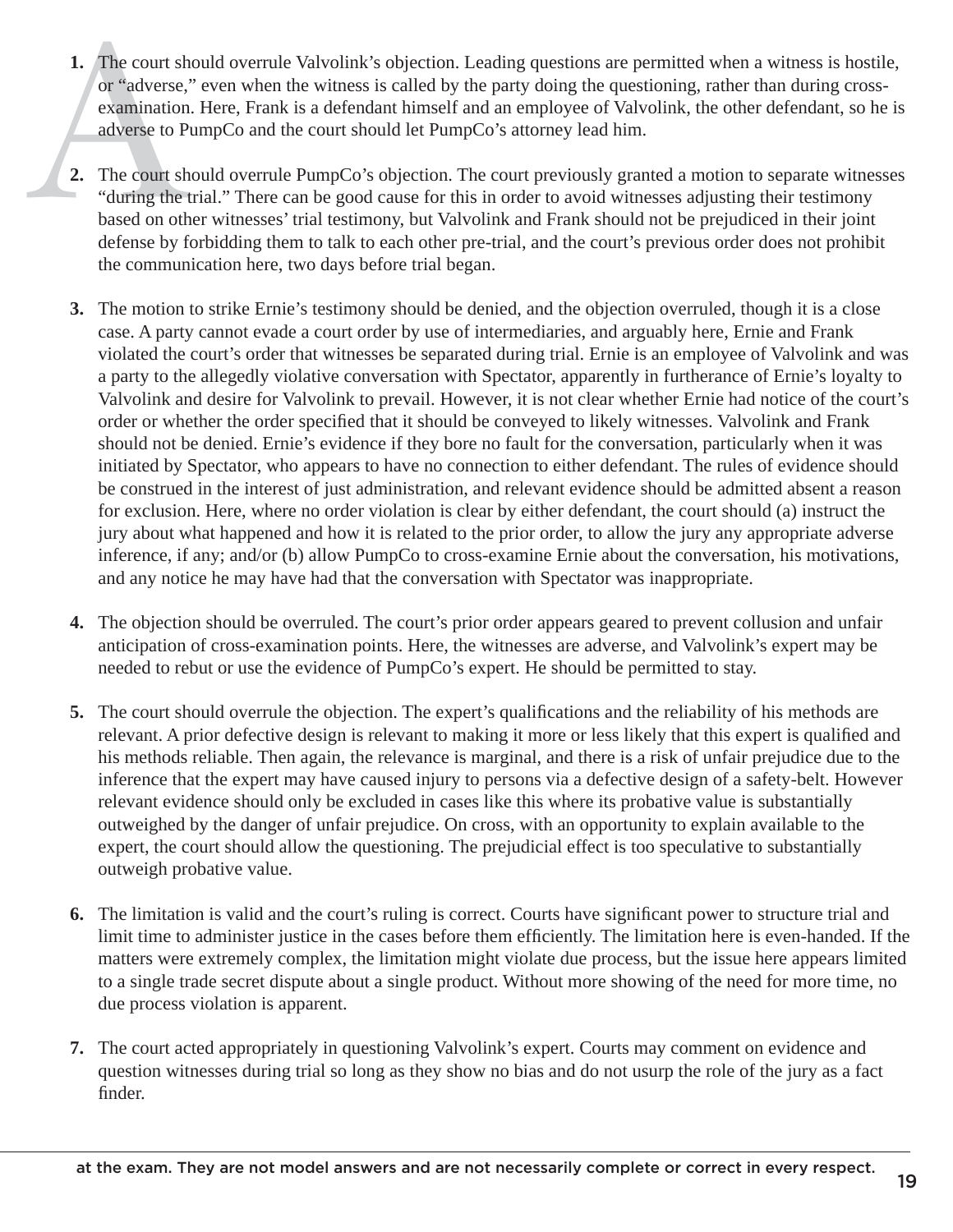- **1.** The court should overrule Valvolink's objection. Leading questions are permitted when a witness is hostile, or "adverse," even when the witness is called by the party doing the questioning, rather than during crossexamination. Here, Frank is a defendant himself and an employee of Valvolink, the other defendant, so he is adverse to PumpCo and the court should let PumpCo's attorney lead him.
- 1. The court sl<br>or "adverse<br>examination<br>adverse to I<br>2. The court sl<br>"during the<br>based on ot defense by **2.** The court should overrule PumpCo's objection. The court previously granted a motion to separate witnesses "during the trial." There can be good cause for this in order to avoid witnesses adjusting their testimony based on other witnesses' trial testimony, but Valvolink and Frank should not be prejudiced in their joint defense by forbidding them to talk to each other pre-trial, and the court's previous order does not prohibit the communication here, two days before trial began.
	- **3.** The motion to strike Ernie's testimony should be denied, and the objection overruled, though it is a close case. A party cannot evade a court order by use of intermediaries, and arguably here, Ernie and Frank violated the court's order that witnesses be separated during trial. Ernie is an employee of Valvolink and was a party to the allegedly violative conversation with Spectator, apparently in furtherance of Ernie's loyalty to Valvolink and desire for Valvolink to prevail. However, it is not clear whether Ernie had notice of the court's order or whether the order specified that it should be conveyed to likely witnesses. Valvolink and Frank should not be denied. Ernie's evidence if they bore no fault for the conversation, particularly when it was initiated by Spectator, who appears to have no connection to either defendant. The rules of evidence should be construed in the interest of just administration, and relevant evidence should be admitted absent a reason for exclusion. Here, where no order violation is clear by either defendant, the court should (a) instruct the jury about what happened and how it is related to the prior order, to allow the jury any appropriate adverse inference, if any; and/or (b) allow PumpCo to cross-examine Ernie about the conversation, his motivations, and any notice he may have had that the conversation with Spectator was inappropriate.
	- **4.** The objection should be overruled. The court's prior order appears geared to prevent collusion and unfair anticipation of cross-examination points. Here, the witnesses are adverse, and Valvolink's expert may be needed to rebut or use the evidence of PumpCo's expert. He should be permitted to stay.
	- **5.** The court should overrule the objection. The expert's qualifications and the reliability of his methods are relevant. A prior defective design is relevant to making it more or less likely that this expert is qualified and his methods reliable. Then again, the relevance is marginal, and there is a risk of unfair prejudice due to the inference that the expert may have caused injury to persons via a defective design of a safety-belt. However relevant evidence should only be excluded in cases like this where its probative value is substantially outweighed by the danger of unfair prejudice. On cross, with an opportunity to explain available to the expert, the court should allow the questioning. The prejudicial effect is too speculative to substantially outweigh probative value.
	- **6.** The limitation is valid and the court's ruling is correct. Courts have significant power to structure trial and limit time to administer justice in the cases before them efficiently. The limitation here is even-handed. If the matters were extremely complex, the limitation might violate due process, but the issue here appears limited to a single trade secret dispute about a single product. Without more showing of the need for more time, no due process violation is apparent.
	- **7.** The court acted appropriately in questioning Valvolink's expert. Courts may comment on evidence and question witnesses during trial so long as they show no bias and do not usurp the role of the jury as a fact finder.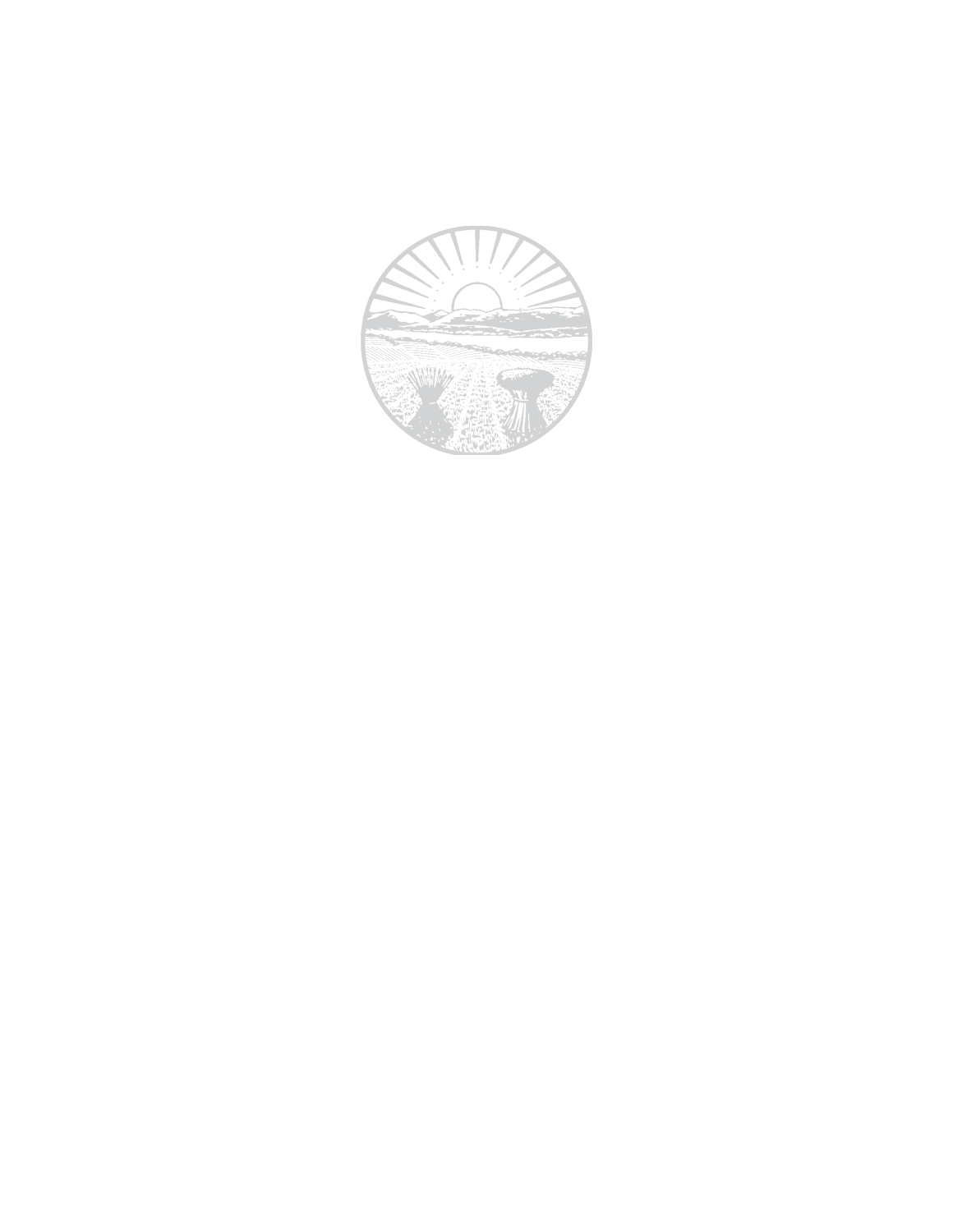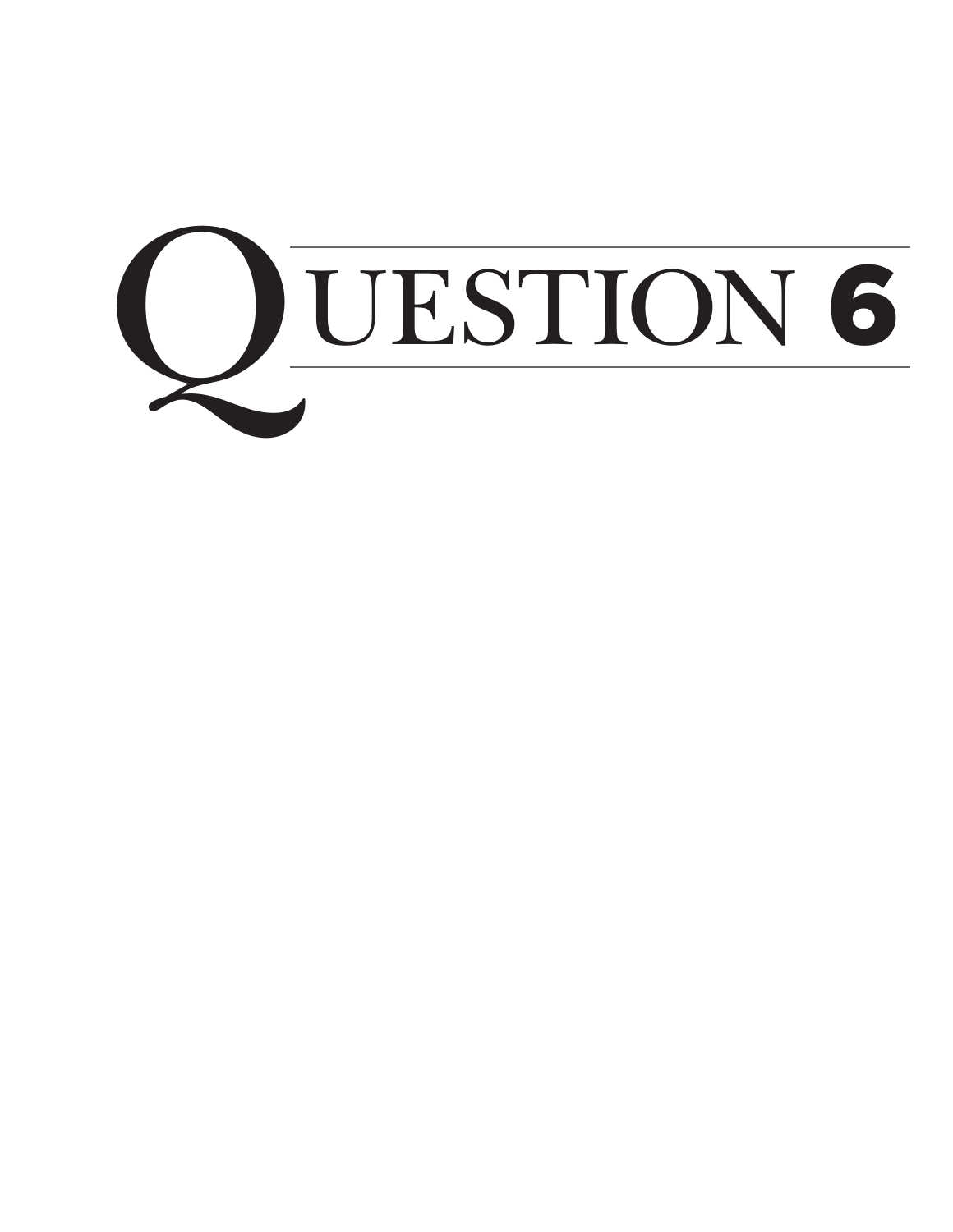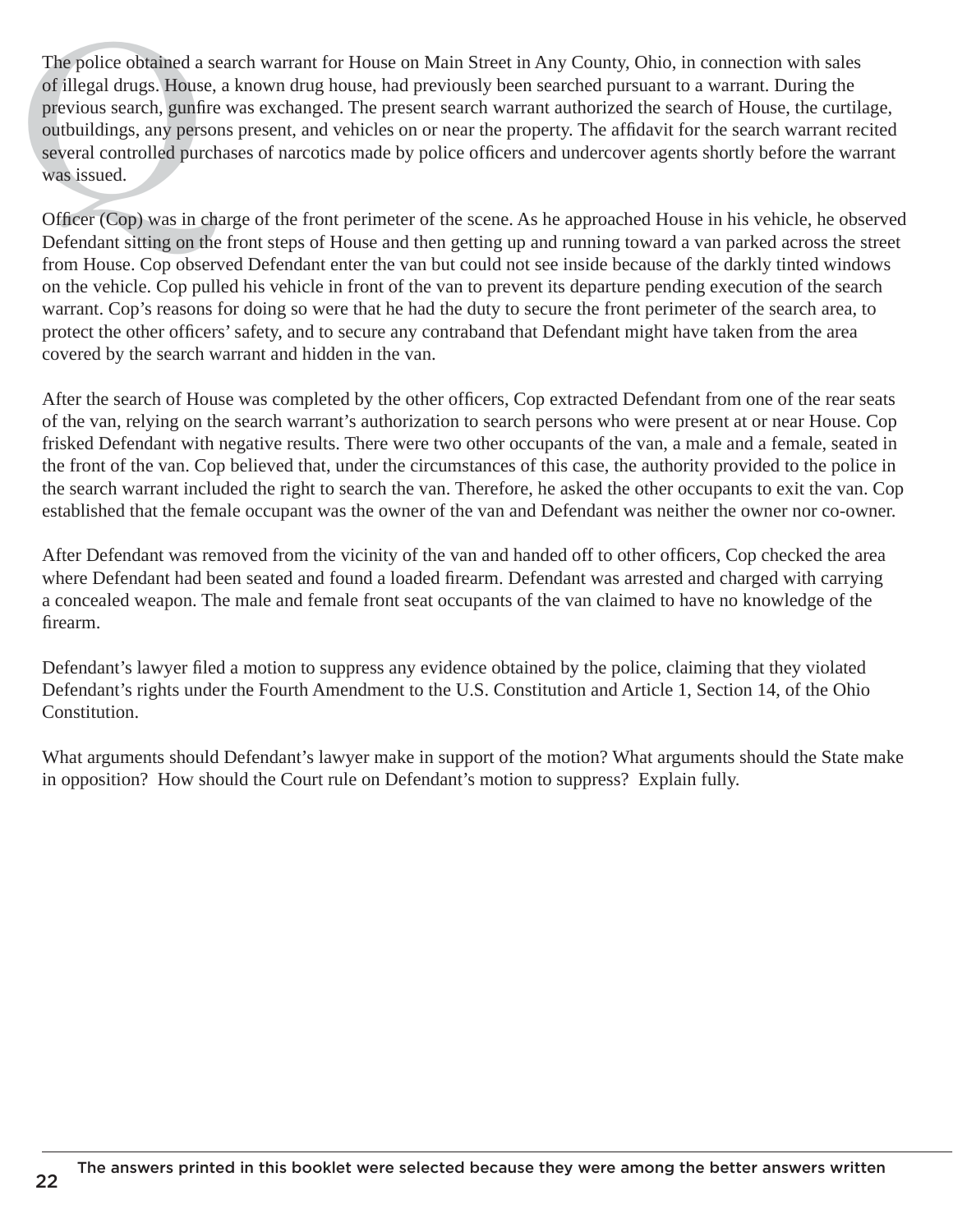The police obtained a<br>of illegal drugs. Hous<br>previous search, gunf<br>outbuildings, any per<br>several controlled pur<br>was issued.<br>Officer (Cop) was in<br>Defendant sitting on t The police obtained a search warrant for House on Main Street in Any County, Ohio, in connection with sales of illegal drugs. House, a known drug house, had previously been searched pursuant to a warrant. During the previous search, gunfire was exchanged. The present search warrant authorized the search of House, the curtilage, outbuildings, any persons present, and vehicles on or near the property. The affidavit for the search warrant recited several controlled purchases of narcotics made by police officers and undercover agents shortly before the warrant was issued.

Officer (Cop) was in charge of the front perimeter of the scene. As he approached House in his vehicle, he observed Defendant sitting on the front steps of House and then getting up and running toward a van parked across the street from House. Cop observed Defendant enter the van but could not see inside because of the darkly tinted windows on the vehicle. Cop pulled his vehicle in front of the van to prevent its departure pending execution of the search warrant. Cop's reasons for doing so were that he had the duty to secure the front perimeter of the search area, to protect the other officers' safety, and to secure any contraband that Defendant might have taken from the area covered by the search warrant and hidden in the van.

After the search of House was completed by the other officers, Cop extracted Defendant from one of the rear seats of the van, relying on the search warrant's authorization to search persons who were present at or near House. Cop frisked Defendant with negative results. There were two other occupants of the van, a male and a female, seated in the front of the van. Cop believed that, under the circumstances of this case, the authority provided to the police in the search warrant included the right to search the van. Therefore, he asked the other occupants to exit the van. Cop established that the female occupant was the owner of the van and Defendant was neither the owner nor co-owner.

After Defendant was removed from the vicinity of the van and handed off to other officers, Cop checked the area where Defendant had been seated and found a loaded firearm. Defendant was arrested and charged with carrying a concealed weapon. The male and female front seat occupants of the van claimed to have no knowledge of the firearm.

Defendant's lawyer filed a motion to suppress any evidence obtained by the police, claiming that they violated Defendant's rights under the Fourth Amendment to the U.S. Constitution and Article 1, Section 14, of the Ohio Constitution.

What arguments should Defendant's lawyer make in support of the motion? What arguments should the State make in opposition? How should the Court rule on Defendant's motion to suppress? Explain fully.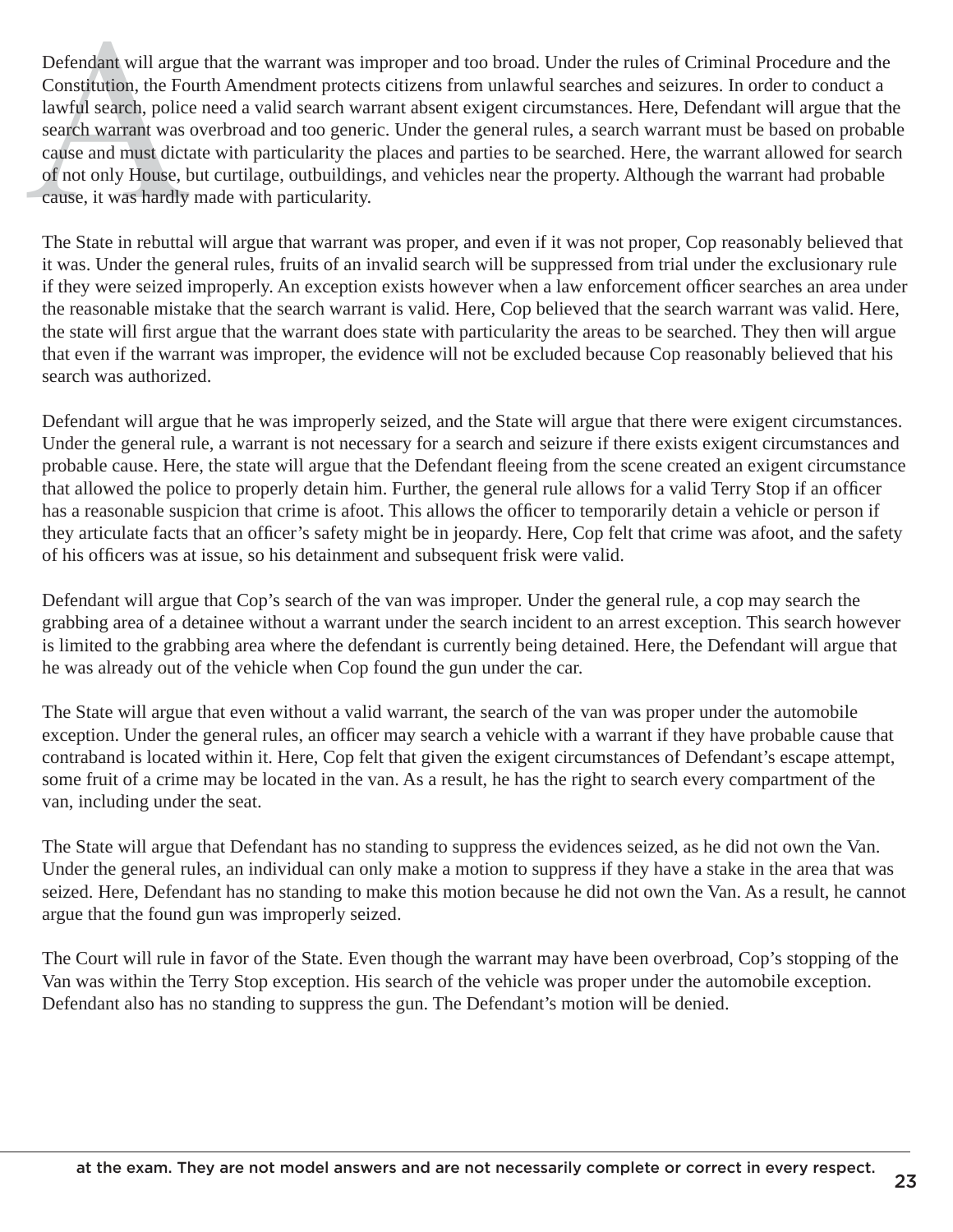Defendant will arge<br>Constitution, the Fe<br>lawful search, polic<br>search warrant was<br>cause and must dic<br>of not only House,<br>cause, it was hardly<br>The State in rebutta Defendant will argue that the warrant was improper and too broad. Under the rules of Criminal Procedure and the Constitution, the Fourth Amendment protects citizens from unlawful searches and seizures. In order to conduct a lawful search, police need a valid search warrant absent exigent circumstances. Here, Defendant will argue that the search warrant was overbroad and too generic. Under the general rules, a search warrant must be based on probable cause and must dictate with particularity the places and parties to be searched. Here, the warrant allowed for search of not only House, but curtilage, outbuildings, and vehicles near the property. Although the warrant had probable cause, it was hardly made with particularity.

The State in rebuttal will argue that warrant was proper, and even if it was not proper, Cop reasonably believed that it was. Under the general rules, fruits of an invalid search will be suppressed from trial under the exclusionary rule if they were seized improperly. An exception exists however when a law enforcement officer searches an area under the reasonable mistake that the search warrant is valid. Here, Cop believed that the search warrant was valid. Here, the state will first argue that the warrant does state with particularity the areas to be searched. They then will argue that even if the warrant was improper, the evidence will not be excluded because Cop reasonably believed that his search was authorized.

Defendant will argue that he was improperly seized, and the State will argue that there were exigent circumstances. Under the general rule, a warrant is not necessary for a search and seizure if there exists exigent circumstances and probable cause. Here, the state will argue that the Defendant fleeing from the scene created an exigent circumstance that allowed the police to properly detain him. Further, the general rule allows for a valid Terry Stop if an officer has a reasonable suspicion that crime is afoot. This allows the officer to temporarily detain a vehicle or person if they articulate facts that an officer's safety might be in jeopardy. Here, Cop felt that crime was afoot, and the safety of his officers was at issue, so his detainment and subsequent frisk were valid.

Defendant will argue that Cop's search of the van was improper. Under the general rule, a cop may search the grabbing area of a detainee without a warrant under the search incident to an arrest exception. This search however is limited to the grabbing area where the defendant is currently being detained. Here, the Defendant will argue that he was already out of the vehicle when Cop found the gun under the car.

The State will argue that even without a valid warrant, the search of the van was proper under the automobile exception. Under the general rules, an officer may search a vehicle with a warrant if they have probable cause that contraband is located within it. Here, Cop felt that given the exigent circumstances of Defendant's escape attempt, some fruit of a crime may be located in the van. As a result, he has the right to search every compartment of the van, including under the seat.

The State will argue that Defendant has no standing to suppress the evidences seized, as he did not own the Van. Under the general rules, an individual can only make a motion to suppress if they have a stake in the area that was seized. Here, Defendant has no standing to make this motion because he did not own the Van. As a result, he cannot argue that the found gun was improperly seized.

The Court will rule in favor of the State. Even though the warrant may have been overbroad, Cop's stopping of the Van was within the Terry Stop exception. His search of the vehicle was proper under the automobile exception. Defendant also has no standing to suppress the gun. The Defendant's motion will be denied.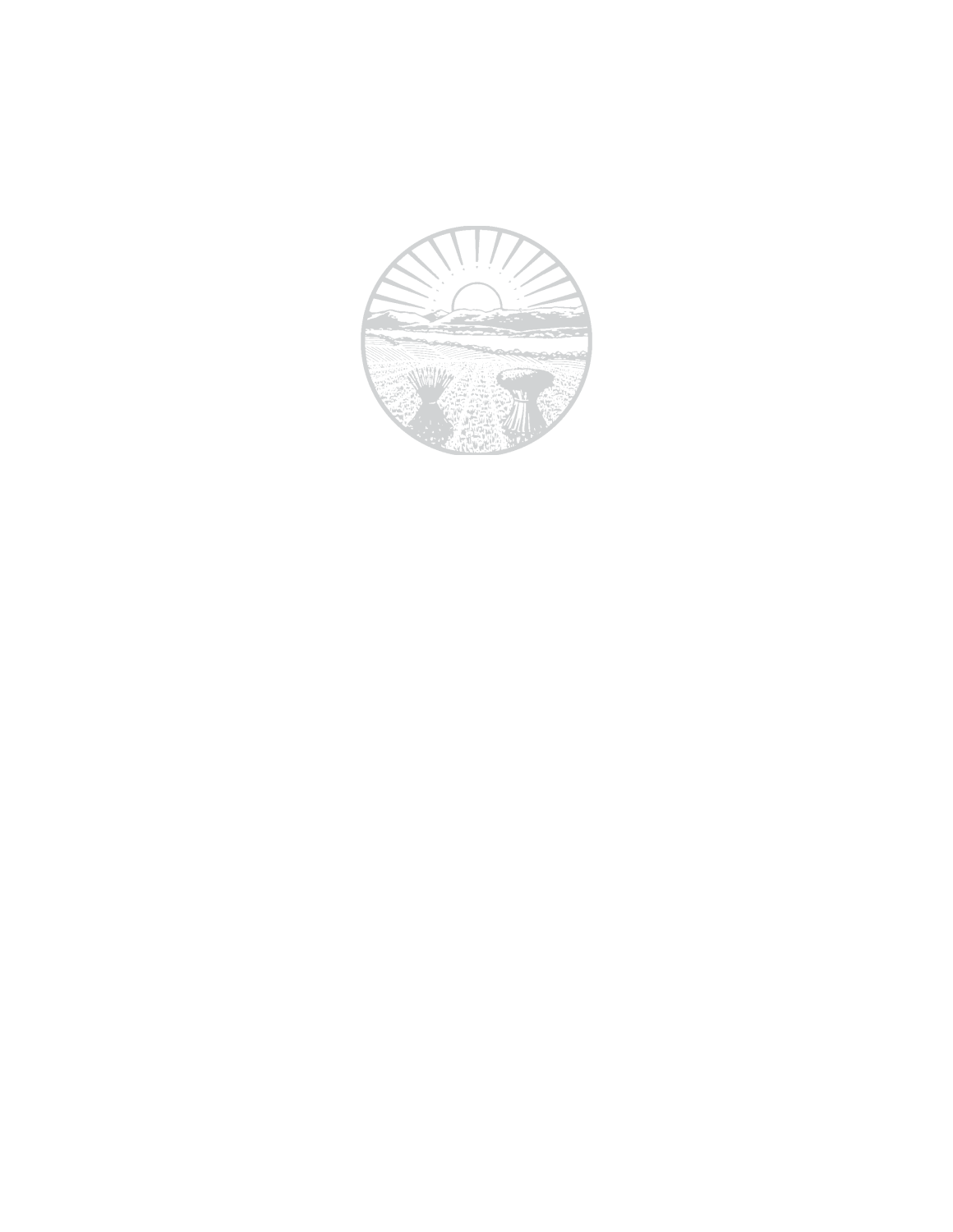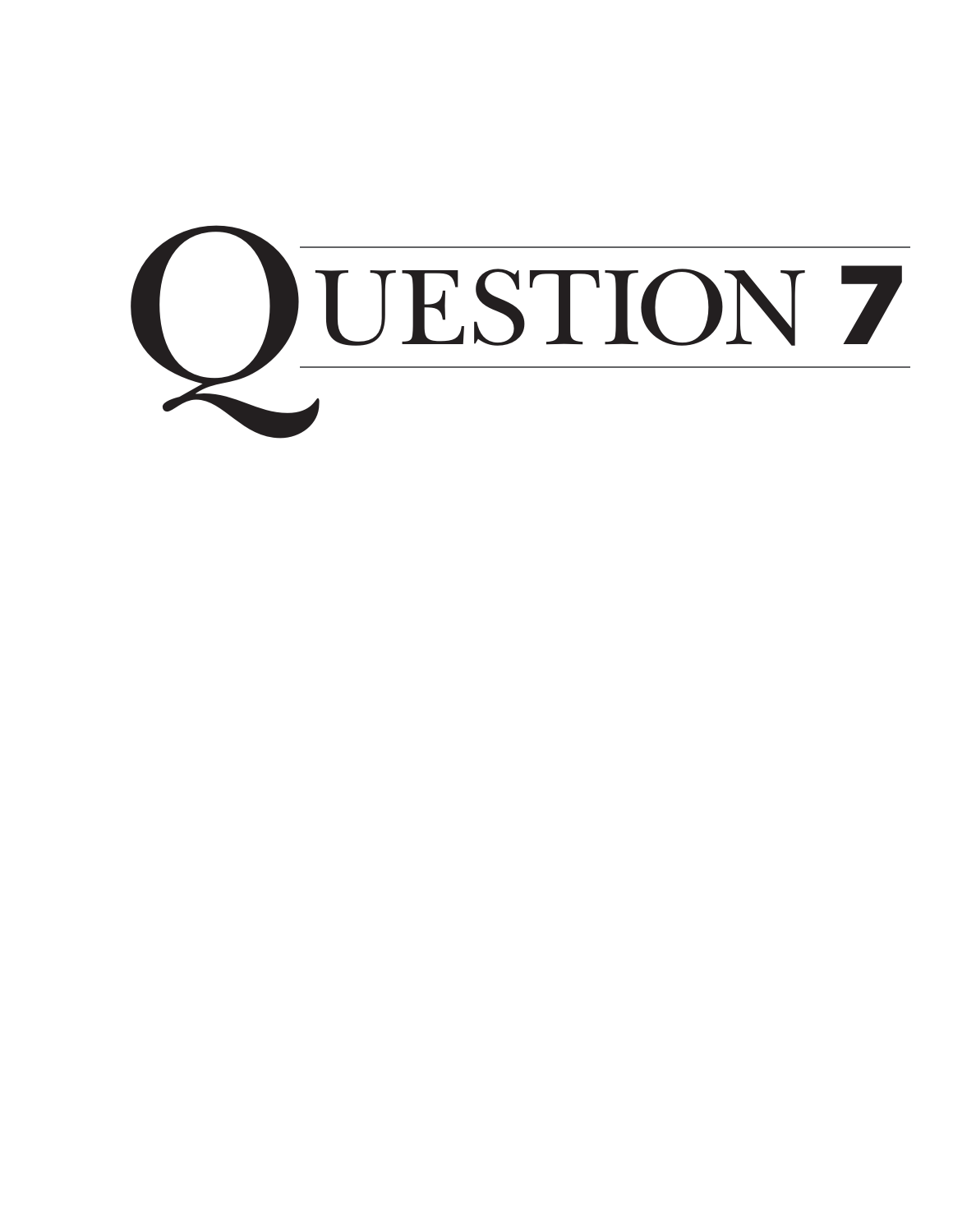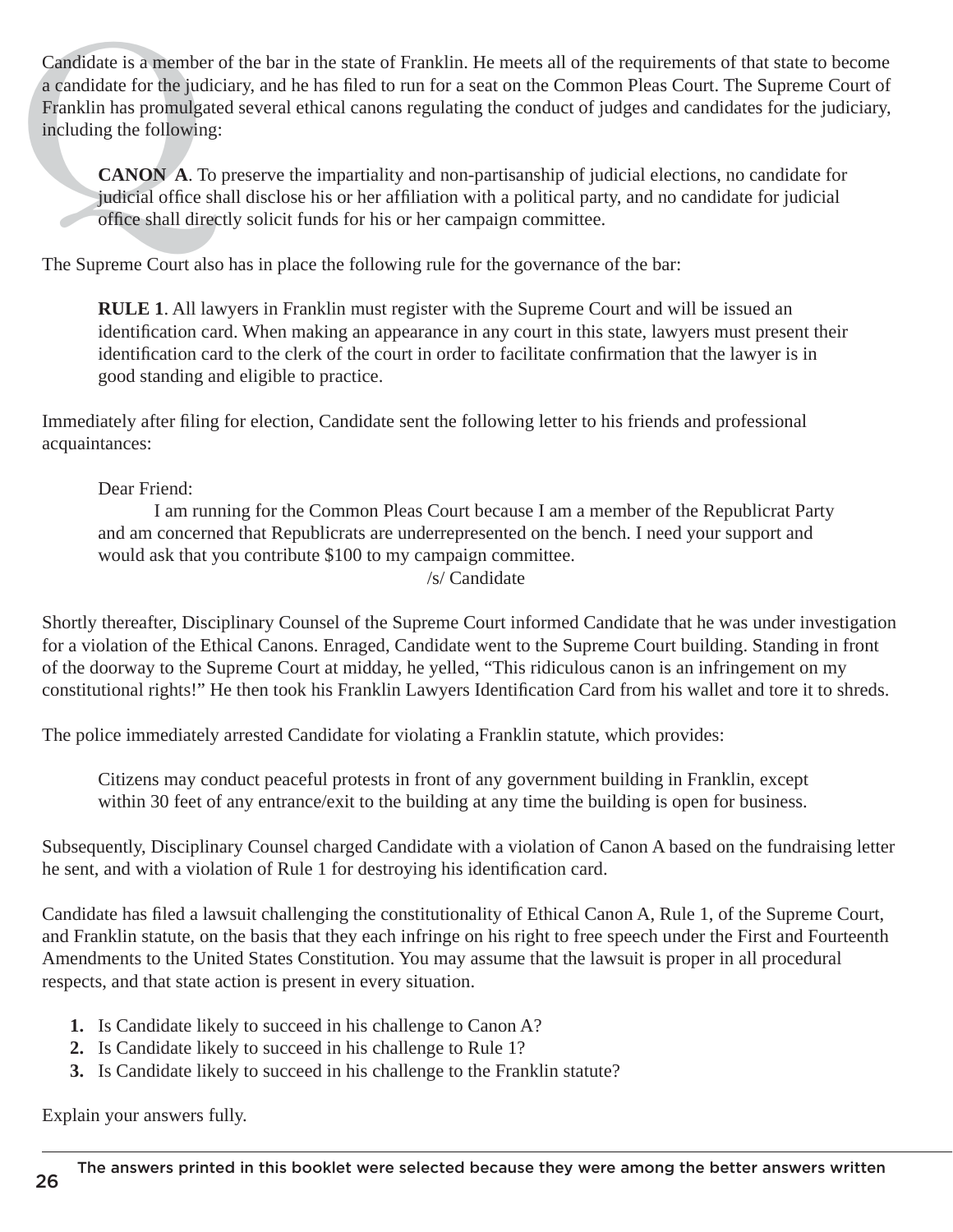Candidate is a member<br>a candidate for the jue<br>Franklin has promulg<br>including the followin<br>CANON A.<br>Lighting different produced in the produced of fice<br>office shall different Candidate is a member of the bar in the state of Franklin. He meets all of the requirements of that state to become a candidate for the judiciary, and he has filed to run for a seat on the Common Pleas Court. The Supreme Court of Franklin has promulgated several ethical canons regulating the conduct of judges and candidates for the judiciary, including the following:

**CANON A**. To preserve the impartiality and non-partisanship of judicial elections, no candidate for judicial office shall disclose his or her affiliation with a political party, and no candidate for judicial office shall directly solicit funds for his or her campaign committee.

The Supreme Court also has in place the following rule for the governance of the bar:

**RULE 1**. All lawyers in Franklin must register with the Supreme Court and will be issued an identification card. When making an appearance in any court in this state, lawyers must present their identification card to the clerk of the court in order to facilitate confirmation that the lawyer is in good standing and eligible to practice.

Immediately after filing for election, Candidate sent the following letter to his friends and professional acquaintances:

Dear Friend:

 I am running for the Common Pleas Court because I am a member of the Republicrat Party and am concerned that Republicrats are underrepresented on the bench. I need your support and would ask that you contribute \$100 to my campaign committee.

/s/ Candidate

Shortly thereafter, Disciplinary Counsel of the Supreme Court informed Candidate that he was under investigation for a violation of the Ethical Canons. Enraged, Candidate went to the Supreme Court building. Standing in front of the doorway to the Supreme Court at midday, he yelled, "This ridiculous canon is an infringement on my constitutional rights!" He then took his Franklin Lawyers Identification Card from his wallet and tore it to shreds.

The police immediately arrested Candidate for violating a Franklin statute, which provides:

Citizens may conduct peaceful protests in front of any government building in Franklin, except within 30 feet of any entrance/exit to the building at any time the building is open for business.

Subsequently, Disciplinary Counsel charged Candidate with a violation of Canon A based on the fundraising letter he sent, and with a violation of Rule 1 for destroying his identification card.

Candidate has filed a lawsuit challenging the constitutionality of Ethical Canon A, Rule 1, of the Supreme Court, and Franklin statute, on the basis that they each infringe on his right to free speech under the First and Fourteenth Amendments to the United States Constitution. You may assume that the lawsuit is proper in all procedural respects, and that state action is present in every situation.

- **1.** Is Candidate likely to succeed in his challenge to Canon A?
- **2.** Is Candidate likely to succeed in his challenge to Rule 1?
- **3.** Is Candidate likely to succeed in his challenge to the Franklin statute?

Explain your answers fully.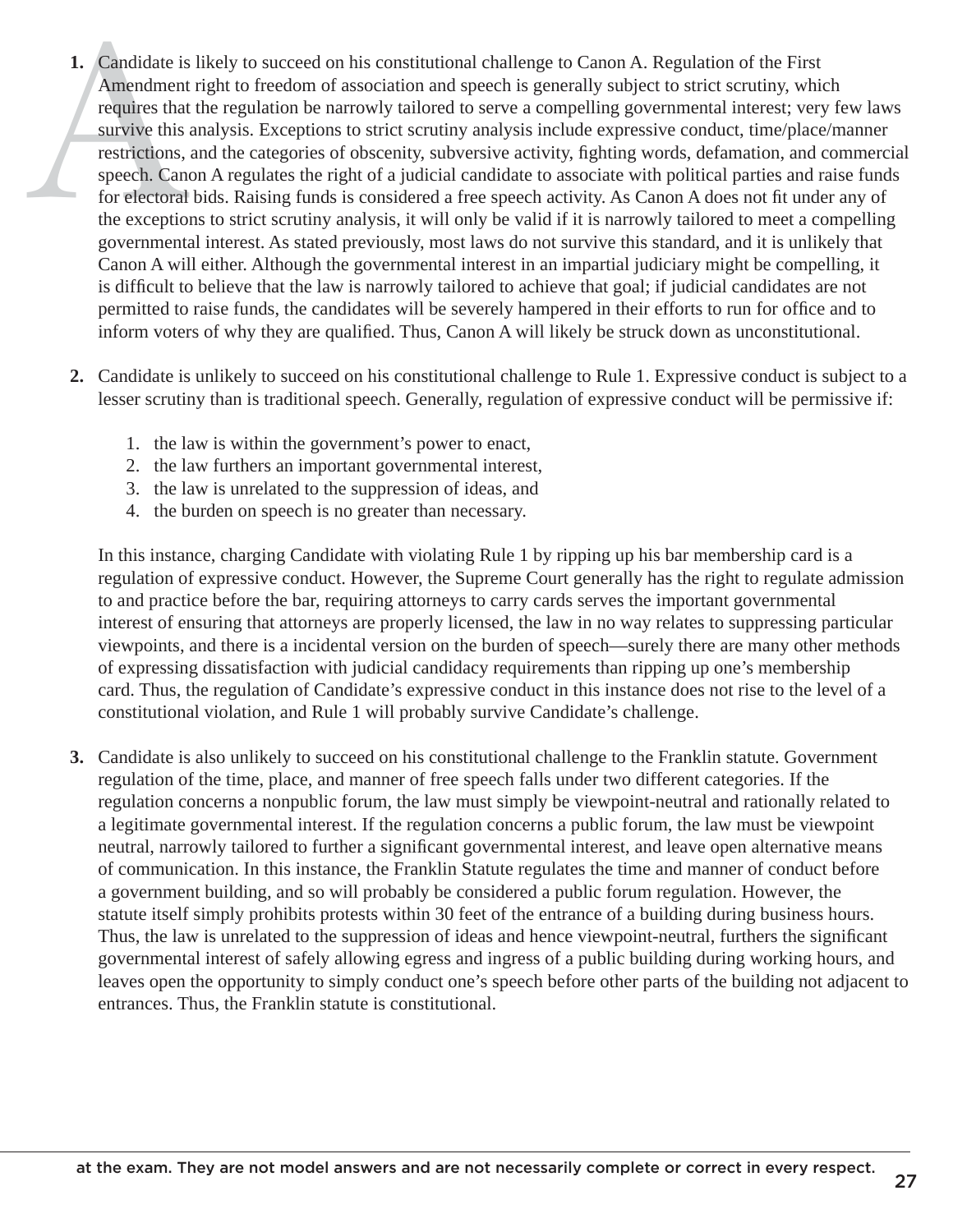- 1. Candidate i<br>Amendmen<br>requires tha<br>survive this<br>restrictions,<br>speech. Car<br>for electora<br>the exceptic<br>government **1.** Candidate is likely to succeed on his constitutional challenge to Canon A. Regulation of the First Amendment right to freedom of association and speech is generally subject to strict scrutiny, which requires that the regulation be narrowly tailored to serve a compelling governmental interest; very few laws survive this analysis. Exceptions to strict scrutiny analysis include expressive conduct, time/place/manner restrictions, and the categories of obscenity, subversive activity, fighting words, defamation, and commercial speech. Canon A regulates the right of a judicial candidate to associate with political parties and raise funds for electoral bids. Raising funds is considered a free speech activity. As Canon A does not fit under any of the exceptions to strict scrutiny analysis, it will only be valid if it is narrowly tailored to meet a compelling governmental interest. As stated previously, most laws do not survive this standard, and it is unlikely that Canon A will either. Although the governmental interest in an impartial judiciary might be compelling, it is difficult to believe that the law is narrowly tailored to achieve that goal; if judicial candidates are not permitted to raise funds, the candidates will be severely hampered in their efforts to run for office and to inform voters of why they are qualified. Thus, Canon A will likely be struck down as unconstitutional.
	- **2.** Candidate is unlikely to succeed on his constitutional challenge to Rule 1. Expressive conduct is subject to a lesser scrutiny than is traditional speech. Generally, regulation of expressive conduct will be permissive if:
		- 1. the law is within the government's power to enact,
		- 2. the law furthers an important governmental interest,
		- 3. the law is unrelated to the suppression of ideas, and
		- 4. the burden on speech is no greater than necessary.

In this instance, charging Candidate with violating Rule 1 by ripping up his bar membership card is a regulation of expressive conduct. However, the Supreme Court generally has the right to regulate admission to and practice before the bar, requiring attorneys to carry cards serves the important governmental interest of ensuring that attorneys are properly licensed, the law in no way relates to suppressing particular viewpoints, and there is a incidental version on the burden of speech—surely there are many other methods of expressing dissatisfaction with judicial candidacy requirements than ripping up one's membership card. Thus, the regulation of Candidate's expressive conduct in this instance does not rise to the level of a constitutional violation, and Rule 1 will probably survive Candidate's challenge.

**3.** Candidate is also unlikely to succeed on his constitutional challenge to the Franklin statute. Government regulation of the time, place, and manner of free speech falls under two different categories. If the regulation concerns a nonpublic forum, the law must simply be viewpoint-neutral and rationally related to a legitimate governmental interest. If the regulation concerns a public forum, the law must be viewpoint neutral, narrowly tailored to further a significant governmental interest, and leave open alternative means of communication. In this instance, the Franklin Statute regulates the time and manner of conduct before a government building, and so will probably be considered a public forum regulation. However, the statute itself simply prohibits protests within 30 feet of the entrance of a building during business hours. Thus, the law is unrelated to the suppression of ideas and hence viewpoint-neutral, furthers the significant governmental interest of safely allowing egress and ingress of a public building during working hours, and leaves open the opportunity to simply conduct one's speech before other parts of the building not adjacent to entrances. Thus, the Franklin statute is constitutional.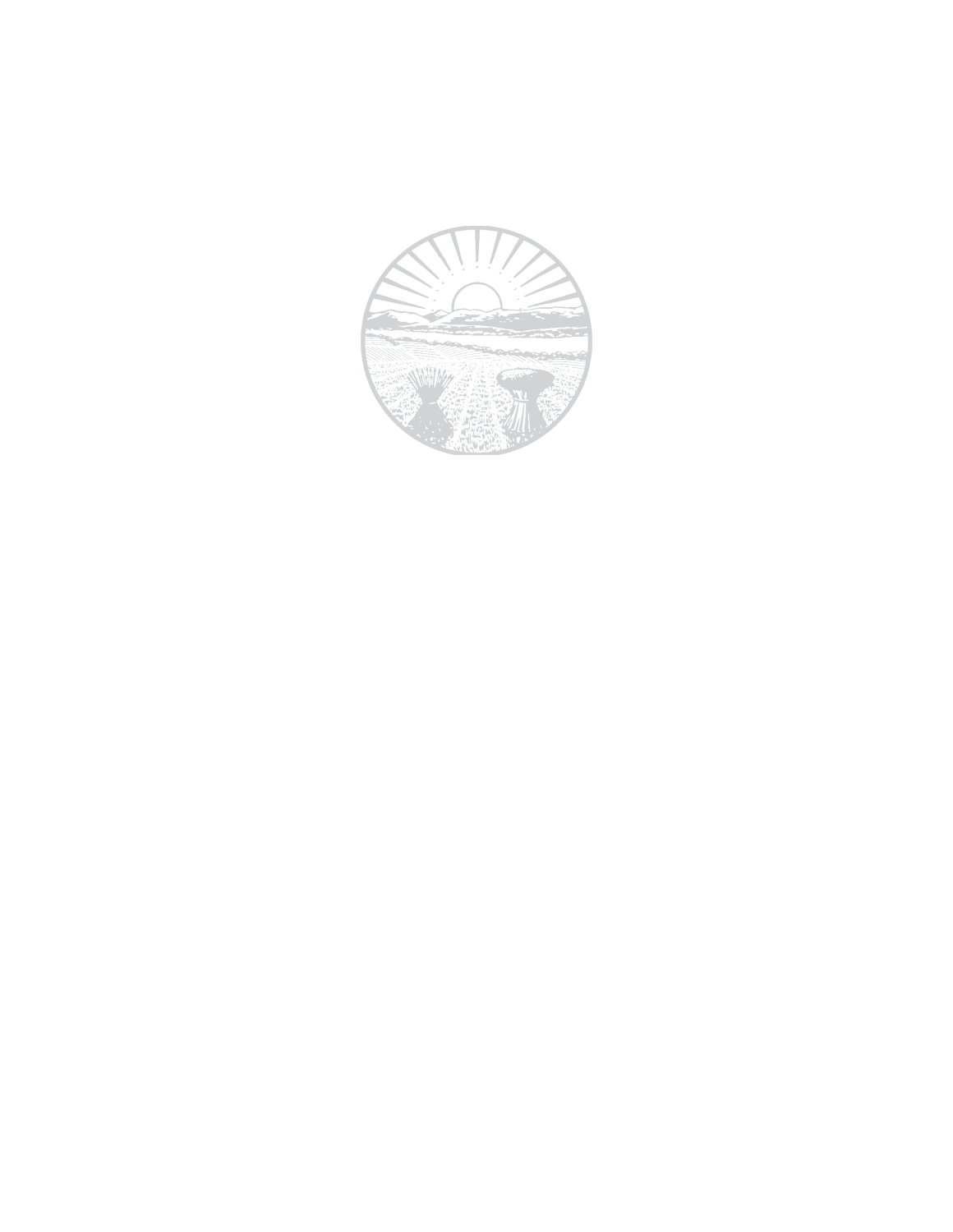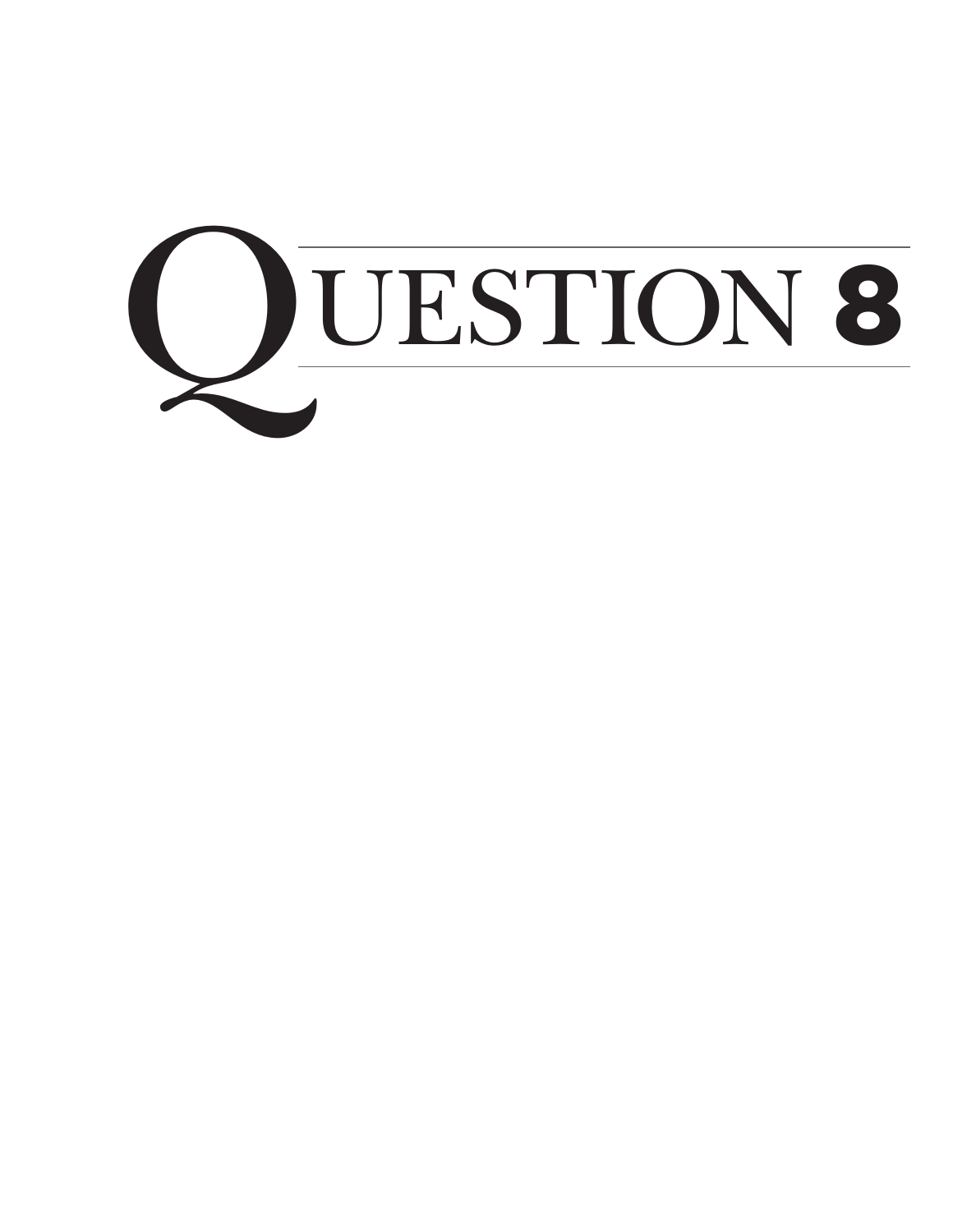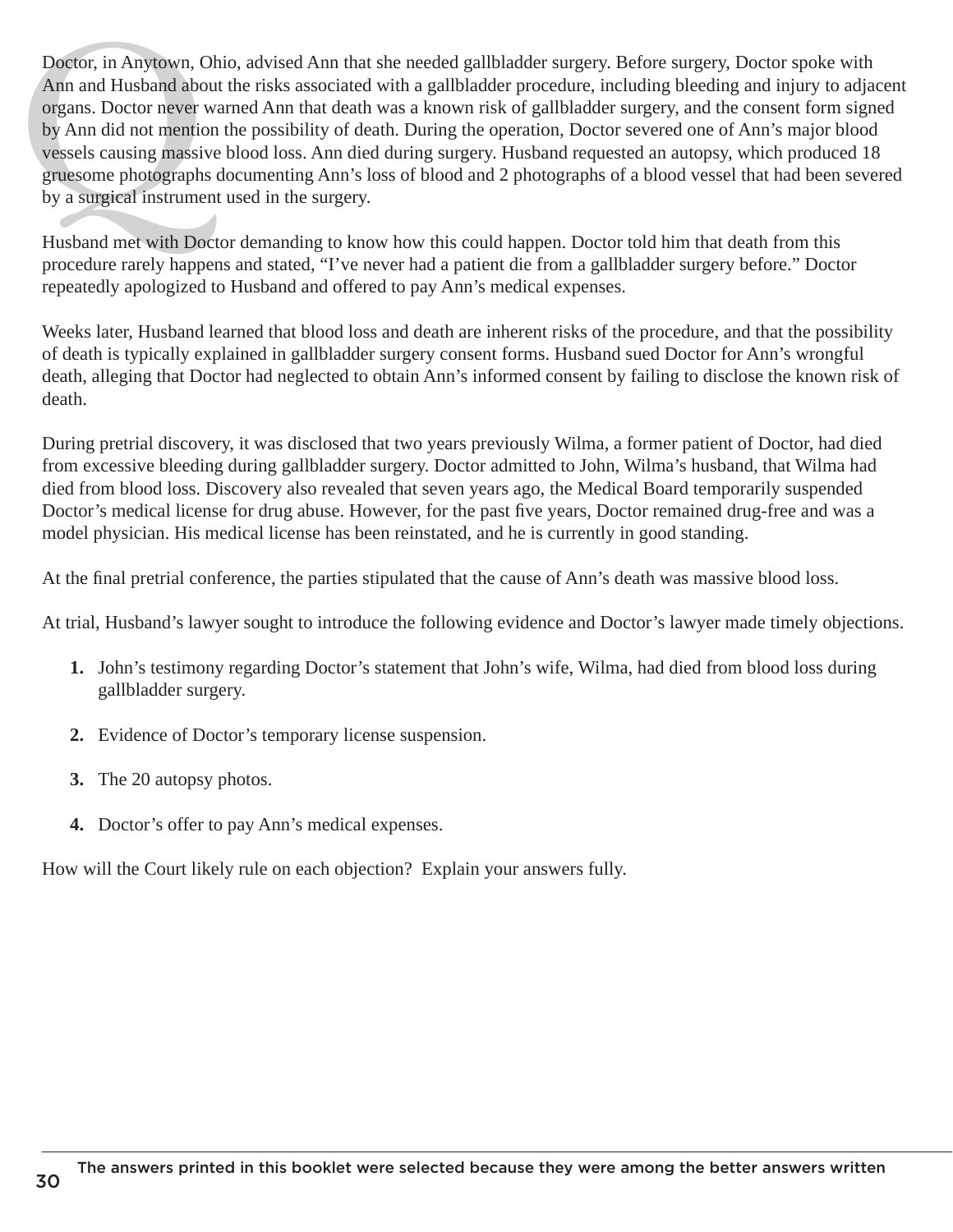Doctor, in Anytown, Contact Ann and Husband about approximate the original original versels causing mass<br>gruesome photograph<br>by a surgical instrument wessels causing massing<br>by a surgical instrument Husband met with Do Doctor, in Anytown, Ohio, advised Ann that she needed gallbladder surgery. Before surgery, Doctor spoke with Ann and Husband about the risks associated with a gallbladder procedure, including bleeding and injury to adjacent organs. Doctor never warned Ann that death was a known risk of gallbladder surgery, and the consent form signed by Ann did not mention the possibility of death. During the operation, Doctor severed one of Ann's major blood vessels causing massive blood loss. Ann died during surgery. Husband requested an autopsy, which produced 18 gruesome photographs documenting Ann's loss of blood and 2 photographs of a blood vessel that had been severed by a surgical instrument used in the surgery.

Husband met with Doctor demanding to know how this could happen. Doctor told him that death from this procedure rarely happens and stated, "I've never had a patient die from a gallbladder surgery before." Doctor repeatedly apologized to Husband and offered to pay Ann's medical expenses.

Weeks later, Husband learned that blood loss and death are inherent risks of the procedure, and that the possibility of death is typically explained in gallbladder surgery consent forms. Husband sued Doctor for Ann's wrongful death, alleging that Doctor had neglected to obtain Ann's informed consent by failing to disclose the known risk of death.

During pretrial discovery, it was disclosed that two years previously Wilma, a former patient of Doctor, had died from excessive bleeding during gallbladder surgery. Doctor admitted to John, Wilma's husband, that Wilma had died from blood loss. Discovery also revealed that seven years ago, the Medical Board temporarily suspended Doctor's medical license for drug abuse. However, for the past five years, Doctor remained drug-free and was a model physician. His medical license has been reinstated, and he is currently in good standing.

At the final pretrial conference, the parties stipulated that the cause of Ann's death was massive blood loss.

At trial, Husband's lawyer sought to introduce the following evidence and Doctor's lawyer made timely objections.

- **1.** John's testimony regarding Doctor's statement that John's wife, Wilma, had died from blood loss during gallbladder surgery.
- **2.** Evidence of Doctor's temporary license suspension.
- **3.** The 20 autopsy photos.
- **4.** Doctor's offer to pay Ann's medical expenses.

How will the Court likely rule on each objection? Explain your answers fully.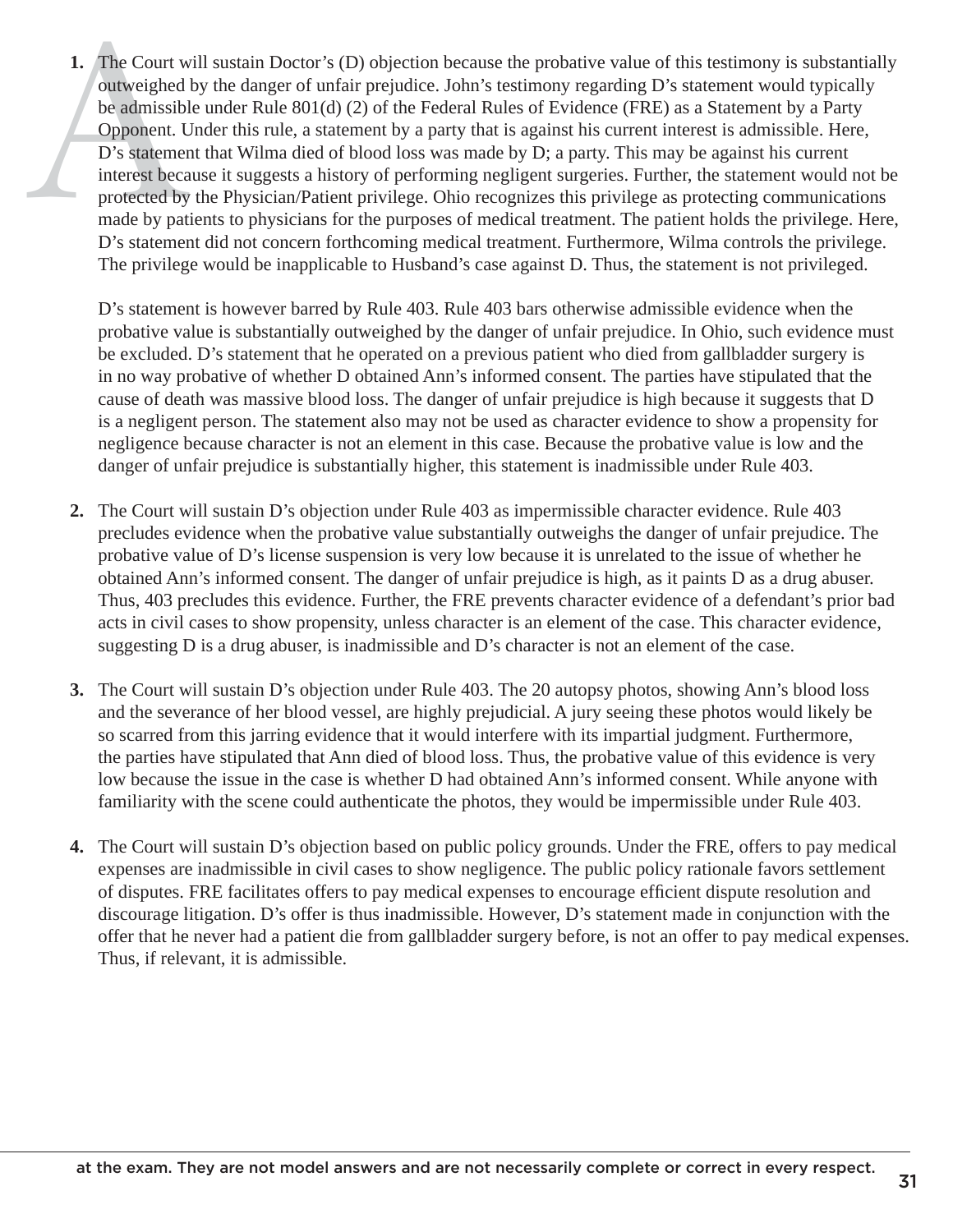1. The Court v<br>
outweighed<br>
be admissib<br>
Opponent. I<br>
D's stateme<br>
interest bec<br>
protected by<br>
made by pa<br>
D's stateme **1.** The Court will sustain Doctor's (D) objection because the probative value of this testimony is substantially outweighed by the danger of unfair prejudice. John's testimony regarding D's statement would typically be admissible under Rule 801(d) (2) of the Federal Rules of Evidence (FRE) as a Statement by a Party Opponent. Under this rule, a statement by a party that is against his current interest is admissible. Here, D's statement that Wilma died of blood loss was made by D; a party. This may be against his current interest because it suggests a history of performing negligent surgeries. Further, the statement would not be protected by the Physician/Patient privilege. Ohio recognizes this privilege as protecting communications made by patients to physicians for the purposes of medical treatment. The patient holds the privilege. Here, D's statement did not concern forthcoming medical treatment. Furthermore, Wilma controls the privilege. The privilege would be inapplicable to Husband's case against D. Thus, the statement is not privileged.

D's statement is however barred by Rule 403. Rule 403 bars otherwise admissible evidence when the probative value is substantially outweighed by the danger of unfair prejudice. In Ohio, such evidence must be excluded. D's statement that he operated on a previous patient who died from gallbladder surgery is in no way probative of whether D obtained Ann's informed consent. The parties have stipulated that the cause of death was massive blood loss. The danger of unfair prejudice is high because it suggests that D is a negligent person. The statement also may not be used as character evidence to show a propensity for negligence because character is not an element in this case. Because the probative value is low and the danger of unfair prejudice is substantially higher, this statement is inadmissible under Rule 403.

- **2.** The Court will sustain D's objection under Rule 403 as impermissible character evidence. Rule 403 precludes evidence when the probative value substantially outweighs the danger of unfair prejudice. The probative value of D's license suspension is very low because it is unrelated to the issue of whether he obtained Ann's informed consent. The danger of unfair prejudice is high, as it paints D as a drug abuser. Thus, 403 precludes this evidence. Further, the FRE prevents character evidence of a defendant's prior bad acts in civil cases to show propensity, unless character is an element of the case. This character evidence, suggesting D is a drug abuser, is inadmissible and D's character is not an element of the case.
- **3.** The Court will sustain D's objection under Rule 403. The 20 autopsy photos, showing Ann's blood loss and the severance of her blood vessel, are highly prejudicial. A jury seeing these photos would likely be so scarred from this jarring evidence that it would interfere with its impartial judgment. Furthermore, the parties have stipulated that Ann died of blood loss. Thus, the probative value of this evidence is very low because the issue in the case is whether D had obtained Ann's informed consent. While anyone with familiarity with the scene could authenticate the photos, they would be impermissible under Rule 403.
- **4.** The Court will sustain D's objection based on public policy grounds. Under the FRE, offers to pay medical expenses are inadmissible in civil cases to show negligence. The public policy rationale favors settlement of disputes. FRE facilitates offers to pay medical expenses to encourage efficient dispute resolution and discourage litigation. D's offer is thus inadmissible. However, D's statement made in conjunction with the offer that he never had a patient die from gallbladder surgery before, is not an offer to pay medical expenses. Thus, if relevant, it is admissible.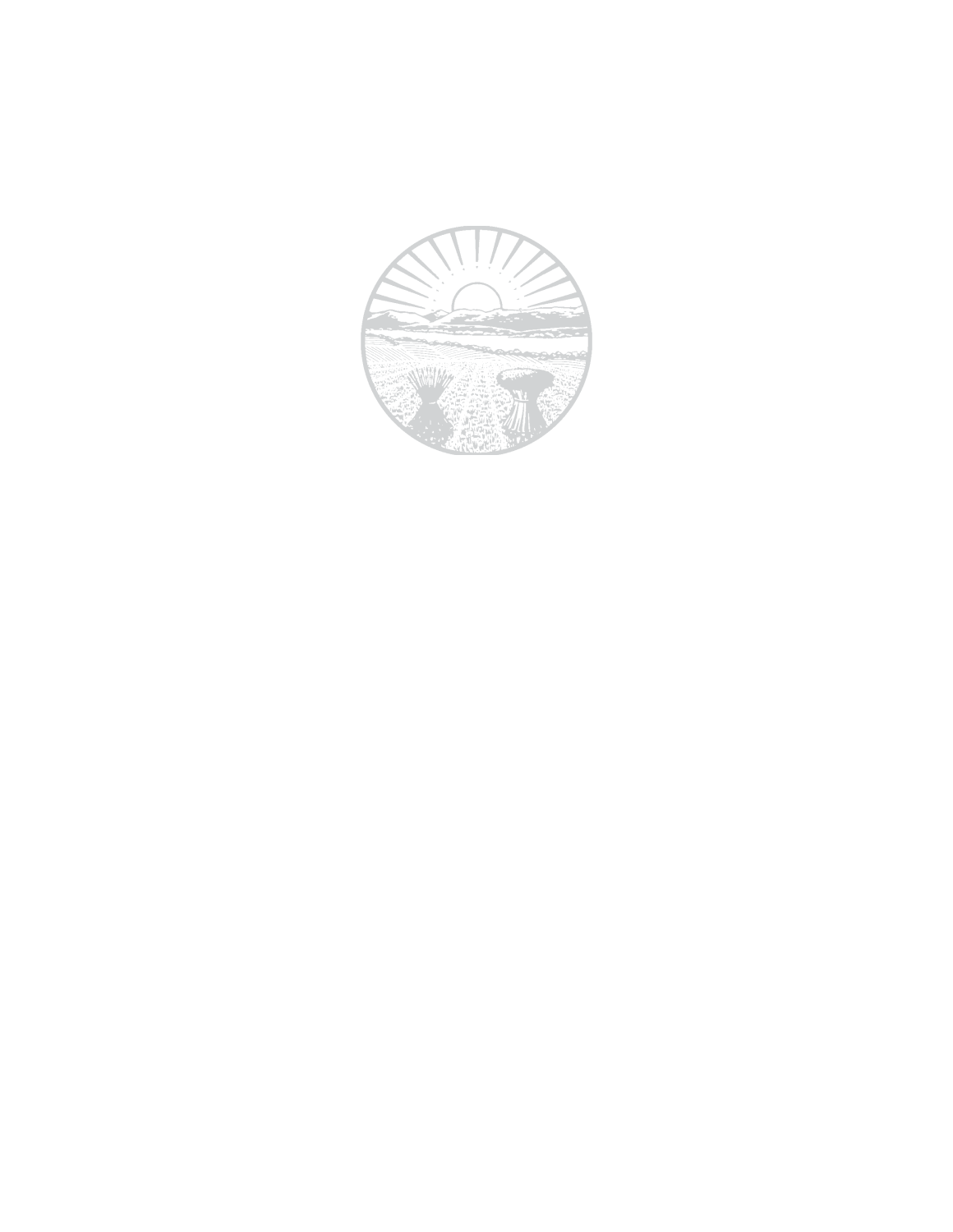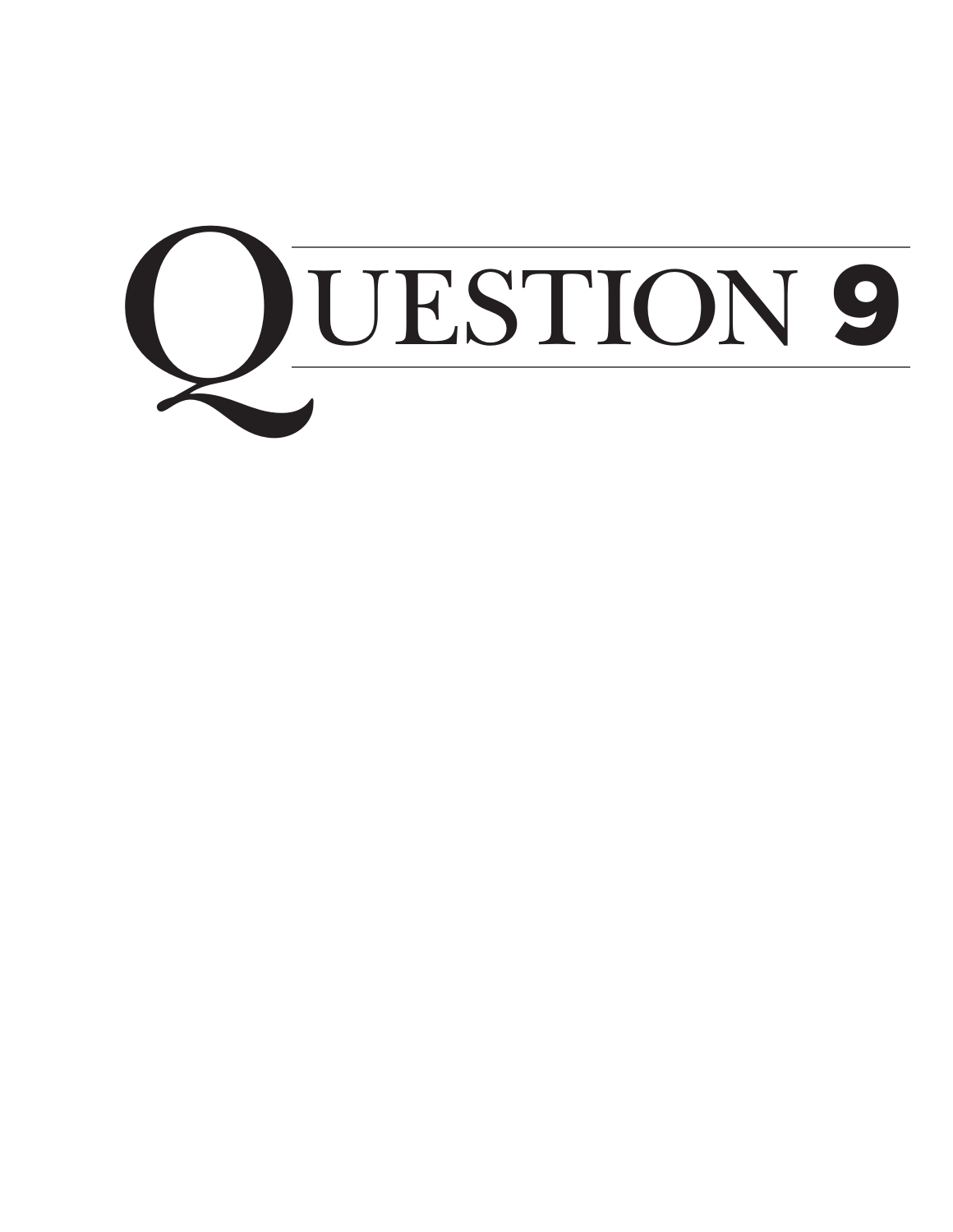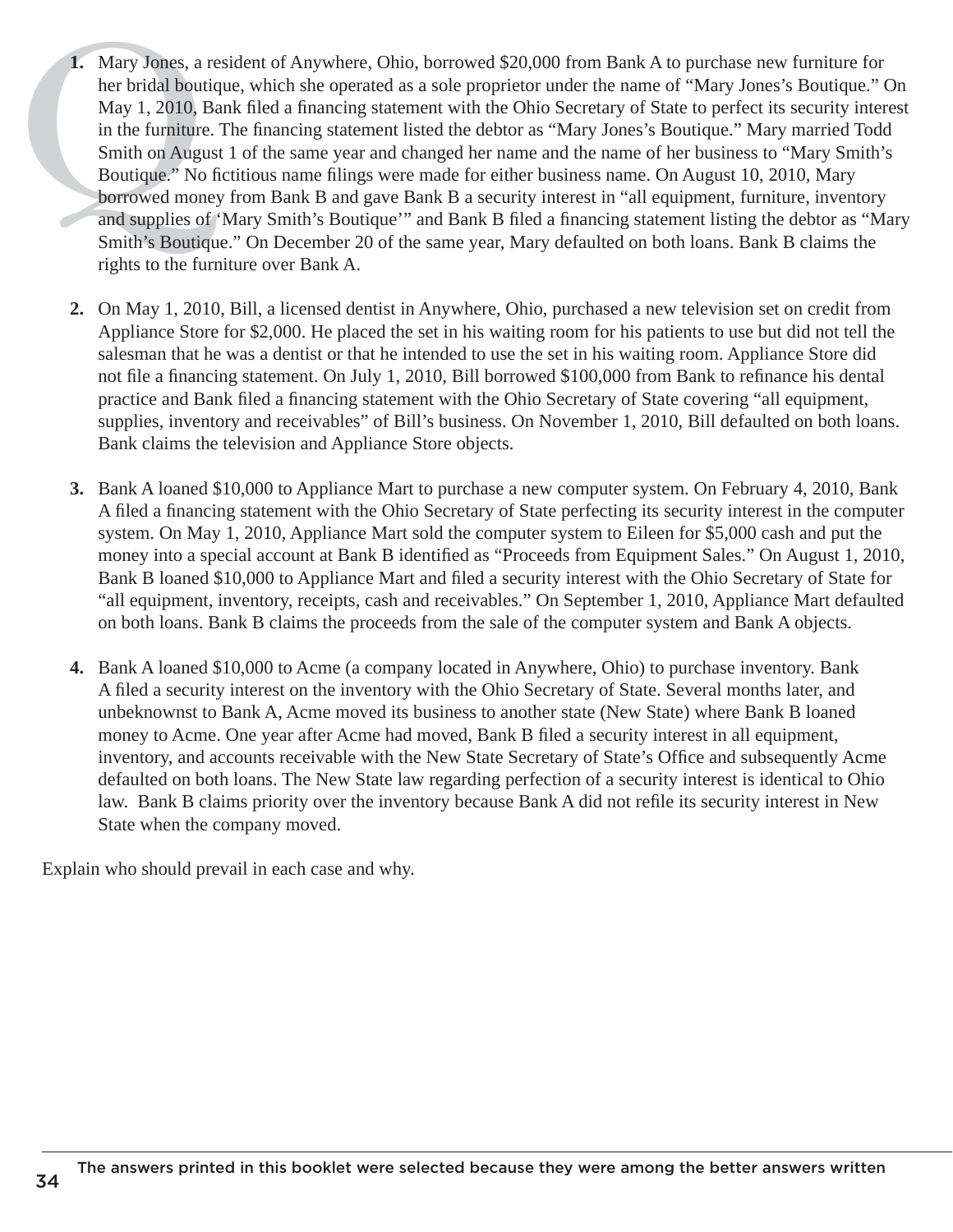- 1. Mary Jones, a<br>her bridal bou<br>May 1, 2010,<br>in the furnitur<br>Smith on Aug<br>Boutique." No<br>borrowed mon<br>and supplies c<br>Smith's Bouti **1.** Mary Jones, a resident of Anywhere, Ohio, borrowed \$20,000 from Bank A to purchase new furniture for her bridal boutique, which she operated as a sole proprietor under the name of "Mary Jones's Boutique." On May 1, 2010, Bank filed a financing statement with the Ohio Secretary of State to perfect its security interest in the furniture. The financing statement listed the debtor as "Mary Jones's Boutique." Mary married Todd Smith on August 1 of the same year and changed her name and the name of her business to "Mary Smith's Boutique." No fictitious name filings were made for either business name. On August 10, 2010, Mary borrowed money from Bank B and gave Bank B a security interest in "all equipment, furniture, inventory and supplies of 'Mary Smith's Boutique'" and Bank B filed a financing statement listing the debtor as "Mary Smith's Boutique." On December 20 of the same year, Mary defaulted on both loans. Bank B claims the rights to the furniture over Bank A.
	- **2.** On May 1, 2010, Bill, a licensed dentist in Anywhere, Ohio, purchased a new television set on credit from Appliance Store for \$2,000. He placed the set in his waiting room for his patients to use but did not tell the salesman that he was a dentist or that he intended to use the set in his waiting room. Appliance Store did not file a financing statement. On July 1, 2010, Bill borrowed \$100,000 from Bank to refinance his dental practice and Bank filed a financing statement with the Ohio Secretary of State covering "all equipment, supplies, inventory and receivables" of Bill's business. On November 1, 2010, Bill defaulted on both loans. Bank claims the television and Appliance Store objects.
	- **3.** Bank A loaned \$10,000 to Appliance Mart to purchase a new computer system. On February 4, 2010, Bank A filed a financing statement with the Ohio Secretary of State perfecting its security interest in the computer system. On May 1, 2010, Appliance Mart sold the computer system to Eileen for \$5,000 cash and put the money into a special account at Bank B identified as "Proceeds from Equipment Sales." On August 1, 2010, Bank B loaned \$10,000 to Appliance Mart and filed a security interest with the Ohio Secretary of State for "all equipment, inventory, receipts, cash and receivables." On September 1, 2010, Appliance Mart defaulted on both loans. Bank B claims the proceeds from the sale of the computer system and Bank A objects.
	- **4.** Bank A loaned \$10,000 to Acme (a company located in Anywhere, Ohio) to purchase inventory. Bank A filed a security interest on the inventory with the Ohio Secretary of State. Several months later, and unbeknownst to Bank A, Acme moved its business to another state (New State) where Bank B loaned money to Acme. One year after Acme had moved, Bank B filed a security interest in all equipment, inventory, and accounts receivable with the New State Secretary of State's Office and subsequently Acme defaulted on both loans. The New State law regarding perfection of a security interest is identical to Ohio law. Bank B claims priority over the inventory because Bank A did not refile its security interest in New State when the company moved.

Explain who should prevail in each case and why.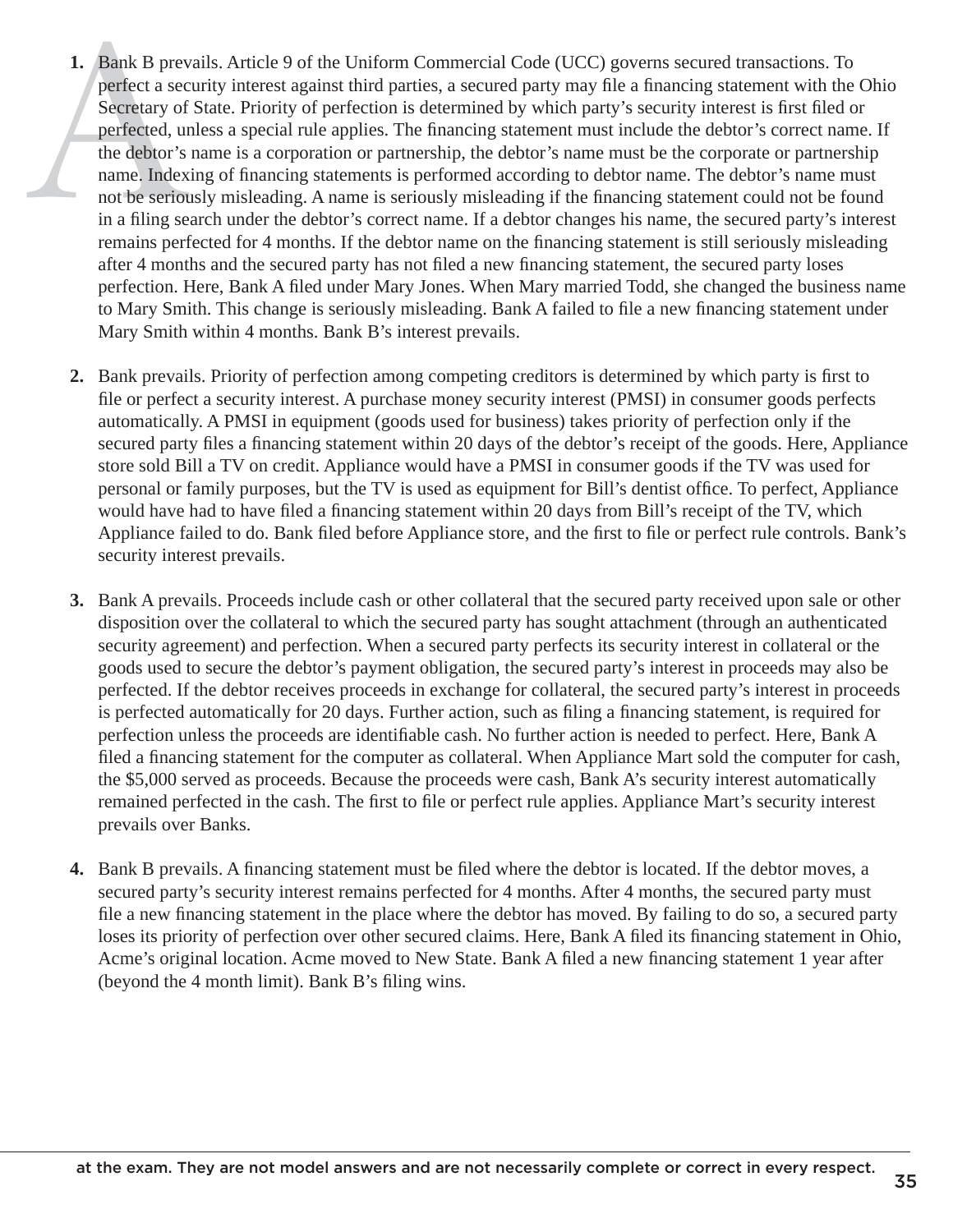- 1. Bank B pre<br>perfect a sex<br>Secretary of<br>perfected, u<br>the debtor's<br>name. Index<br>not be serio<br>in a filing sex<br>remains per **1.** Bank B prevails. Article 9 of the Uniform Commercial Code (UCC) governs secured transactions. To perfect a security interest against third parties, a secured party may file a financing statement with the Ohio Secretary of State. Priority of perfection is determined by which party's security interest is first filed or perfected, unless a special rule applies. The financing statement must include the debtor's correct name. If the debtor's name is a corporation or partnership, the debtor's name must be the corporate or partnership name. Indexing of financing statements is performed according to debtor name. The debtor's name must not be seriously misleading. A name is seriously misleading if the financing statement could not be found in a filing search under the debtor's correct name. If a debtor changes his name, the secured party's interest remains perfected for 4 months. If the debtor name on the financing statement is still seriously misleading after 4 months and the secured party has not filed a new financing statement, the secured party loses perfection. Here, Bank A filed under Mary Jones. When Mary married Todd, she changed the business name to Mary Smith. This change is seriously misleading. Bank A failed to file a new financing statement under Mary Smith within 4 months. Bank B's interest prevails.
	- 2. Bank prevails. Priority of perfection among competing creditors is determined by which party is first to file or perfect a security interest. A purchase money security interest (PMSI) in consumer goods perfects automatically. A PMSI in equipment (goods used for business) takes priority of perfection only if the secured party files a financing statement within 20 days of the debtor's receipt of the goods. Here, Appliance store sold Bill a TV on credit. Appliance would have a PMSI in consumer goods if the TV was used for personal or family purposes, but the TV is used as equipment for Bill's dentist office. To perfect, Appliance would have had to have filed a financing statement within 20 days from Bill's receipt of the TV, which Appliance failed to do. Bank filed before Appliance store, and the first to file or perfect rule controls. Bank's security interest prevails.
	- **3.** Bank A prevails. Proceeds include cash or other collateral that the secured party received upon sale or other disposition over the collateral to which the secured party has sought attachment (through an authenticated security agreement) and perfection. When a secured party perfects its security interest in collateral or the goods used to secure the debtor's payment obligation, the secured party's interest in proceeds may also be perfected. If the debtor receives proceeds in exchange for collateral, the secured party's interest in proceeds is perfected automatically for 20 days. Further action, such as filing a financing statement, is required for perfection unless the proceeds are identifiable cash. No further action is needed to perfect. Here, Bank A filed a financing statement for the computer as collateral. When Appliance Mart sold the computer for cash, the \$5,000 served as proceeds. Because the proceeds were cash, Bank A's security interest automatically remained perfected in the cash. The first to file or perfect rule applies. Appliance Mart's security interest prevails over Banks.
	- **4.** Bank B prevails. A financing statement must be filed where the debtor is located. If the debtor moves, a secured party's security interest remains perfected for 4 months. After 4 months, the secured party must file a new financing statement in the place where the debtor has moved. By failing to do so, a secured party loses its priority of perfection over other secured claims. Here, Bank A filed its financing statement in Ohio, Acme's original location. Acme moved to New State. Bank A filed a new financing statement 1 year after (beyond the 4 month limit). Bank  $B$ 's filing wins.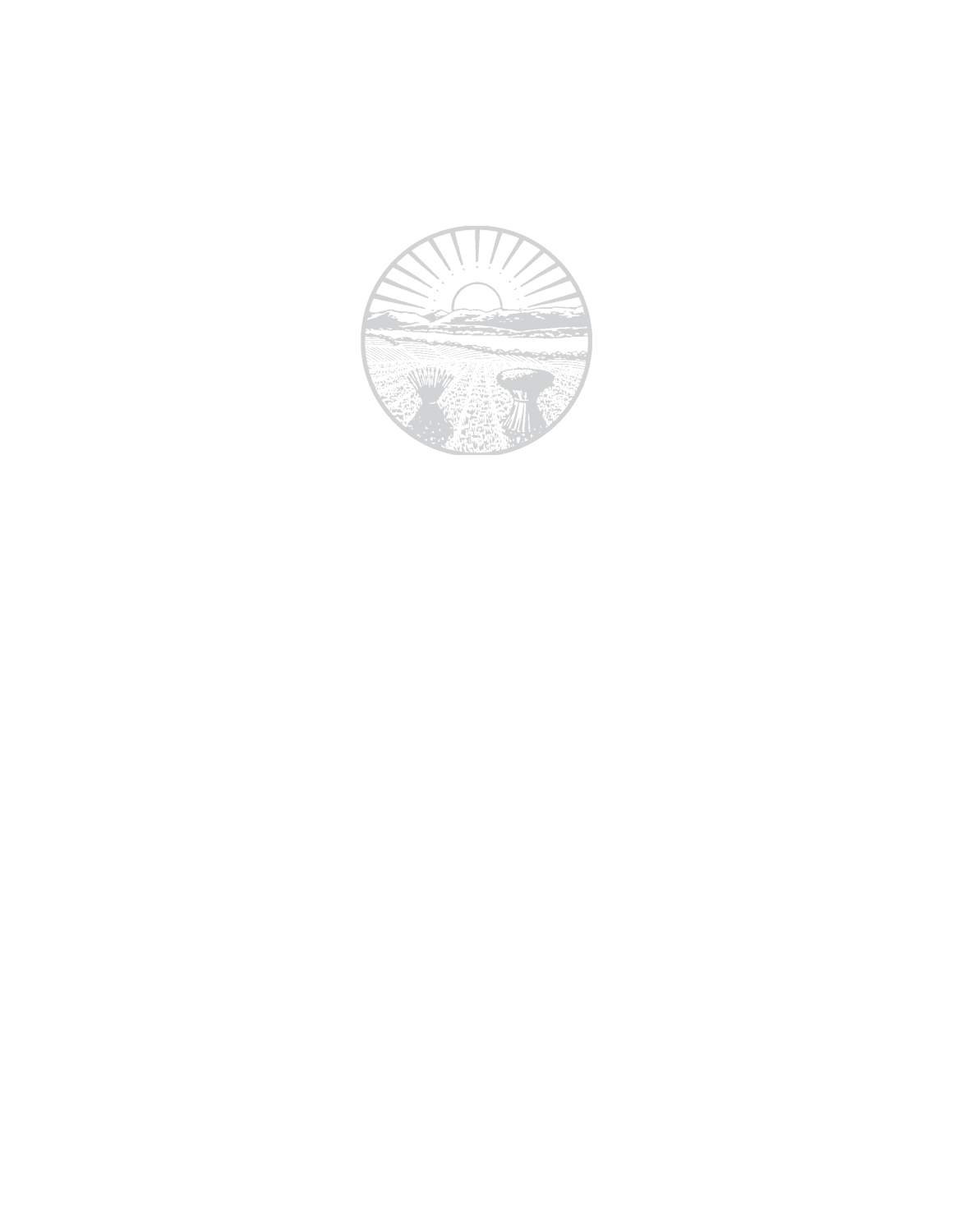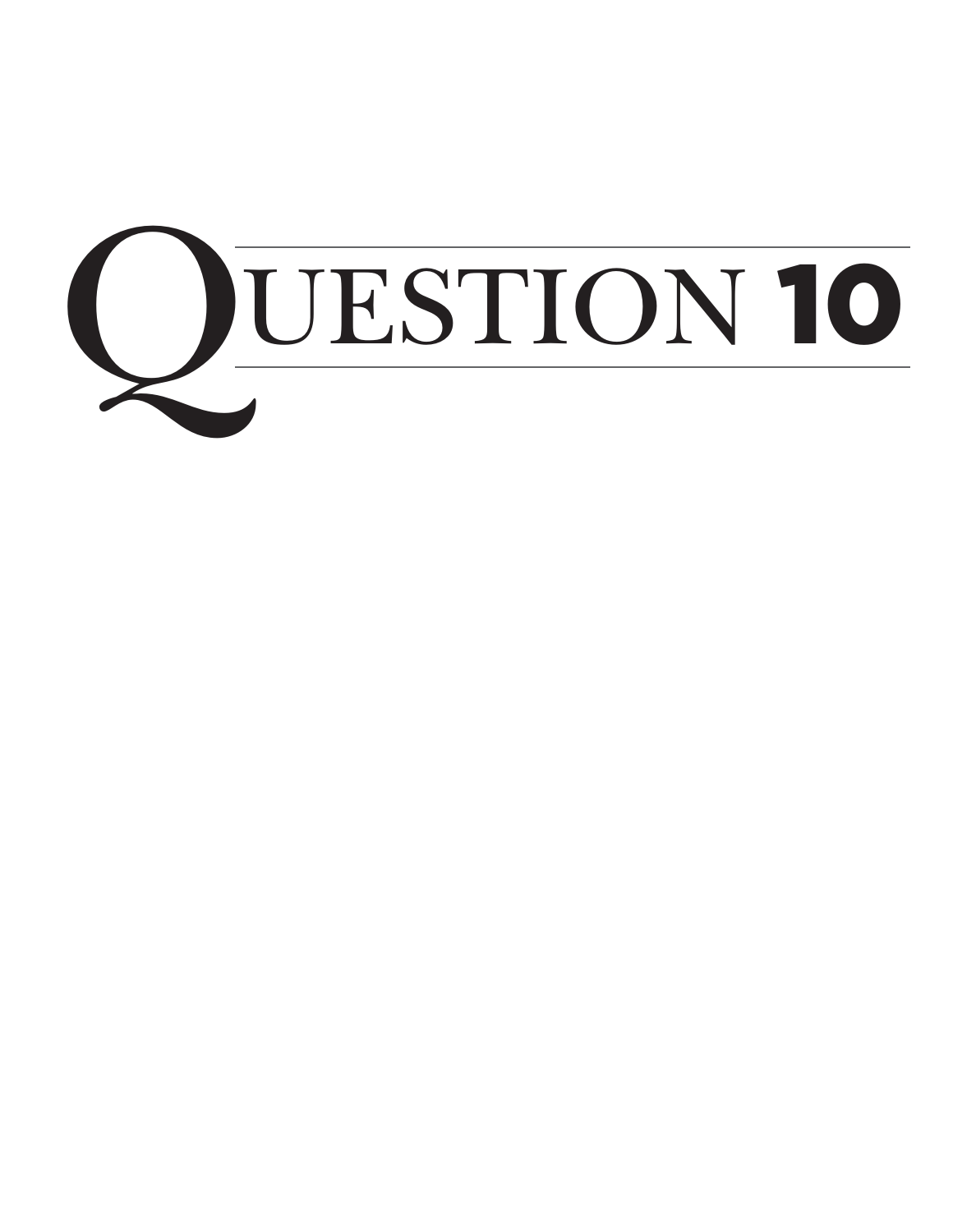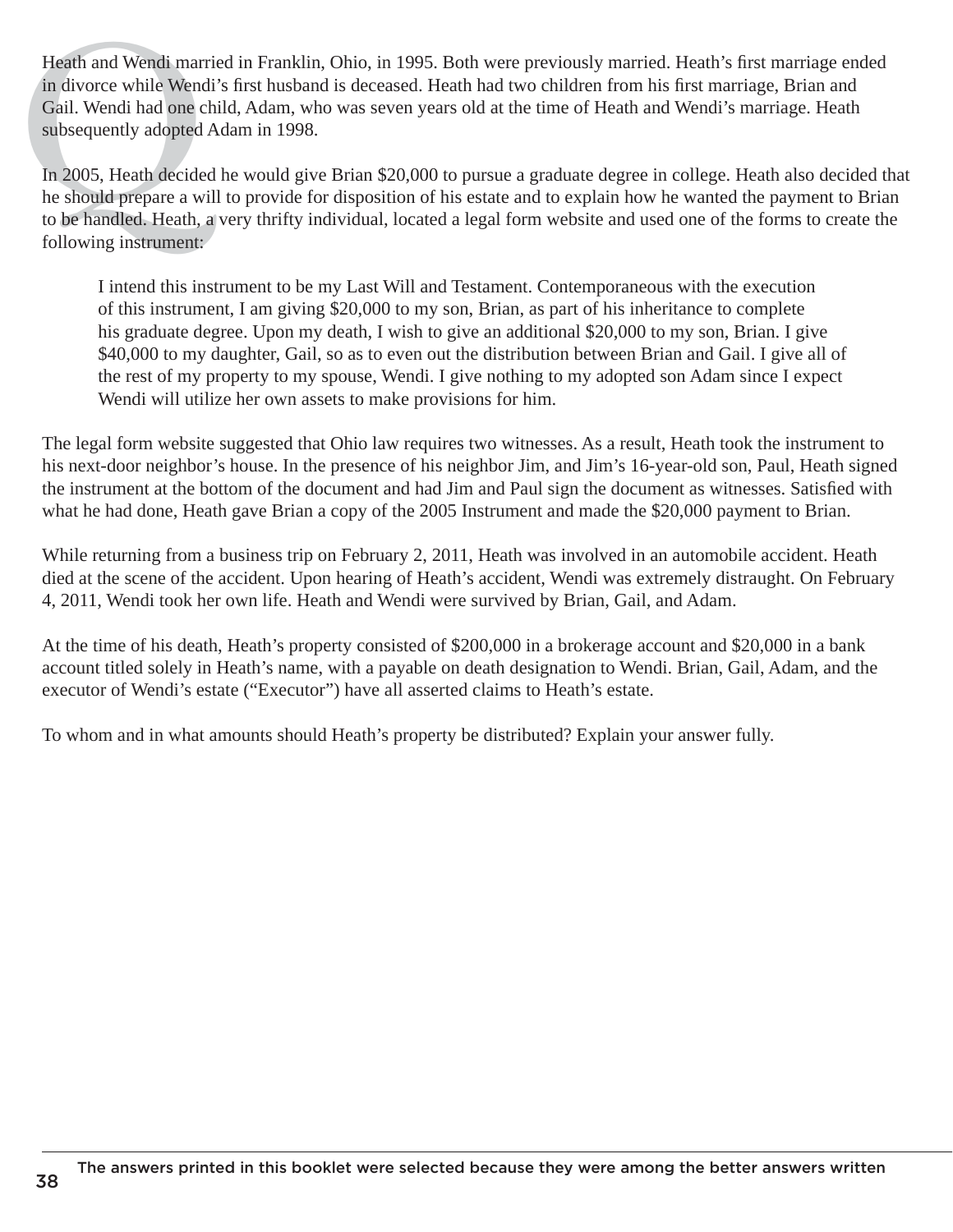Heath and Wendi man<br>in divorce while Wen<br>Gail. Wendi had one<br>subsequently adopted<br>In 2005, Heath decide<br>he should prepare a w<br>to be handled. Heath,<br>following instrument Heath and Wendi married in Franklin, Ohio, in 1995. Both were previously married. Heath's first marriage ended in divorce while Wendi's first husband is deceased. Heath had two children from his first marriage, Brian and Gail. Wendi had one child, Adam, who was seven years old at the time of Heath and Wendi's marriage. Heath subsequently adopted Adam in 1998.

In 2005, Heath decided he would give Brian \$20,000 to pursue a graduate degree in college. Heath also decided that he should prepare a will to provide for disposition of his estate and to explain how he wanted the payment to Brian to be handled. Heath, a very thrifty individual, located a legal form website and used one of the forms to create the following instrument:

I intend this instrument to be my Last Will and Testament. Contemporaneous with the execution of this instrument, I am giving \$20,000 to my son, Brian, as part of his inheritance to complete his graduate degree. Upon my death, I wish to give an additional \$20,000 to my son, Brian. I give \$40,000 to my daughter, Gail, so as to even out the distribution between Brian and Gail. I give all of the rest of my property to my spouse, Wendi. I give nothing to my adopted son Adam since I expect Wendi will utilize her own assets to make provisions for him.

The legal form website suggested that Ohio law requires two witnesses. As a result, Heath took the instrument to his next-door neighbor's house. In the presence of his neighbor Jim, and Jim's 16-year-old son, Paul, Heath signed the instrument at the bottom of the document and had Jim and Paul sign the document as witnesses. Satisfied with what he had done, Heath gave Brian a copy of the 2005 Instrument and made the \$20,000 payment to Brian.

While returning from a business trip on February 2, 2011, Heath was involved in an automobile accident. Heath died at the scene of the accident. Upon hearing of Heath's accident, Wendi was extremely distraught. On February 4, 2011, Wendi took her own life. Heath and Wendi were survived by Brian, Gail, and Adam.

At the time of his death, Heath's property consisted of \$200,000 in a brokerage account and \$20,000 in a bank account titled solely in Heath's name, with a payable on death designation to Wendi. Brian, Gail, Adam, and the executor of Wendi's estate ("Executor") have all asserted claims to Heath's estate.

To whom and in what amounts should Heath's property be distributed? Explain your answer fully.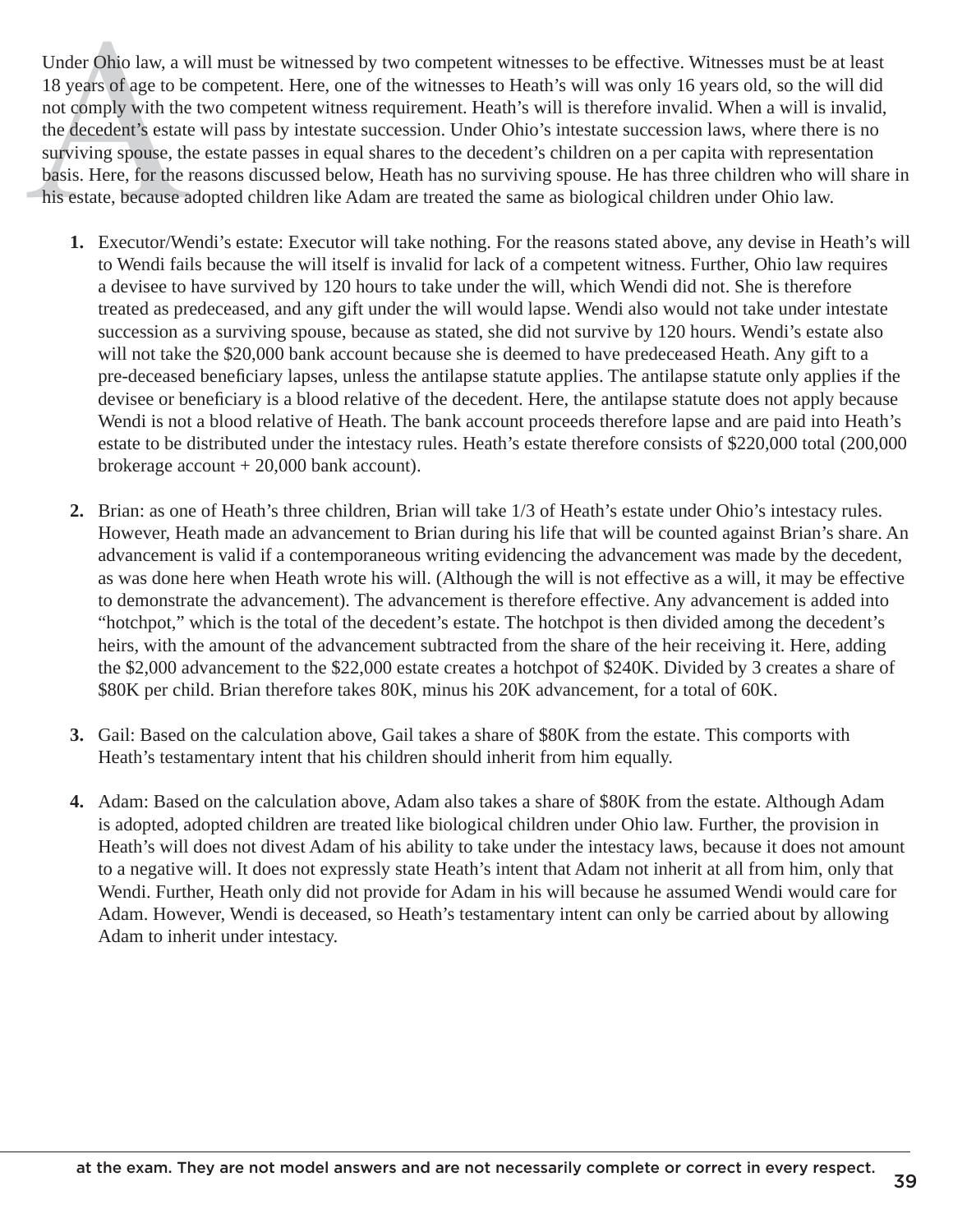Under Ohio law, a<br>18 years of age to b<br>not comply with the<br>the decedent's estat<br>surviving spouse, the<br>basis. Here, for the<br>his estate, because<br>1. Executor/W Under Ohio law, a will must be witnessed by two competent witnesses to be effective. Witnesses must be at least 18 years of age to be competent. Here, one of the witnesses to Heath's will was only 16 years old, so the will did not comply with the two competent witness requirement. Heath's will is therefore invalid. When a will is invalid, the decedent's estate will pass by intestate succession. Under Ohio's intestate succession laws, where there is no surviving spouse, the estate passes in equal shares to the decedent's children on a per capita with representation basis. Here, for the reasons discussed below, Heath has no surviving spouse. He has three children who will share in his estate, because adopted children like Adam are treated the same as biological children under Ohio law.

- **1.** Executor/Wendi's estate: Executor will take nothing. For the reasons stated above, any devise in Heath's will to Wendi fails because the will itself is invalid for lack of a competent witness. Further, Ohio law requires a devisee to have survived by 120 hours to take under the will, which Wendi did not. She is therefore treated as predeceased, and any gift under the will would lapse. Wendi also would not take under intestate succession as a surviving spouse, because as stated, she did not survive by 120 hours. Wendi's estate also will not take the \$20,000 bank account because she is deemed to have predeceased Heath. Any gift to a pre-deceased beneficiary lapses, unless the antilapse statute applies. The antilapse statute only applies if the devisee or beneficiary is a blood relative of the decedent. Here, the antilapse statute does not apply because Wendi is not a blood relative of Heath. The bank account proceeds therefore lapse and are paid into Heath's estate to be distributed under the intestacy rules. Heath's estate therefore consists of \$220,000 total (200,000 brokerage  $account + 20,000$  bank  $account$ ).
- **2.** Brian: as one of Heath's three children, Brian will take 1/3 of Heath's estate under Ohio's intestacy rules. However, Heath made an advancement to Brian during his life that will be counted against Brian's share. An advancement is valid if a contemporaneous writing evidencing the advancement was made by the decedent, as was done here when Heath wrote his will. (Although the will is not effective as a will, it may be effective to demonstrate the advancement). The advancement is therefore effective. Any advancement is added into "hotchpot," which is the total of the decedent's estate. The hotchpot is then divided among the decedent's heirs, with the amount of the advancement subtracted from the share of the heir receiving it. Here, adding the \$2,000 advancement to the \$22,000 estate creates a hotchpot of \$240K. Divided by 3 creates a share of \$80K per child. Brian therefore takes 80K, minus his 20K advancement, for a total of 60K.
- **3.** Gail: Based on the calculation above, Gail takes a share of \$80K from the estate. This comports with Heath's testamentary intent that his children should inherit from him equally.
- **4.** Adam: Based on the calculation above, Adam also takes a share of \$80K from the estate. Although Adam is adopted, adopted children are treated like biological children under Ohio law. Further, the provision in Heath's will does not divest Adam of his ability to take under the intestacy laws, because it does not amount to a negative will. It does not expressly state Heath's intent that Adam not inherit at all from him, only that Wendi. Further, Heath only did not provide for Adam in his will because he assumed Wendi would care for Adam. However, Wendi is deceased, so Heath's testamentary intent can only be carried about by allowing Adam to inherit under intestacy.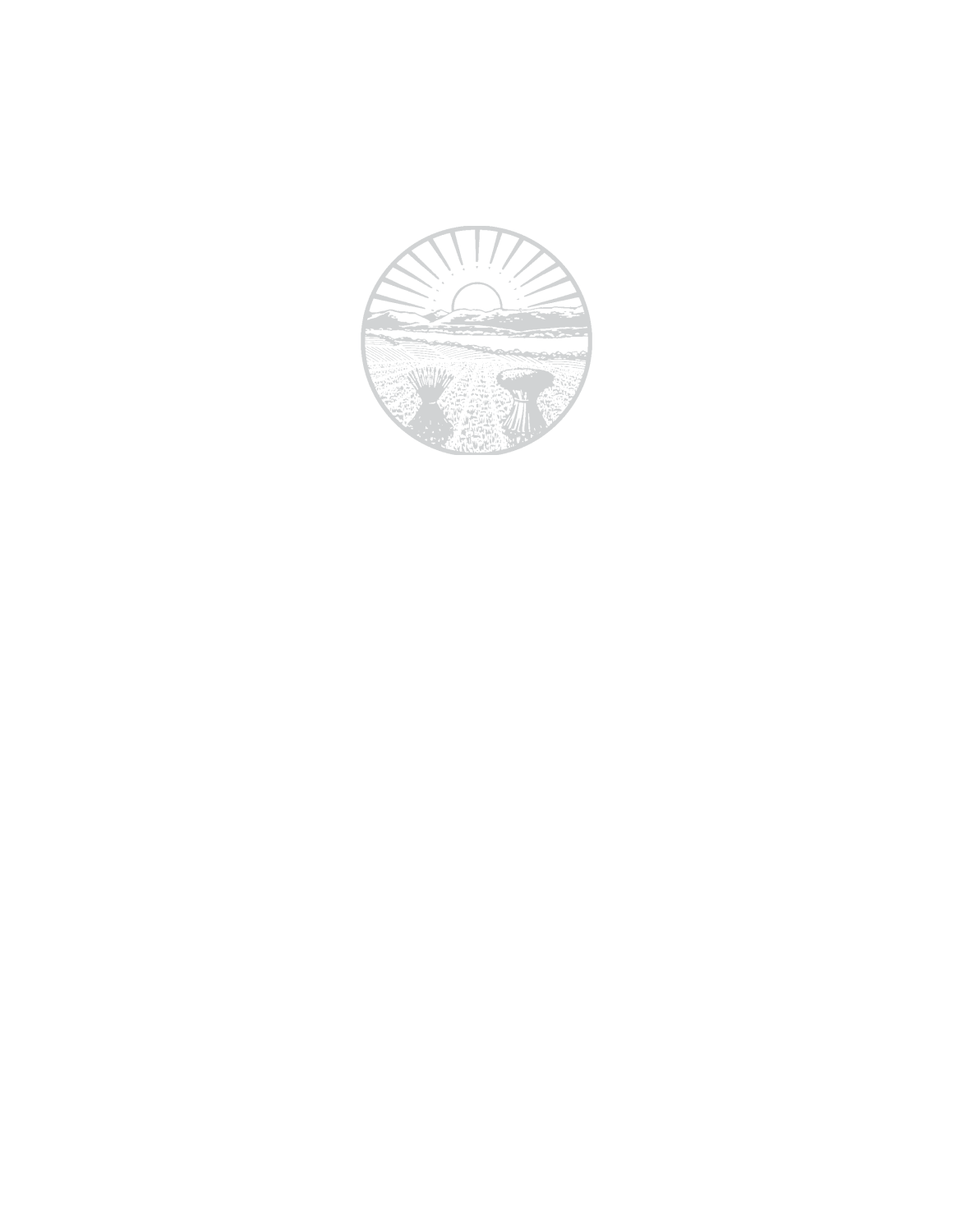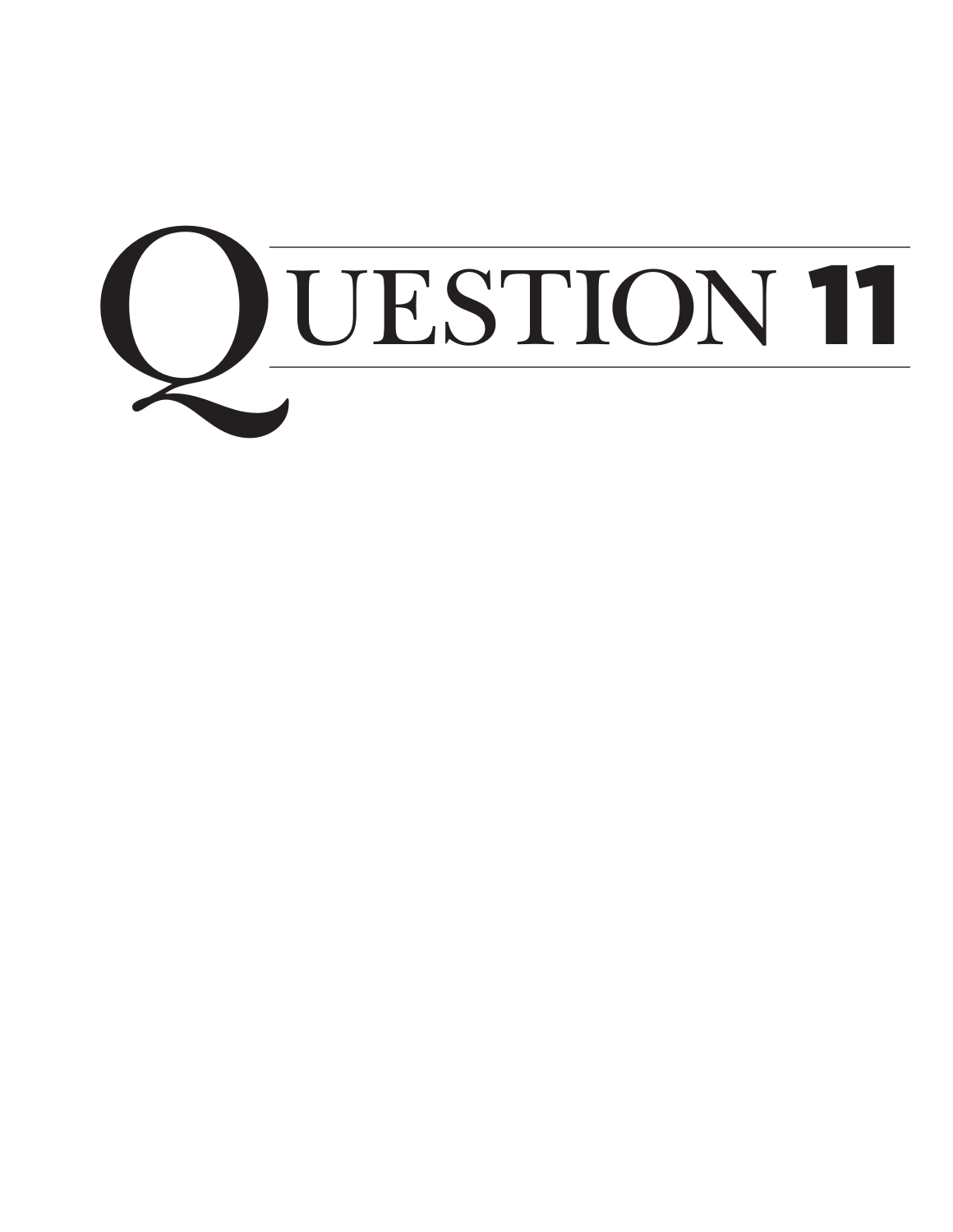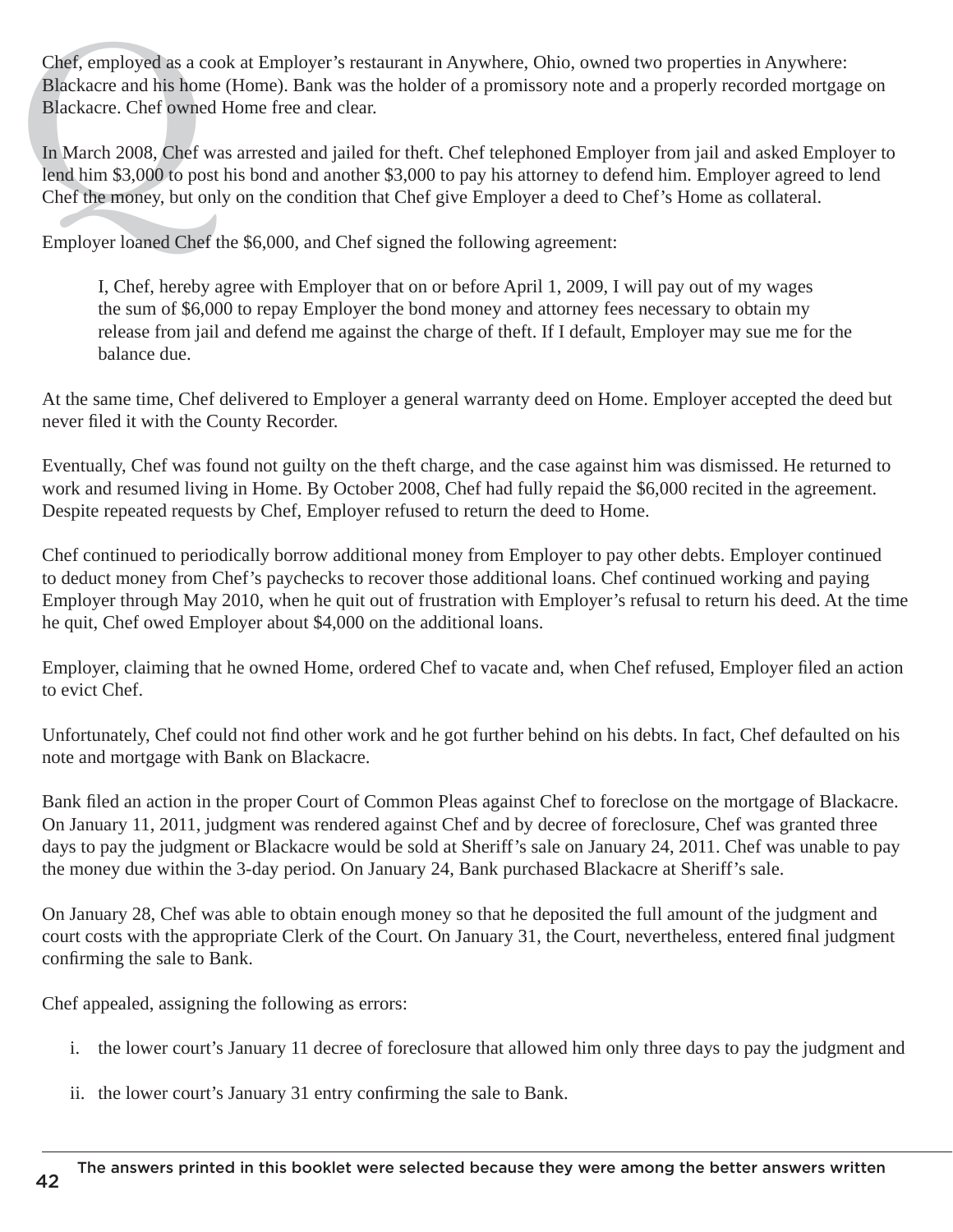Chef, employed as a complement and his homomorphical and his homomorphical and him \$3,000 to pot Chef the money, but all the employer loaned Chef the money of the employer loaned Chef the money of the employer loaned Chef Chef, employed as a cook at Employer's restaurant in Anywhere, Ohio, owned two properties in Anywhere: Blackacre and his home (Home). Bank was the holder of a promissory note and a properly recorded mortgage on Blackacre. Chef owned Home free and clear.

In March 2008, Chef was arrested and jailed for theft. Chef telephoned Employer from jail and asked Employer to lend him \$3,000 to post his bond and another \$3,000 to pay his attorney to defend him. Employer agreed to lend Chef the money, but only on the condition that Chef give Employer a deed to Chef's Home as collateral.

Employer loaned Chef the \$6,000, and Chef signed the following agreement:

I, Chef, hereby agree with Employer that on or before April 1, 2009, I will pay out of my wages the sum of \$6,000 to repay Employer the bond money and attorney fees necessary to obtain my release from jail and defend me against the charge of theft. If I default, Employer may sue me for the balance due.

At the same time, Chef delivered to Employer a general warranty deed on Home. Employer accepted the deed but never filed it with the County Recorder.

Eventually, Chef was found not guilty on the theft charge, and the case against him was dismissed. He returned to work and resumed living in Home. By October 2008, Chef had fully repaid the \$6,000 recited in the agreement. Despite repeated requests by Chef, Employer refused to return the deed to Home.

Chef continued to periodically borrow additional money from Employer to pay other debts. Employer continued to deduct money from Chef's paychecks to recover those additional loans. Chef continued working and paying Employer through May 2010, when he quit out of frustration with Employer's refusal to return his deed. At the time he quit, Chef owed Employer about \$4,000 on the additional loans.

Employer, claiming that he owned Home, ordered Chef to vacate and, when Chef refused, Employer filed an action to evict Chef.

Unfortunately, Chef could not find other work and he got further behind on his debts. In fact, Chef defaulted on his note and mortgage with Bank on Blackacre.

Bank filed an action in the proper Court of Common Pleas against Chef to foreclose on the mortgage of Blackacre. On January 11, 2011, judgment was rendered against Chef and by decree of foreclosure, Chef was granted three days to pay the judgment or Blackacre would be sold at Sheriff's sale on January 24, 2011. Chef was unable to pay the money due within the 3-day period. On January 24, Bank purchased Blackacre at Sheriff's sale.

On January 28, Chef was able to obtain enough money so that he deposited the full amount of the judgment and court costs with the appropriate Clerk of the Court. On January 31, the Court, nevertheless, entered final judgment confirming the sale to Bank.

Chef appealed, assigning the following as errors:

- i. the lower court's January 11 decree of foreclosure that allowed him only three days to pay the judgment and
- ii. the lower court's January 31 entry confirming the sale to Bank.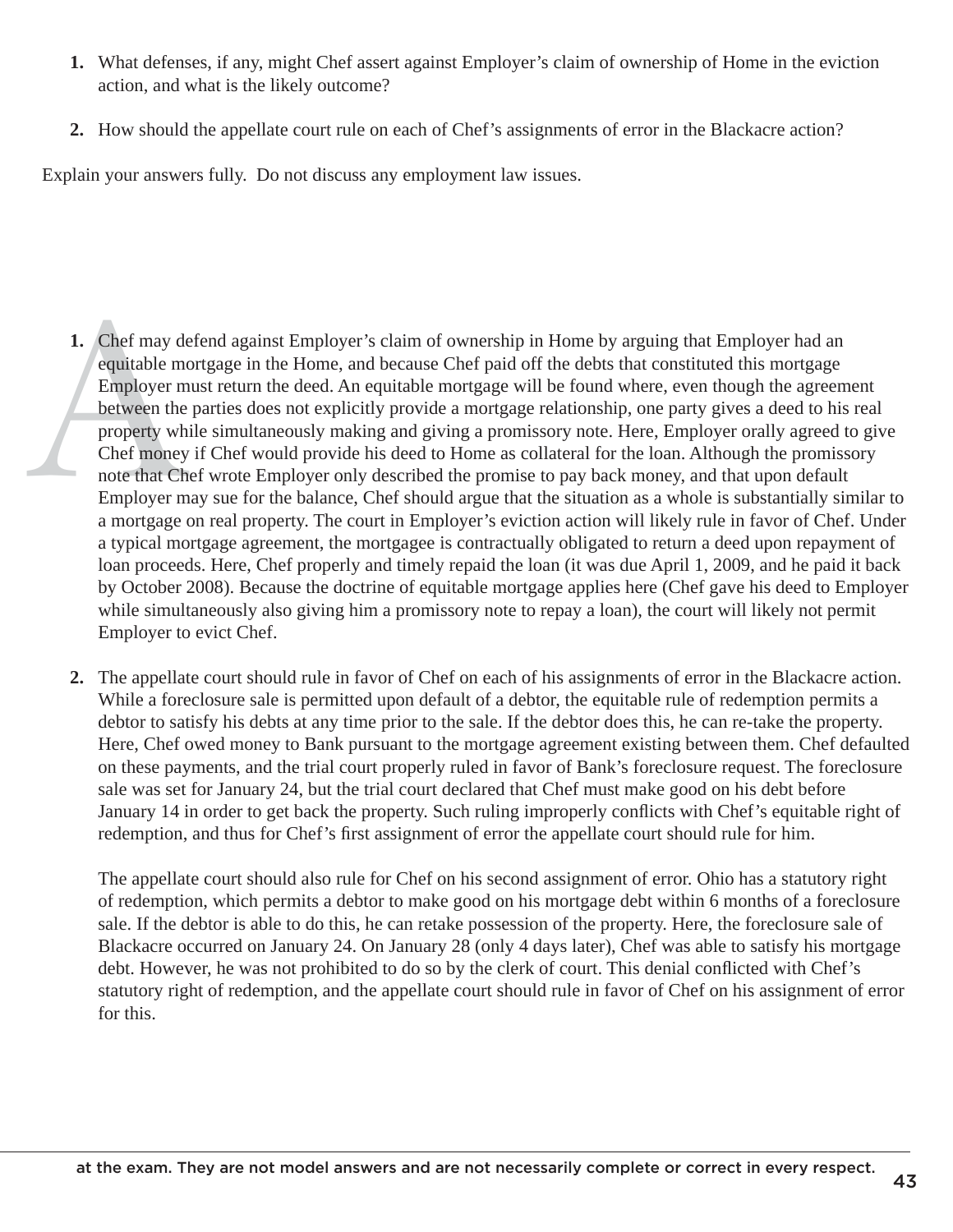- **1.** What defenses, if any, might Chef assert against Employer's claim of ownership of Home in the eviction action, and what is the likely outcome?
- **2.** How should the appellate court rule on each of Chef's assignments of error in the Blackacre action?

Explain your answers fully. Do not discuss any employment law issues.

- 1. Chef may d<br>equitable m<br>Employer n<br>between the<br>property when<br>Chef money<br>note that Ch<br>Employer n<br>a mortgage **1.** Chef may defend against Employer's claim of ownership in Home by arguing that Employer had an equitable mortgage in the Home, and because Chef paid off the debts that constituted this mortgage Employer must return the deed. An equitable mortgage will be found where, even though the agreement between the parties does not explicitly provide a mortgage relationship, one party gives a deed to his real property while simultaneously making and giving a promissory note. Here, Employer orally agreed to give Chef money if Chef would provide his deed to Home as collateral for the loan. Although the promissory note that Chef wrote Employer only described the promise to pay back money, and that upon default Employer may sue for the balance, Chef should argue that the situation as a whole is substantially similar to a mortgage on real property. The court in Employer's eviction action will likely rule in favor of Chef. Under a typical mortgage agreement, the mortgagee is contractually obligated to return a deed upon repayment of loan proceeds. Here, Chef properly and timely repaid the loan (it was due April 1, 2009, and he paid it back by October 2008). Because the doctrine of equitable mortgage applies here (Chef gave his deed to Employer while simultaneously also giving him a promissory note to repay a loan), the court will likely not permit Employer to evict Chef.
	- **2.** The appellate court should rule in favor of Chef on each of his assignments of error in the Blackacre action. While a foreclosure sale is permitted upon default of a debtor, the equitable rule of redemption permits a debtor to satisfy his debts at any time prior to the sale. If the debtor does this, he can re-take the property. Here, Chef owed money to Bank pursuant to the mortgage agreement existing between them. Chef defaulted on these payments, and the trial court properly ruled in favor of Bank's foreclosure request. The foreclosure sale was set for January 24, but the trial court declared that Chef must make good on his debt before January 14 in order to get back the property. Such ruling improperly conflicts with Chef's equitable right of redemption, and thus for Chef's first assignment of error the appellate court should rule for him.

The appellate court should also rule for Chef on his second assignment of error. Ohio has a statutory right of redemption, which permits a debtor to make good on his mortgage debt within 6 months of a foreclosure sale. If the debtor is able to do this, he can retake possession of the property. Here, the foreclosure sale of Blackacre occurred on January 24. On January 28 (only 4 days later), Chef was able to satisfy his mortgage debt. However, he was not prohibited to do so by the clerk of court. This denial conflicted with Chef's statutory right of redemption, and the appellate court should rule in favor of Chef on his assignment of error for this.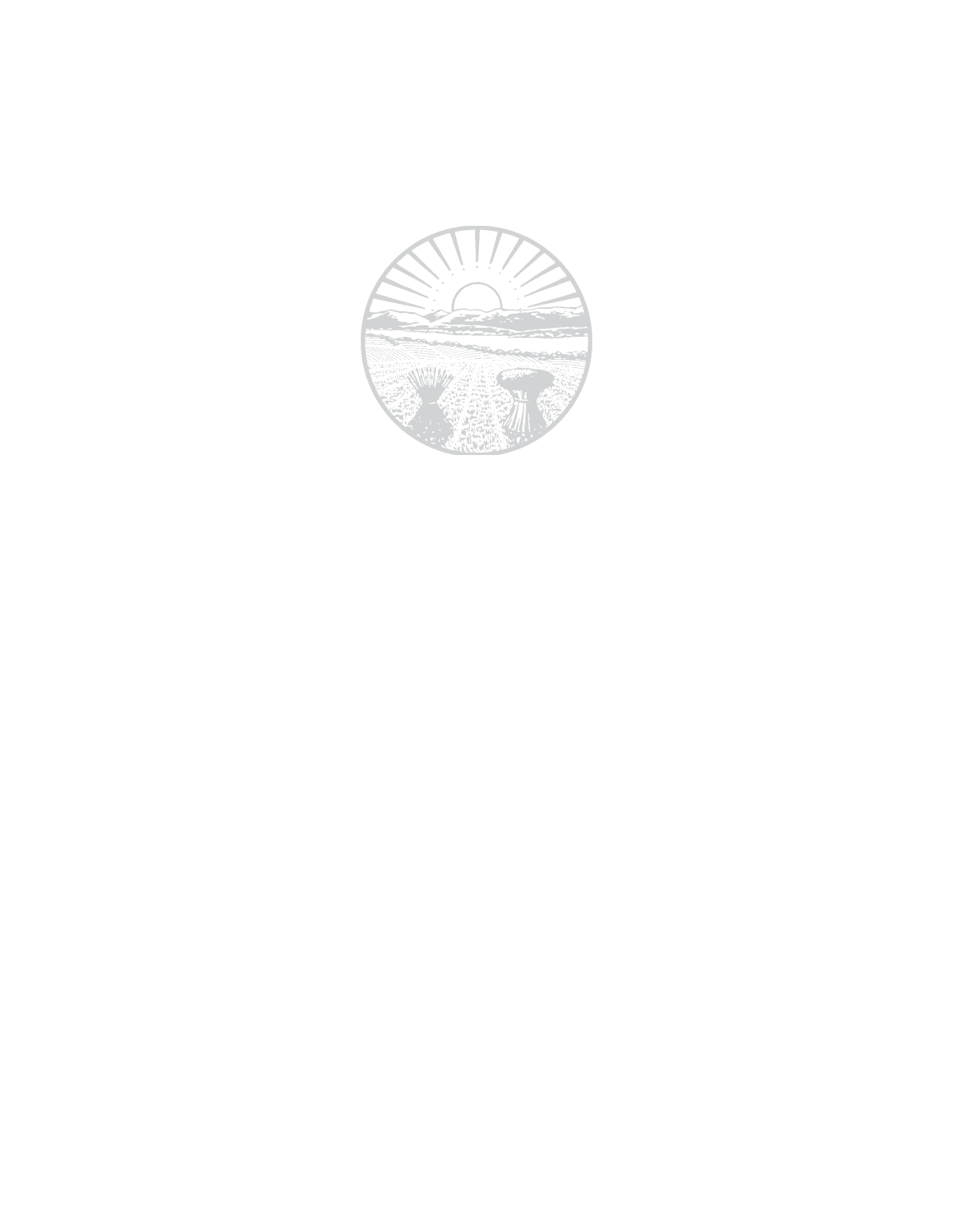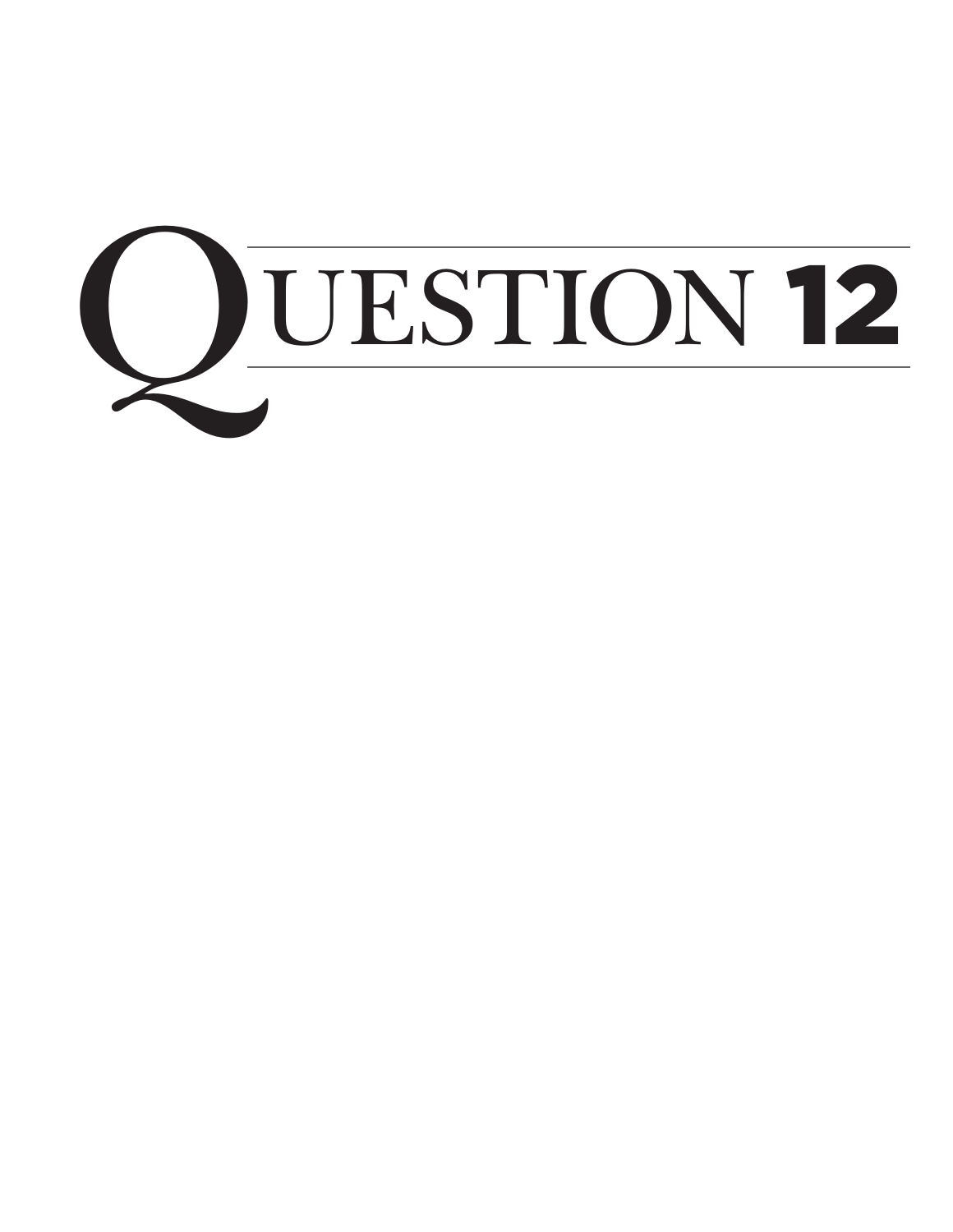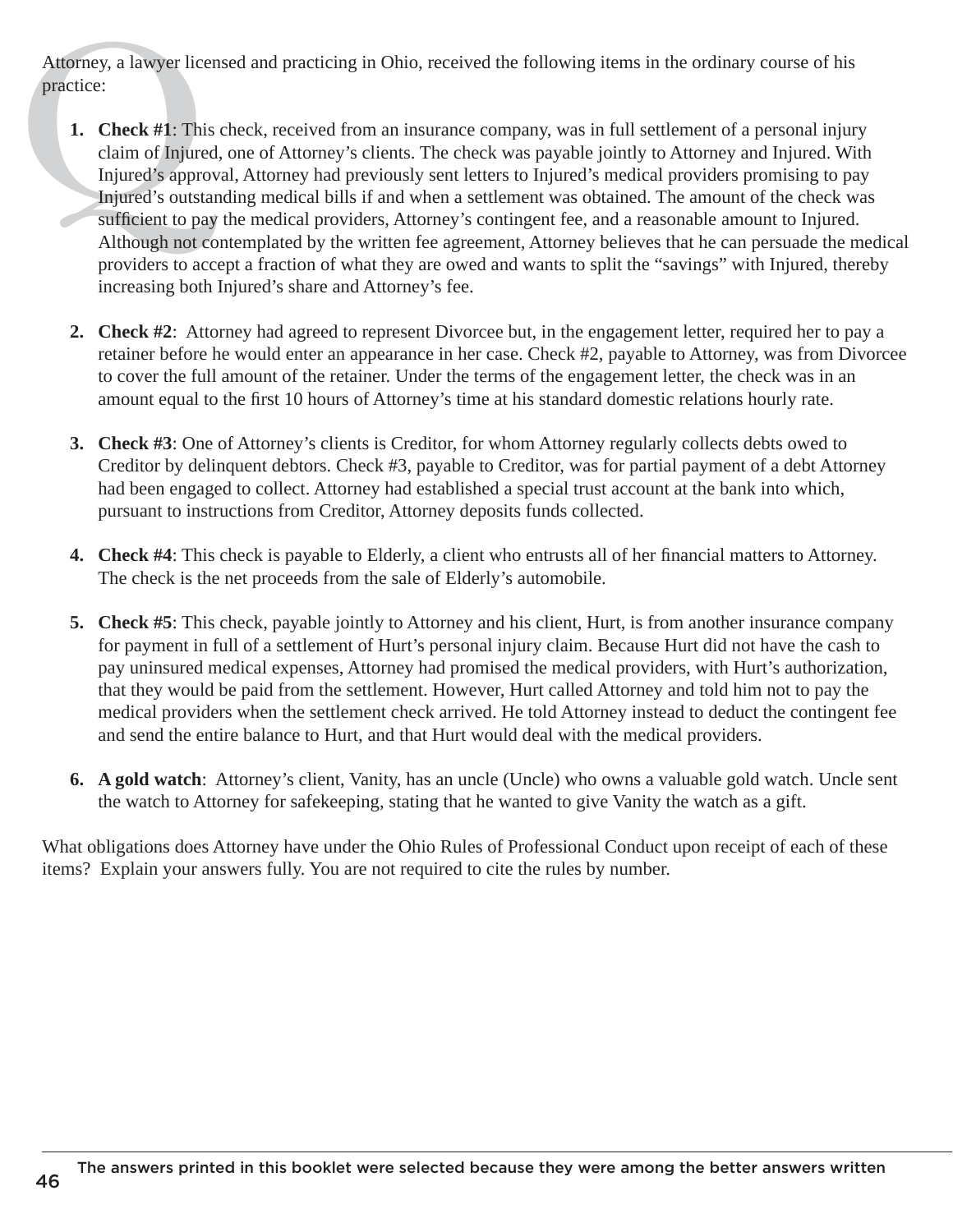Attorney, a lawyer licensed and practicing in Ohio, received the following items in the ordinary course of his practice:

- Attorney, a lawyer lic<br>practice:<br>1. Check #1: Th<br>claim of Injur<br>Injured's appr<br>Injured's outs<br>sufficient to p<br>Although not **1. Check #1**: This check, received from an insurance company, was in full settlement of a personal injury claim of Injured, one of Attorney's clients. The check was payable jointly to Attorney and Injured. With Injured's approval, Attorney had previously sent letters to Injured's medical providers promising to pay Injured's outstanding medical bills if and when a settlement was obtained. The amount of the check was sufficient to pay the medical providers, Attorney's contingent fee, and a reasonable amount to Injured. Although not contemplated by the written fee agreement, Attorney believes that he can persuade the medical providers to accept a fraction of what they are owed and wants to split the "savings" with Injured, thereby increasing both Injured's share and Attorney's fee.
	- **2. Check #2**: Attorney had agreed to represent Divorcee but, in the engagement letter, required her to pay a retainer before he would enter an appearance in her case. Check #2, payable to Attorney, was from Divorcee to cover the full amount of the retainer. Under the terms of the engagement letter, the check was in an amount equal to the first 10 hours of Attorney's time at his standard domestic relations hourly rate.
	- **3. Check #3**: One of Attorney's clients is Creditor, for whom Attorney regularly collects debts owed to Creditor by delinquent debtors. Check #3, payable to Creditor, was for partial payment of a debt Attorney had been engaged to collect. Attorney had established a special trust account at the bank into which, pursuant to instructions from Creditor, Attorney deposits funds collected.
	- **4. Check #4:** This check is payable to Elderly, a client who entrusts all of her financial matters to Attorney. The check is the net proceeds from the sale of Elderly's automobile.
	- **5. Check #5**: This check, payable jointly to Attorney and his client, Hurt, is from another insurance company for payment in full of a settlement of Hurt's personal injury claim. Because Hurt did not have the cash to pay uninsured medical expenses, Attorney had promised the medical providers, with Hurt's authorization, that they would be paid from the settlement. However, Hurt called Attorney and told him not to pay the medical providers when the settlement check arrived. He told Attorney instead to deduct the contingent fee and send the entire balance to Hurt, and that Hurt would deal with the medical providers.
	- **6. A gold watch**: Attorney's client, Vanity, has an uncle (Uncle) who owns a valuable gold watch. Uncle sent the watch to Attorney for safekeeping, stating that he wanted to give Vanity the watch as a gift.

What obligations does Attorney have under the Ohio Rules of Professional Conduct upon receipt of each of these items? Explain your answers fully. You are not required to cite the rules by number.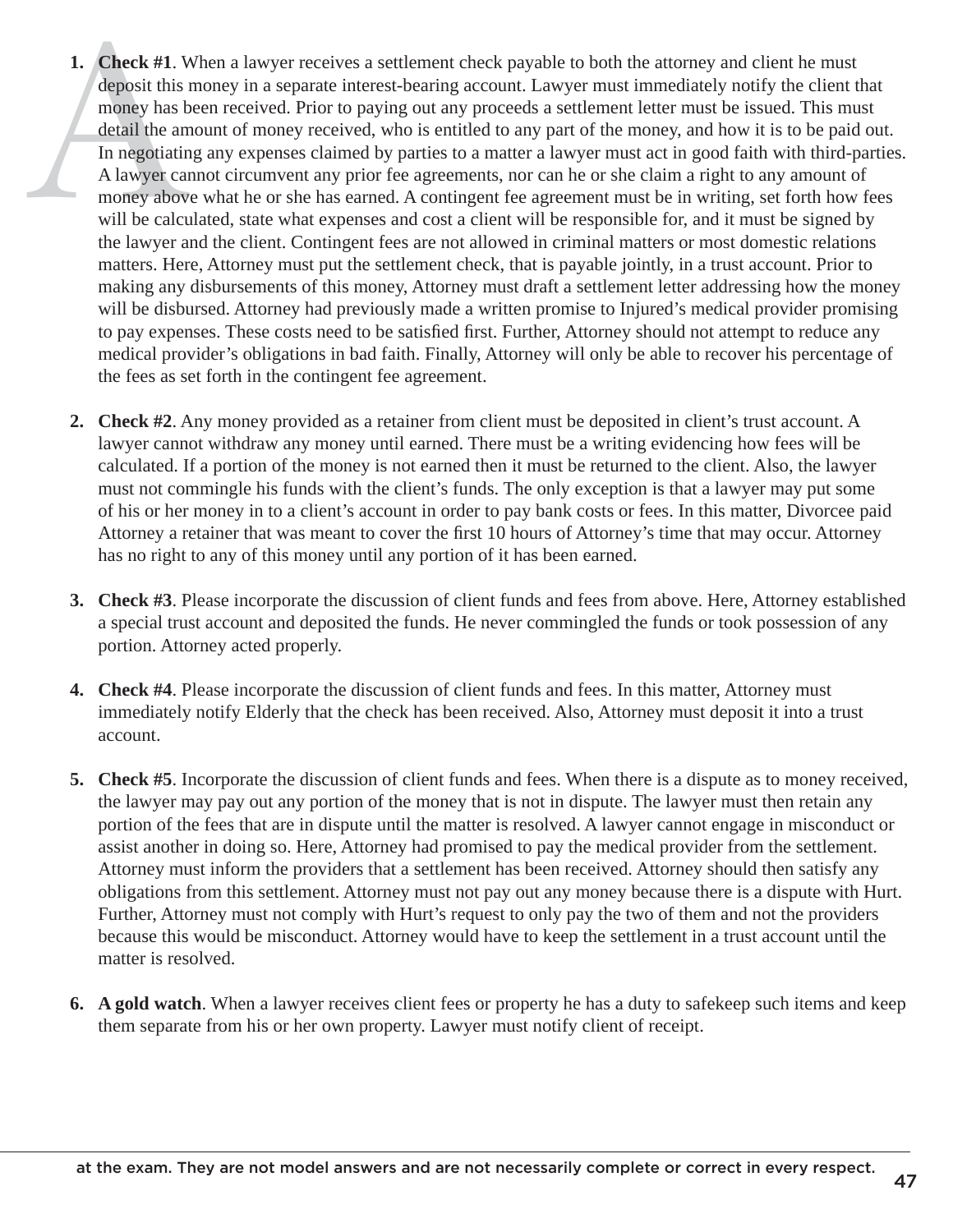- 1. Check #1.<br>deposit this<br>money has<br>detail the ar<br>In negotiati<br>A lawyer ca<br>money abov<br>will be calc<br>the lawyer a **1. Check #1**. When a lawyer receives a settlement check payable to both the attorney and client he must deposit this money in a separate interest-bearing account. Lawyer must immediately notify the client that money has been received. Prior to paying out any proceeds a settlement letter must be issued. This must detail the amount of money received, who is entitled to any part of the money, and how it is to be paid out. In negotiating any expenses claimed by parties to a matter a lawyer must act in good faith with third-parties. A lawyer cannot circumvent any prior fee agreements, nor can he or she claim a right to any amount of money above what he or she has earned. A contingent fee agreement must be in writing, set forth how fees will be calculated, state what expenses and cost a client will be responsible for, and it must be signed by the lawyer and the client. Contingent fees are not allowed in criminal matters or most domestic relations matters. Here, Attorney must put the settlement check, that is payable jointly, in a trust account. Prior to making any disbursements of this money, Attorney must draft a settlement letter addressing how the money will be disbursed. Attorney had previously made a written promise to Injured's medical provider promising to pay expenses. These costs need to be satisfied first. Further, Attorney should not attempt to reduce any medical provider's obligations in bad faith. Finally, Attorney will only be able to recover his percentage of the fees as set forth in the contingent fee agreement.
	- **2. Check #2**. Any money provided as a retainer from client must be deposited in client's trust account. A lawyer cannot withdraw any money until earned. There must be a writing evidencing how fees will be calculated. If a portion of the money is not earned then it must be returned to the client. Also, the lawyer must not commingle his funds with the client's funds. The only exception is that a lawyer may put some of his or her money in to a client's account in order to pay bank costs or fees. In this matter, Divorcee paid Attorney a retainer that was meant to cover the first 10 hours of Attorney's time that may occur. Attorney has no right to any of this money until any portion of it has been earned.
	- **3. Check #3**. Please incorporate the discussion of client funds and fees from above. Here, Attorney established a special trust account and deposited the funds. He never commingled the funds or took possession of any portion. Attorney acted properly.
	- **4. Check #4**. Please incorporate the discussion of client funds and fees. In this matter, Attorney must immediately notify Elderly that the check has been received. Also, Attorney must deposit it into a trust account.
	- **5. Check #5**. Incorporate the discussion of client funds and fees. When there is a dispute as to money received, the lawyer may pay out any portion of the money that is not in dispute. The lawyer must then retain any portion of the fees that are in dispute until the matter is resolved. A lawyer cannot engage in misconduct or assist another in doing so. Here, Attorney had promised to pay the medical provider from the settlement. Attorney must inform the providers that a settlement has been received. Attorney should then satisfy any obligations from this settlement. Attorney must not pay out any money because there is a dispute with Hurt. Further, Attorney must not comply with Hurt's request to only pay the two of them and not the providers because this would be misconduct. Attorney would have to keep the settlement in a trust account until the matter is resolved.
	- **6. A gold watch**. When a lawyer receives client fees or property he has a duty to safekeep such items and keep them separate from his or her own property. Lawyer must notify client of receipt.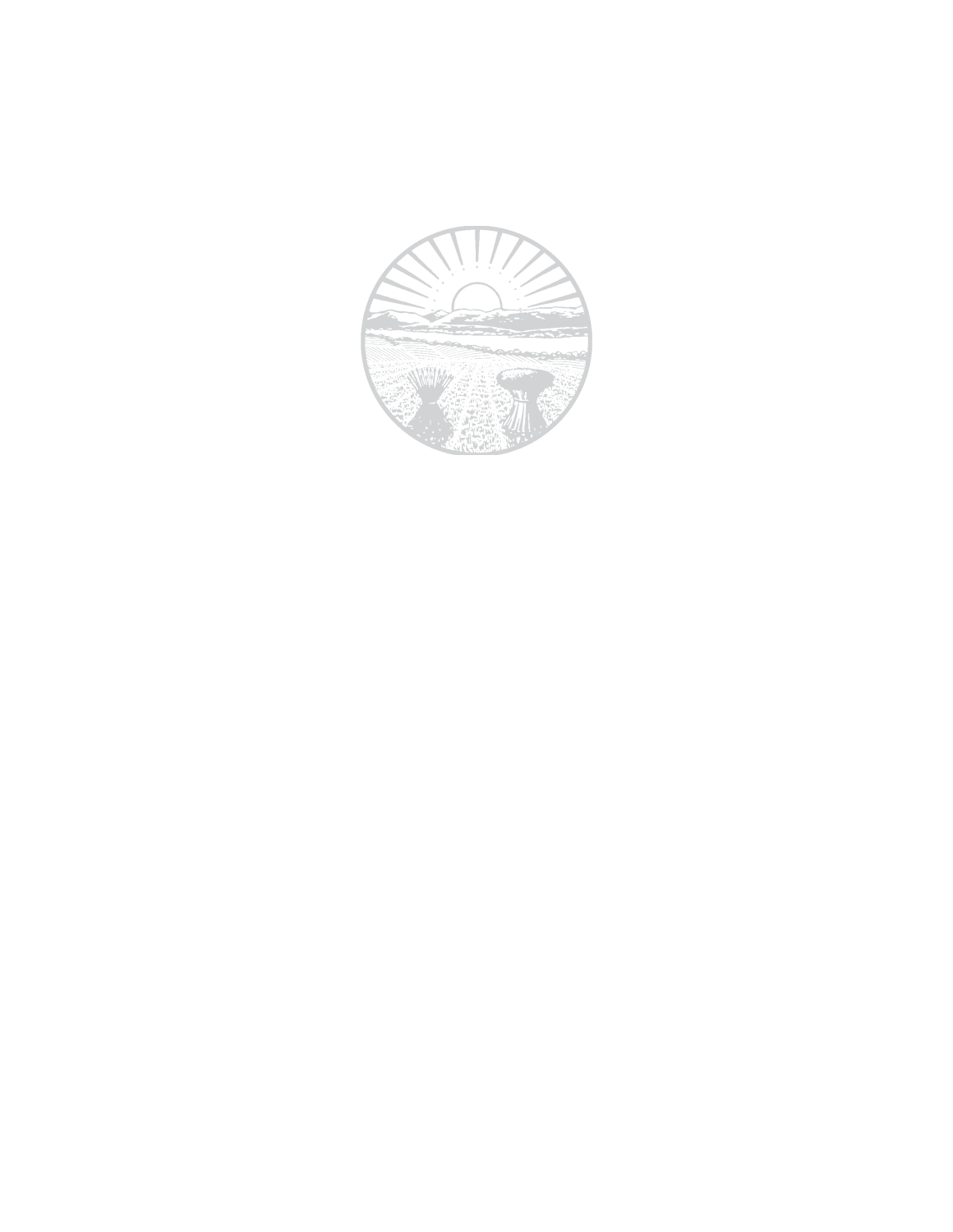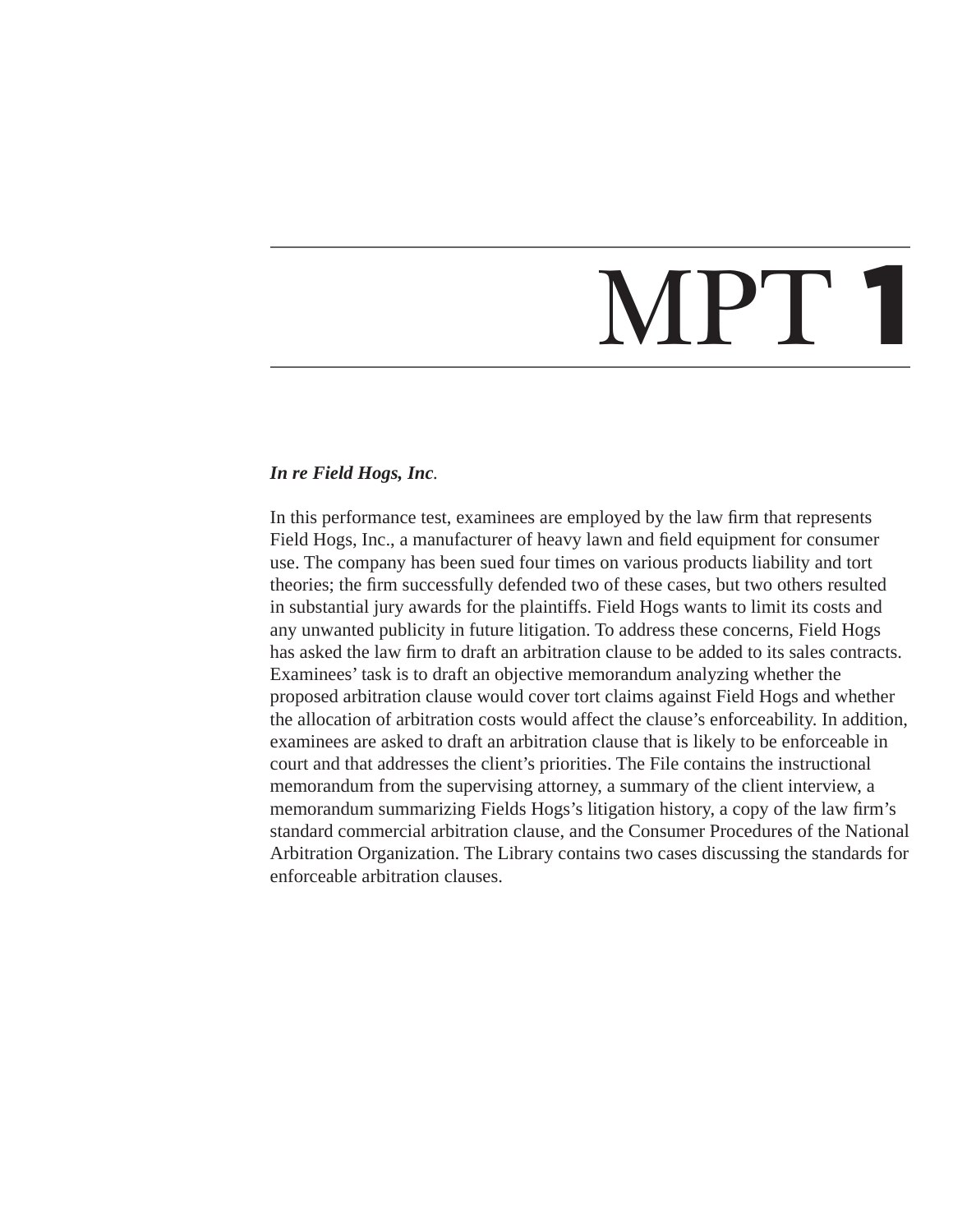# MPT 1

#### *In re Field Hogs, Inc.*

In this performance test, examinees are employed by the law firm that represents Field Hogs, Inc., a manufacturer of heavy lawn and field equipment for consumer use. The company has been sued four times on various products liability and tort theories; the firm successfully defended two of these cases, but two others resulted in substantial jury awards for the plaintiffs. Field Hogs wants to limit its costs and any unwanted publicity in future litigation. To address these concerns, Field Hogs has asked the law firm to draft an arbitration clause to be added to its sales contracts. Examinees' task is to draft an objective memorandum analyzing whether the proposed arbitration clause would cover tort claims against Field Hogs and whether the allocation of arbitration costs would affect the clause's enforceability. In addition, examinees are asked to draft an arbitration clause that is likely to be enforceable in court and that addresses the client's priorities. The File contains the instructional memorandum from the supervising attorney, a summary of the client interview, a memorandum summarizing Fields Hogs's litigation history, a copy of the law firm's standard commercial arbitration clause, and the Consumer Procedures of the National Arbitration Organization. The Library contains two cases discussing the standards for enforceable arbitration clauses.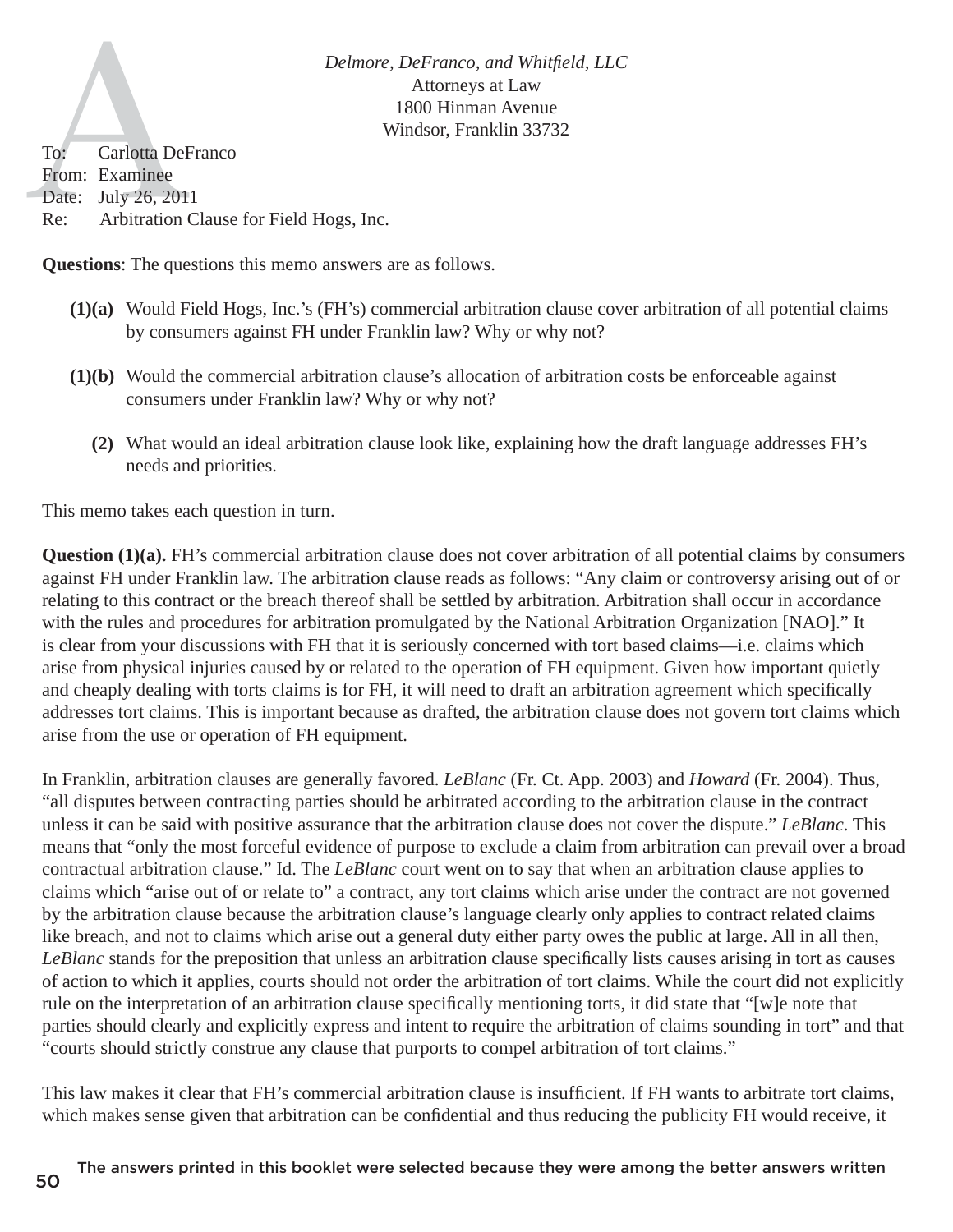*Delmore, DeFranco, and Whitfield, LLC* Attorneys at Law 1800 Hinman Avenue Windsor, Franklin 33732

To: Carlotta De<br>From: Examinee<br>Date: July 26, 20.<br>Re: Arbitration To: Carlotta DeFranco From: Examinee Date: July 26, 2011 Re: Arbitration Clause for Field Hogs, Inc.

**Questions**: The questions this memo answers are as follows.

- **(1)(a)** Would Field Hogs, Inc.'s (FH's) commercial arbitration clause cover arbitration of all potential claims by consumers against FH under Franklin law? Why or why not?
- **(1)(b)** Would the commercial arbitration clause's allocation of arbitration costs be enforceable against consumers under Franklin law? Why or why not?
	- **(2)** What would an ideal arbitration clause look like, explaining how the draft language addresses FH's needs and priorities.

This memo takes each question in turn.

**Question (1)(a).** FH's commercial arbitration clause does not cover arbitration of all potential claims by consumers against FH under Franklin law. The arbitration clause reads as follows: "Any claim or controversy arising out of or relating to this contract or the breach thereof shall be settled by arbitration. Arbitration shall occur in accordance with the rules and procedures for arbitration promulgated by the National Arbitration Organization [NAO]." It is clear from your discussions with FH that it is seriously concerned with tort based claims—i.e. claims which arise from physical injuries caused by or related to the operation of FH equipment. Given how important quietly and cheaply dealing with torts claims is for FH, it will need to draft an arbitration agreement which specifically addresses tort claims. This is important because as drafted, the arbitration clause does not govern tort claims which arise from the use or operation of FH equipment.

In Franklin, arbitration clauses are generally favored. *LeBlanc* (Fr. Ct. App. 2003) and *Howard* (Fr. 2004). Thus, "all disputes between contracting parties should be arbitrated according to the arbitration clause in the contract unless it can be said with positive assurance that the arbitration clause does not cover the dispute." *LeBlanc*. This means that "only the most forceful evidence of purpose to exclude a claim from arbitration can prevail over a broad contractual arbitration clause." Id. The *LeBlanc* court went on to say that when an arbitration clause applies to claims which "arise out of or relate to" a contract, any tort claims which arise under the contract are not governed by the arbitration clause because the arbitration clause's language clearly only applies to contract related claims like breach, and not to claims which arise out a general duty either party owes the public at large. All in all then, *LeBlanc* stands for the preposition that unless an arbitration clause specifically lists causes arising in tort as causes of action to which it applies, courts should not order the arbitration of tort claims. While the court did not explicitly rule on the interpretation of an arbitration clause specifically mentioning torts, it did state that "[w]e note that parties should clearly and explicitly express and intent to require the arbitration of claims sounding in tort" and that "courts should strictly construe any clause that purports to compel arbitration of tort claims."

This law makes it clear that FH's commercial arbitration clause is insufficient. If FH wants to arbitrate tort claims, which makes sense given that arbitration can be confidential and thus reducing the publicity FH would receive, it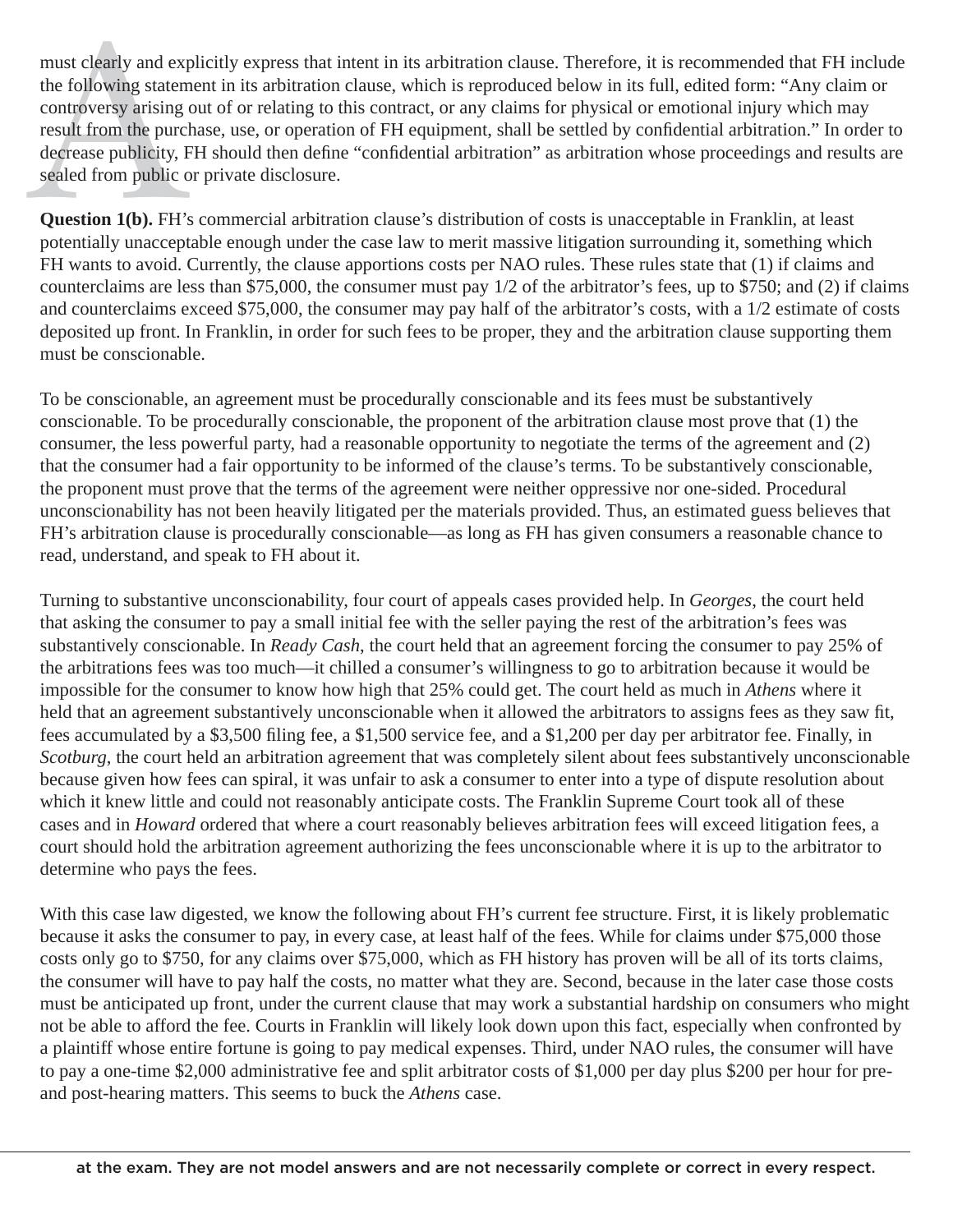must clearly and ex<br>the following stater<br>controversy arising<br>result from the purc<br>decrease publicity,<br>sealed from public<br>**Question 1(b).** FH<sup>2</sup><br>potentially unaccep must clearly and explicitly express that intent in its arbitration clause. Therefore, it is recommended that FH include the following statement in its arbitration clause, which is reproduced below in its full, edited form: "Any claim or controversy arising out of or relating to this contract, or any claims for physical or emotional injury which may result from the purchase, use, or operation of FH equipment, shall be settled by confidential arbitration." In order to decrease publicity, FH should then define "confidential arbitration" as arbitration whose proceedings and results are sealed from public or private disclosure.

**Question 1(b).** FH's commercial arbitration clause's distribution of costs is unacceptable in Franklin, at least potentially unacceptable enough under the case law to merit massive litigation surrounding it, something which FH wants to avoid. Currently, the clause apportions costs per NAO rules. These rules state that (1) if claims and counterclaims are less than \$75,000, the consumer must pay 1/2 of the arbitrator's fees, up to \$750; and (2) if claims and counterclaims exceed \$75,000, the consumer may pay half of the arbitrator's costs, with a 1/2 estimate of costs deposited up front. In Franklin, in order for such fees to be proper, they and the arbitration clause supporting them must be conscionable.

To be conscionable, an agreement must be procedurally conscionable and its fees must be substantively conscionable. To be procedurally conscionable, the proponent of the arbitration clause most prove that (1) the consumer, the less powerful party, had a reasonable opportunity to negotiate the terms of the agreement and (2) that the consumer had a fair opportunity to be informed of the clause's terms. To be substantively conscionable, the proponent must prove that the terms of the agreement were neither oppressive nor one-sided. Procedural unconscionability has not been heavily litigated per the materials provided. Thus, an estimated guess believes that FH's arbitration clause is procedurally conscionable—as long as FH has given consumers a reasonable chance to read, understand, and speak to FH about it.

Turning to substantive unconscionability, four court of appeals cases provided help. In *Georges*, the court held that asking the consumer to pay a small initial fee with the seller paying the rest of the arbitration's fees was substantively conscionable. In *Ready Cash*, the court held that an agreement forcing the consumer to pay 25% of the arbitrations fees was too much—it chilled a consumer's willingness to go to arbitration because it would be impossible for the consumer to know how high that 25% could get. The court held as much in *Athens* where it held that an agreement substantively unconscionable when it allowed the arbitrators to assigns fees as they saw fit, fees accumulated by a \$3,500 filing fee, a \$1,500 service fee, and a \$1,200 per day per arbitrator fee. Finally, in *Scotburg*, the court held an arbitration agreement that was completely silent about fees substantively unconscionable because given how fees can spiral, it was unfair to ask a consumer to enter into a type of dispute resolution about which it knew little and could not reasonably anticipate costs. The Franklin Supreme Court took all of these cases and in *Howard* ordered that where a court reasonably believes arbitration fees will exceed litigation fees, a court should hold the arbitration agreement authorizing the fees unconscionable where it is up to the arbitrator to determine who pays the fees.

With this case law digested, we know the following about FH's current fee structure. First, it is likely problematic because it asks the consumer to pay, in every case, at least half of the fees. While for claims under \$75,000 those costs only go to \$750, for any claims over \$75,000, which as FH history has proven will be all of its torts claims, the consumer will have to pay half the costs, no matter what they are. Second, because in the later case those costs must be anticipated up front, under the current clause that may work a substantial hardship on consumers who might not be able to afford the fee. Courts in Franklin will likely look down upon this fact, especially when confronted by a plaintiff whose entire fortune is going to pay medical expenses. Third, under NAO rules, the consumer will have to pay a one-time \$2,000 administrative fee and split arbitrator costs of \$1,000 per day plus \$200 per hour for preand post-hearing matters. This seems to buck the *Athens* case.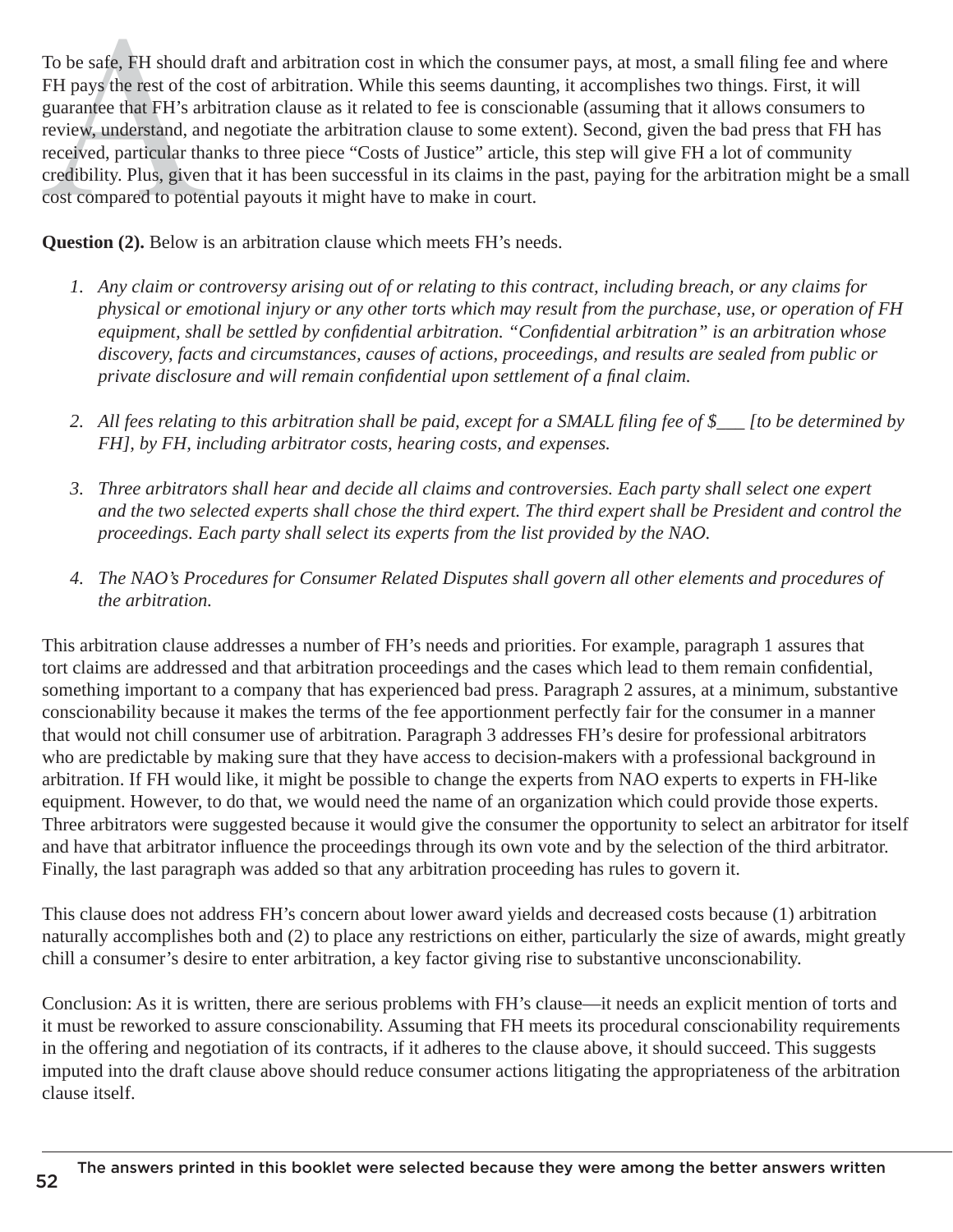To be safe, FH should<br>
FH pays the rest of the<br>
guarantee that FH's a<br>
eview, understand, a<br>
eceived, particular the<br>
redibility. Plus, give<br>
cost compared to pote<br>
Question (2). Below To be safe, FH should draft and arbitration cost in which the consumer pays, at most, a small filing fee and where FH pays the rest of the cost of arbitration. While this seems daunting, it accomplishes two things. First, it will guarantee that FH's arbitration clause as it related to fee is conscionable (assuming that it allows consumers to review, understand, and negotiate the arbitration clause to some extent). Second, given the bad press that FH has received, particular thanks to three piece "Costs of Justice" article, this step will give FH a lot of community credibility. Plus, given that it has been successful in its claims in the past, paying for the arbitration might be a small cost compared to potential payouts it might have to make in court.

**Question (2).** Below is an arbitration clause which meets FH's needs.

- *1. Any claim or controversy arising out of or relating to this contract, including breach, or any claims for physical or emotional injury or any other torts which may result from the purchase, use, or operation of FH equipment, shall be settled by confidential arbitration. "Confidential arbitration" is an arbitration whose discovery, facts and circumstances, causes of actions, proceedings, and results are sealed from public or private disclosure and will remain confidential upon settlement of a final claim.*
- 2. All fees relating to this arbitration shall be paid, except for a SMALL filing fee of \$\_\_\_ [to be determined by *FH], by FH, including arbitrator costs, hearing costs, and expenses.*
- *3. Three arbitrators shall hear and decide all claims and controversies. Each party shall select one expert and the two selected experts shall chose the third expert. The third expert shall be President and control the proceedings. Each party shall select its experts from the list provided by the NAO.*
- *4. The NAO's Procedures for Consumer Related Disputes shall govern all other elements and procedures of the arbitration.*

This arbitration clause addresses a number of FH's needs and priorities. For example, paragraph 1 assures that tort claims are addressed and that arbitration proceedings and the cases which lead to them remain confidential, something important to a company that has experienced bad press. Paragraph 2 assures, at a minimum, substantive conscionability because it makes the terms of the fee apportionment perfectly fair for the consumer in a manner that would not chill consumer use of arbitration. Paragraph 3 addresses FH's desire for professional arbitrators who are predictable by making sure that they have access to decision-makers with a professional background in arbitration. If FH would like, it might be possible to change the experts from NAO experts to experts in FH-like equipment. However, to do that, we would need the name of an organization which could provide those experts. Three arbitrators were suggested because it would give the consumer the opportunity to select an arbitrator for itself and have that arbitrator influence the proceedings through its own vote and by the selection of the third arbitrator. Finally, the last paragraph was added so that any arbitration proceeding has rules to govern it.

This clause does not address FH's concern about lower award yields and decreased costs because (1) arbitration naturally accomplishes both and (2) to place any restrictions on either, particularly the size of awards, might greatly chill a consumer's desire to enter arbitration, a key factor giving rise to substantive unconscionability.

Conclusion: As it is written, there are serious problems with FH's clause—it needs an explicit mention of torts and it must be reworked to assure conscionability. Assuming that FH meets its procedural conscionability requirements in the offering and negotiation of its contracts, if it adheres to the clause above, it should succeed. This suggests imputed into the draft clause above should reduce consumer actions litigating the appropriateness of the arbitration clause itself.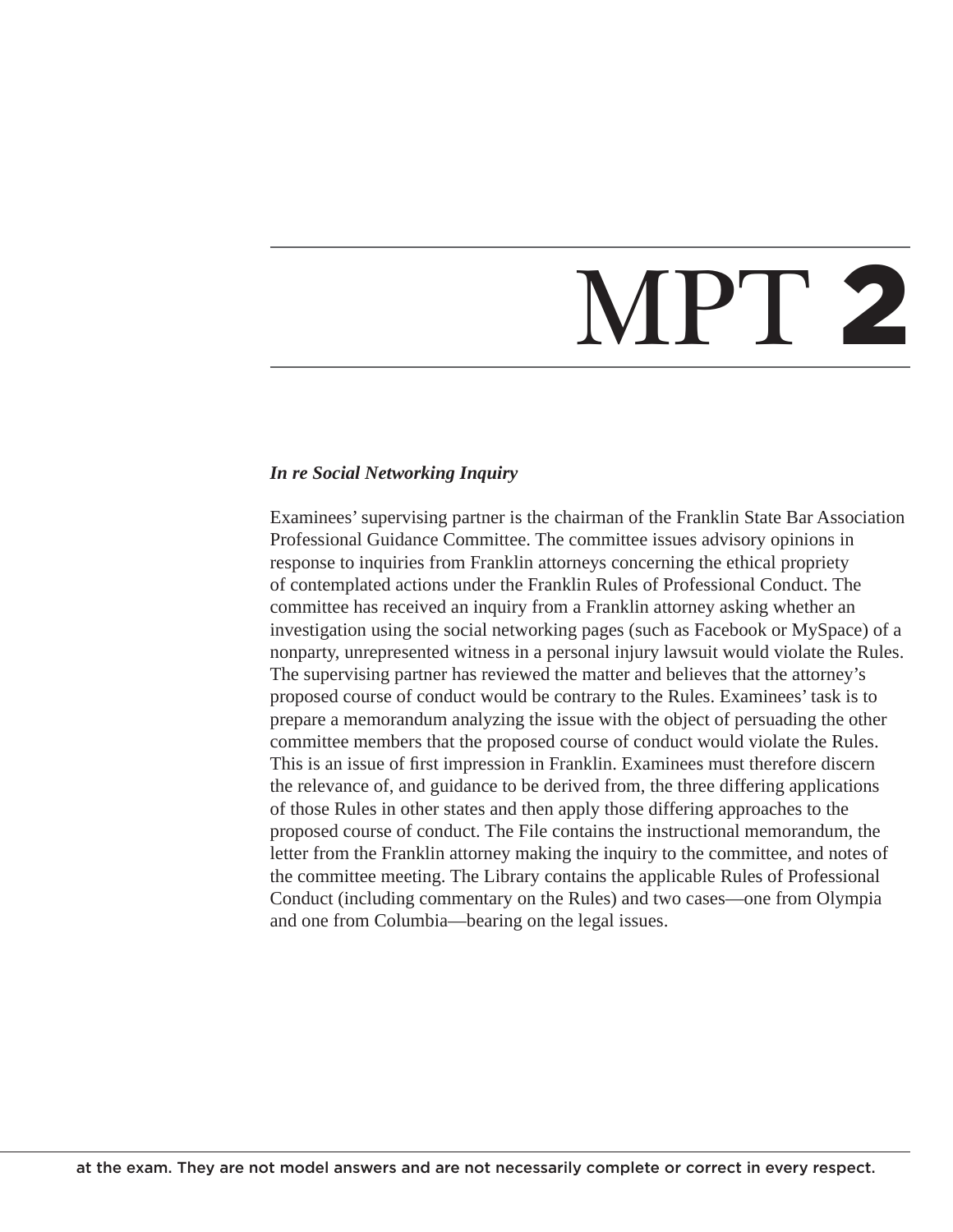# MPT 2

#### *In re Social Networking Inquiry*

Examinees' supervising partner is the chairman of the Franklin State Bar Association Professional Guidance Committee. The committee issues advisory opinions in response to inquiries from Franklin attorneys concerning the ethical propriety of contemplated actions under the Franklin Rules of Professional Conduct. The committee has received an inquiry from a Franklin attorney asking whether an investigation using the social networking pages (such as Facebook or MySpace) of a nonparty, unrepresented witness in a personal injury lawsuit would violate the Rules. The supervising partner has reviewed the matter and believes that the attorney's proposed course of conduct would be contrary to the Rules. Examinees' task is to prepare a memorandum analyzing the issue with the object of persuading the other committee members that the proposed course of conduct would violate the Rules. This is an issue of first impression in Franklin. Examinees must therefore discern the relevance of, and guidance to be derived from, the three differing applications of those Rules in other states and then apply those differing approaches to the proposed course of conduct. The File contains the instructional memorandum, the letter from the Franklin attorney making the inquiry to the committee, and notes of the committee meeting. The Library contains the applicable Rules of Professional Conduct (including commentary on the Rules) and two cases—one from Olympia and one from Columbia—bearing on the legal issues.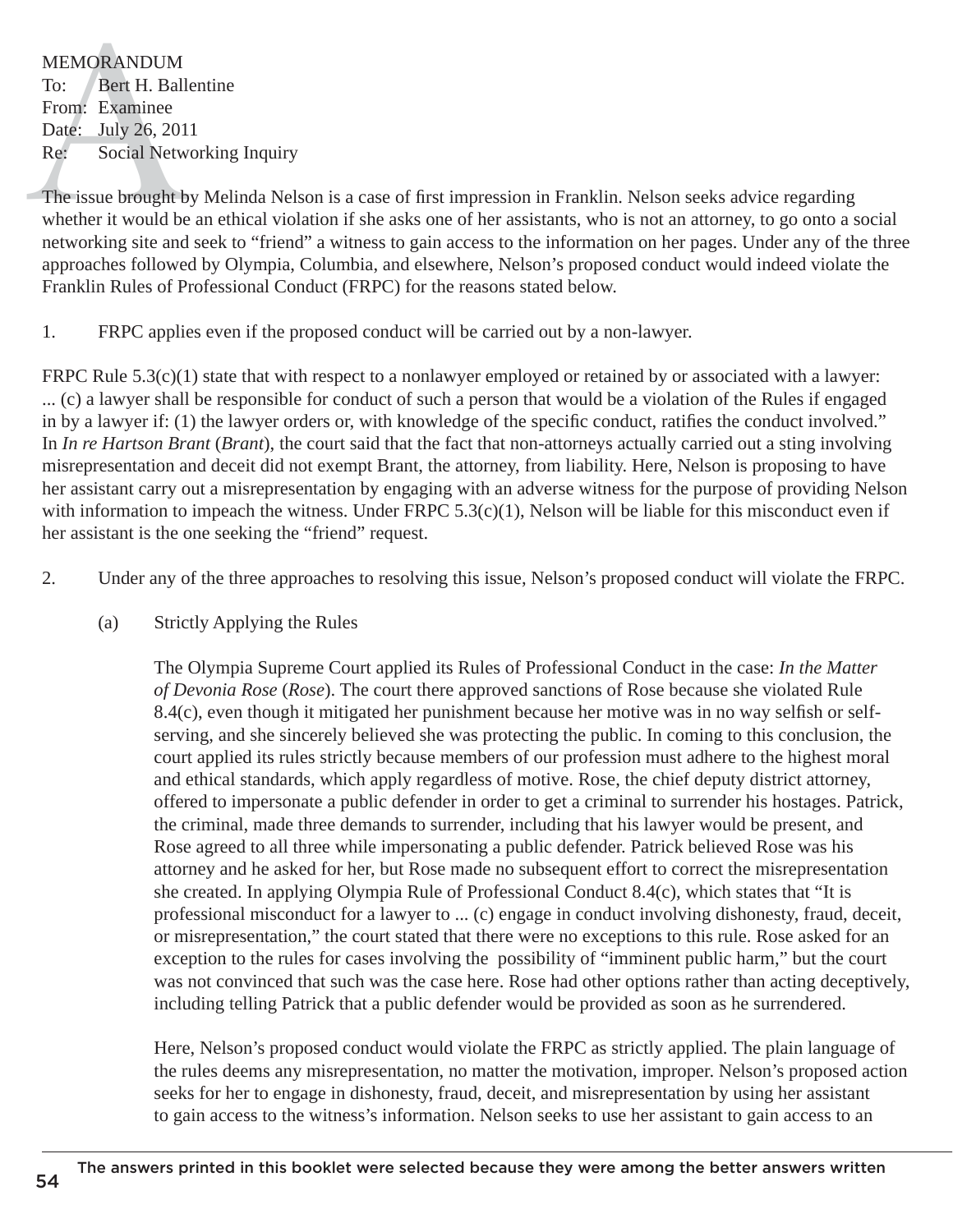MEMORANDUM<br>To: Bert H. Bal<br>From: Examinee<br>Date: July 26, 201<br>Re: Social Netw<br>The issue brought l<br>whether it would be<br>networking site and MEMORANDUM To: Bert H. Ballentine From: Examinee Date: July 26, 2011 Re: Social Networking Inquiry

The issue brought by Melinda Nelson is a case of first impression in Franklin. Nelson seeks advice regarding whether it would be an ethical violation if she asks one of her assistants, who is not an attorney, to go onto a social networking site and seek to "friend" a witness to gain access to the information on her pages. Under any of the three approaches followed by Olympia, Columbia, and elsewhere, Nelson's proposed conduct would indeed violate the Franklin Rules of Professional Conduct (FRPC) for the reasons stated below.

1. FRPC applies even if the proposed conduct will be carried out by a non-lawyer.

FRPC Rule 5.3(c)(1) state that with respect to a nonlawyer employed or retained by or associated with a lawyer: ... (c) a lawyer shall be responsible for conduct of such a person that would be a violation of the Rules if engaged in by a lawyer if:  $(1)$  the lawyer orders or, with knowledge of the specific conduct, ratifies the conduct involved." In *In re Hartson Brant* (*Brant*), the court said that the fact that non-attorneys actually carried out a sting involving misrepresentation and deceit did not exempt Brant, the attorney, from liability. Here, Nelson is proposing to have her assistant carry out a misrepresentation by engaging with an adverse witness for the purpose of providing Nelson with information to impeach the witness. Under FRPC  $5.3(c)(1)$ , Nelson will be liable for this misconduct even if her assistant is the one seeking the "friend" request.

2. Under any of the three approaches to resolving this issue, Nelson's proposed conduct will violate the FRPC.

(a) Strictly Applying the Rules

The Olympia Supreme Court applied its Rules of Professional Conduct in the case: *In the Matter of Devonia Rose* (*Rose*). The court there approved sanctions of Rose because she violated Rule 8.4(c), even though it mitigated her punishment because her motive was in no way selfish or selfserving, and she sincerely believed she was protecting the public. In coming to this conclusion, the court applied its rules strictly because members of our profession must adhere to the highest moral and ethical standards, which apply regardless of motive. Rose, the chief deputy district attorney, offered to impersonate a public defender in order to get a criminal to surrender his hostages. Patrick, the criminal, made three demands to surrender, including that his lawyer would be present, and Rose agreed to all three while impersonating a public defender. Patrick believed Rose was his attorney and he asked for her, but Rose made no subsequent effort to correct the misrepresentation she created. In applying Olympia Rule of Professional Conduct 8.4(c), which states that "It is professional misconduct for a lawyer to ... (c) engage in conduct involving dishonesty, fraud, deceit, or misrepresentation," the court stated that there were no exceptions to this rule. Rose asked for an exception to the rules for cases involving the possibility of "imminent public harm," but the court was not convinced that such was the case here. Rose had other options rather than acting deceptively, including telling Patrick that a public defender would be provided as soon as he surrendered.

Here, Nelson's proposed conduct would violate the FRPC as strictly applied. The plain language of the rules deems any misrepresentation, no matter the motivation, improper. Nelson's proposed action seeks for her to engage in dishonesty, fraud, deceit, and misrepresentation by using her assistant to gain access to the witness's information. Nelson seeks to use her assistant to gain access to an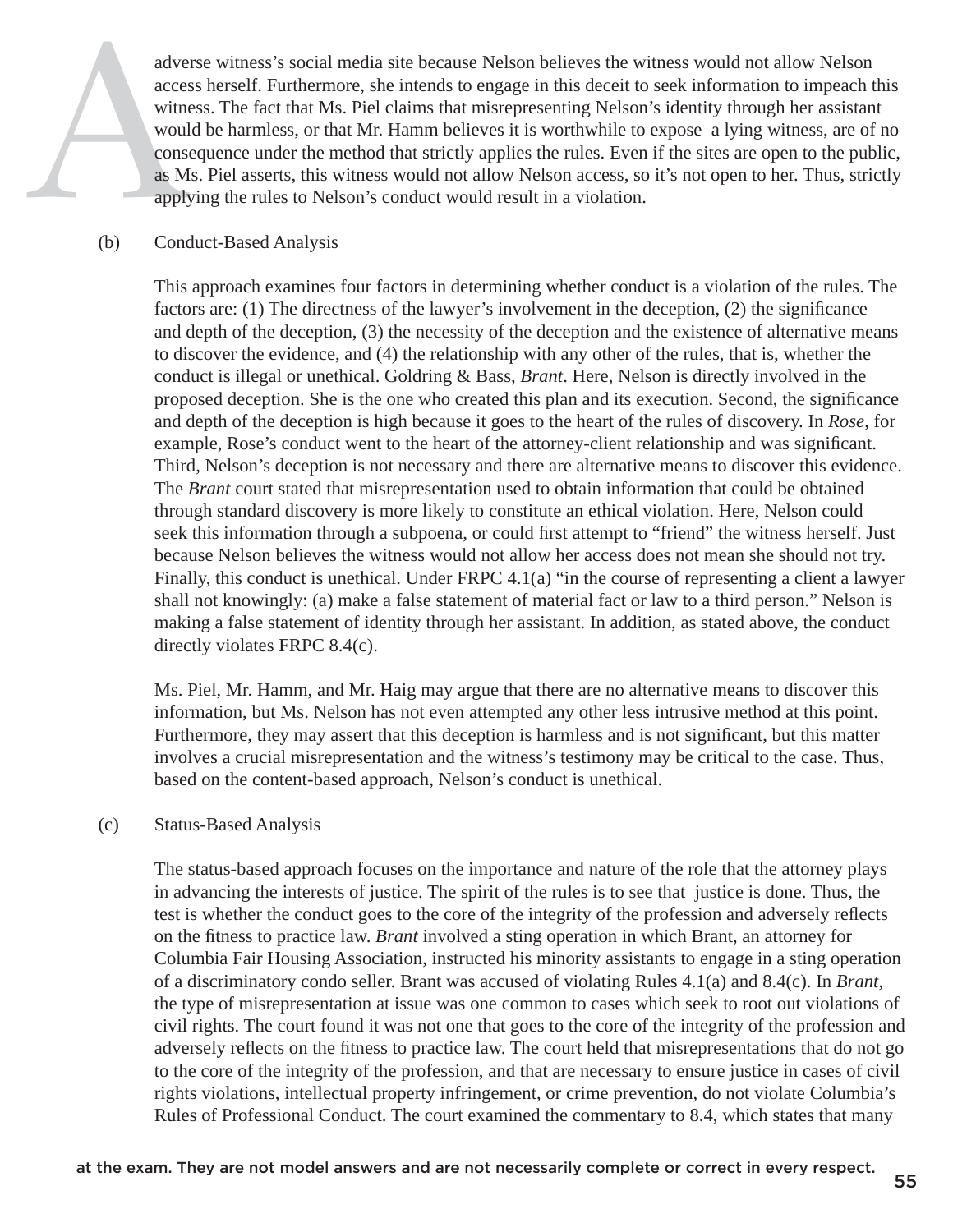adve acce<br>
with<br>
wou<br>
cons<br>
as M<br>
appl<br>
(b) Con adverse witness's social media site because Nelson believes the witness would not allow Nelson access herself. Furthermore, she intends to engage in this deceit to seek information to impeach this witness. The fact that Ms. Piel claims that misrepresenting Nelson's identity through her assistant would be harmless, or that Mr. Hamm believes it is worthwhile to expose a lying witness, are of no consequence under the method that strictly applies the rules. Even if the sites are open to the public, as Ms. Piel asserts, this witness would not allow Nelson access, so it's not open to her. Thus, strictly applying the rules to Nelson's conduct would result in a violation.

#### (b) Conduct-Based Analysis

This approach examines four factors in determining whether conduct is a violation of the rules. The factors are: (1) The directness of the lawyer's involvement in the deception, (2) the significance and depth of the deception, (3) the necessity of the deception and the existence of alternative means to discover the evidence, and (4) the relationship with any other of the rules, that is, whether the conduct is illegal or unethical. Goldring & Bass, *Brant*. Here, Nelson is directly involved in the proposed deception. She is the one who created this plan and its execution. Second, the significance and depth of the deception is high because it goes to the heart of the rules of discovery. In *Rose*, for example, Rose's conduct went to the heart of the attorney-client relationship and was significant. Third, Nelson's deception is not necessary and there are alternative means to discover this evidence. The *Brant* court stated that misrepresentation used to obtain information that could be obtained through standard discovery is more likely to constitute an ethical violation. Here, Nelson could seek this information through a subpoena, or could first attempt to "friend" the witness herself. Just because Nelson believes the witness would not allow her access does not mean she should not try. Finally, this conduct is unethical. Under FRPC 4.1(a) "in the course of representing a client a lawyer shall not knowingly: (a) make a false statement of material fact or law to a third person." Nelson is making a false statement of identity through her assistant. In addition, as stated above, the conduct directly violates FRPC 8.4(c).

Ms. Piel, Mr. Hamm, and Mr. Haig may argue that there are no alternative means to discover this information, but Ms. Nelson has not even attempted any other less intrusive method at this point. Furthermore, they may assert that this deception is harmless and is not significant, but this matter involves a crucial misrepresentation and the witness's testimony may be critical to the case. Thus, based on the content-based approach, Nelson's conduct is unethical.

#### (c) Status-Based Analysis

The status-based approach focuses on the importance and nature of the role that the attorney plays in advancing the interests of justice. The spirit of the rules is to see that justice is done. Thus, the test is whether the conduct goes to the core of the integrity of the profession and adversely reflects on the fitness to practice law. *Brant* involved a sting operation in which Brant, an attorney for Columbia Fair Housing Association, instructed his minority assistants to engage in a sting operation of a discriminatory condo seller. Brant was accused of violating Rules 4.1(a) and 8.4(c). In *Brant*, the type of misrepresentation at issue was one common to cases which seek to root out violations of civil rights. The court found it was not one that goes to the core of the integrity of the profession and adversely reflects on the fitness to practice law. The court held that misrepresentations that do not go to the core of the integrity of the profession, and that are necessary to ensure justice in cases of civil rights violations, intellectual property infringement, or crime prevention, do not violate Columbia's Rules of Professional Conduct. The court examined the commentary to 8.4, which states that many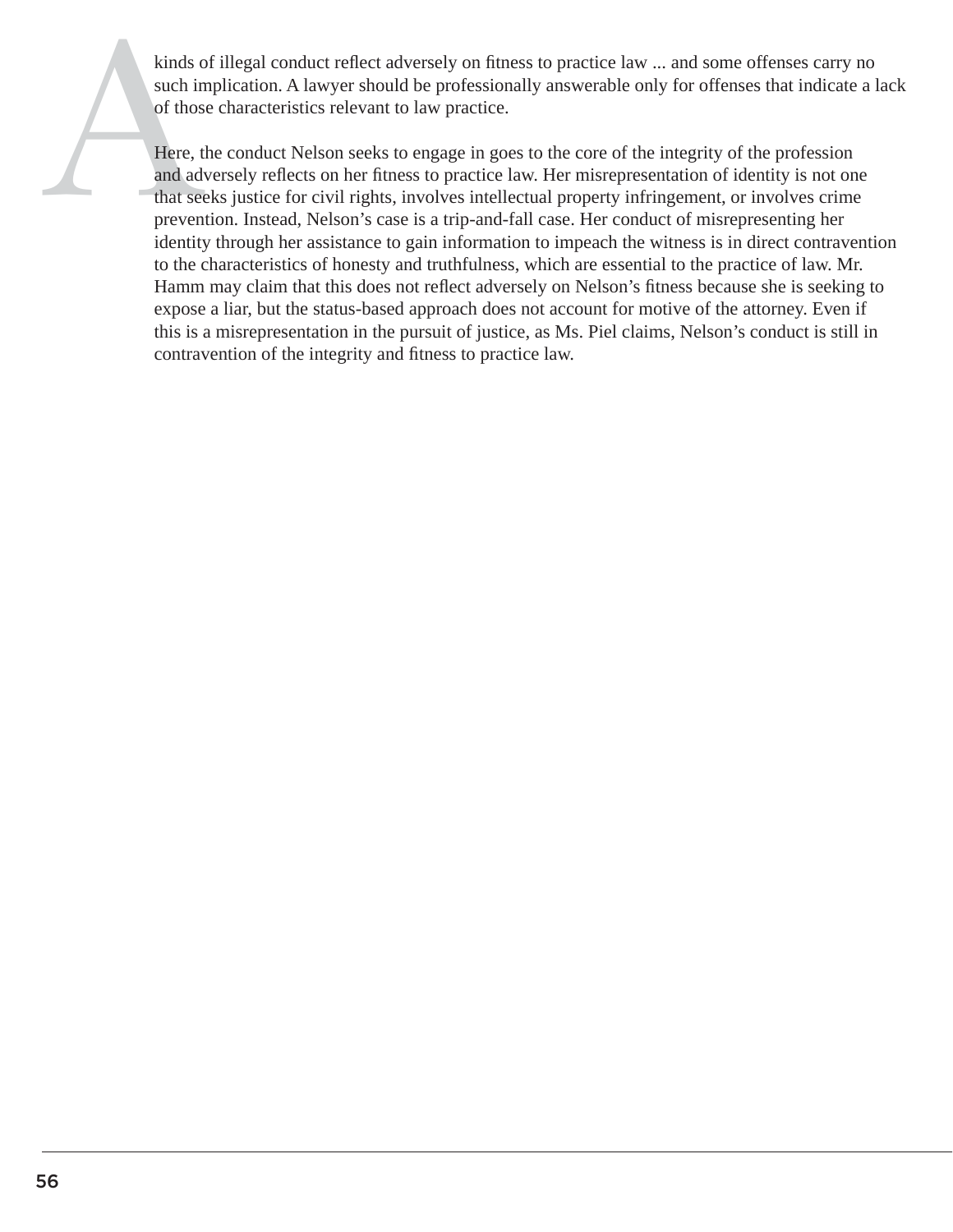kinds of illegal conduct reflect adversely on fitness to practice law ... and some offenses carry no such implication. A lawyer should be professionally answerable only for offenses that indicate a lack of those characteristics relevant to law practice.

kinds<br>such if<br>of those<br>of those<br>Here,<br>and ac<br>that see<br>prever<br>identif Here, the conduct Nelson seeks to engage in goes to the core of the integrity of the profession and adversely reflects on her fitness to practice law. Her misrepresentation of identity is not one that seeks justice for civil rights, involves intellectual property infringement, or involves crime prevention. Instead, Nelson's case is a trip-and-fall case. Her conduct of misrepresenting her identity through her assistance to gain information to impeach the witness is in direct contravention to the characteristics of honesty and truthfulness, which are essential to the practice of law. Mr. Hamm may claim that this does not reflect adversely on Nelson's fitness because she is seeking to expose a liar, but the status-based approach does not account for motive of the attorney. Even if this is a misrepresentation in the pursuit of justice, as Ms. Piel claims, Nelson's conduct is still in contravention of the integrity and fitness to practice law.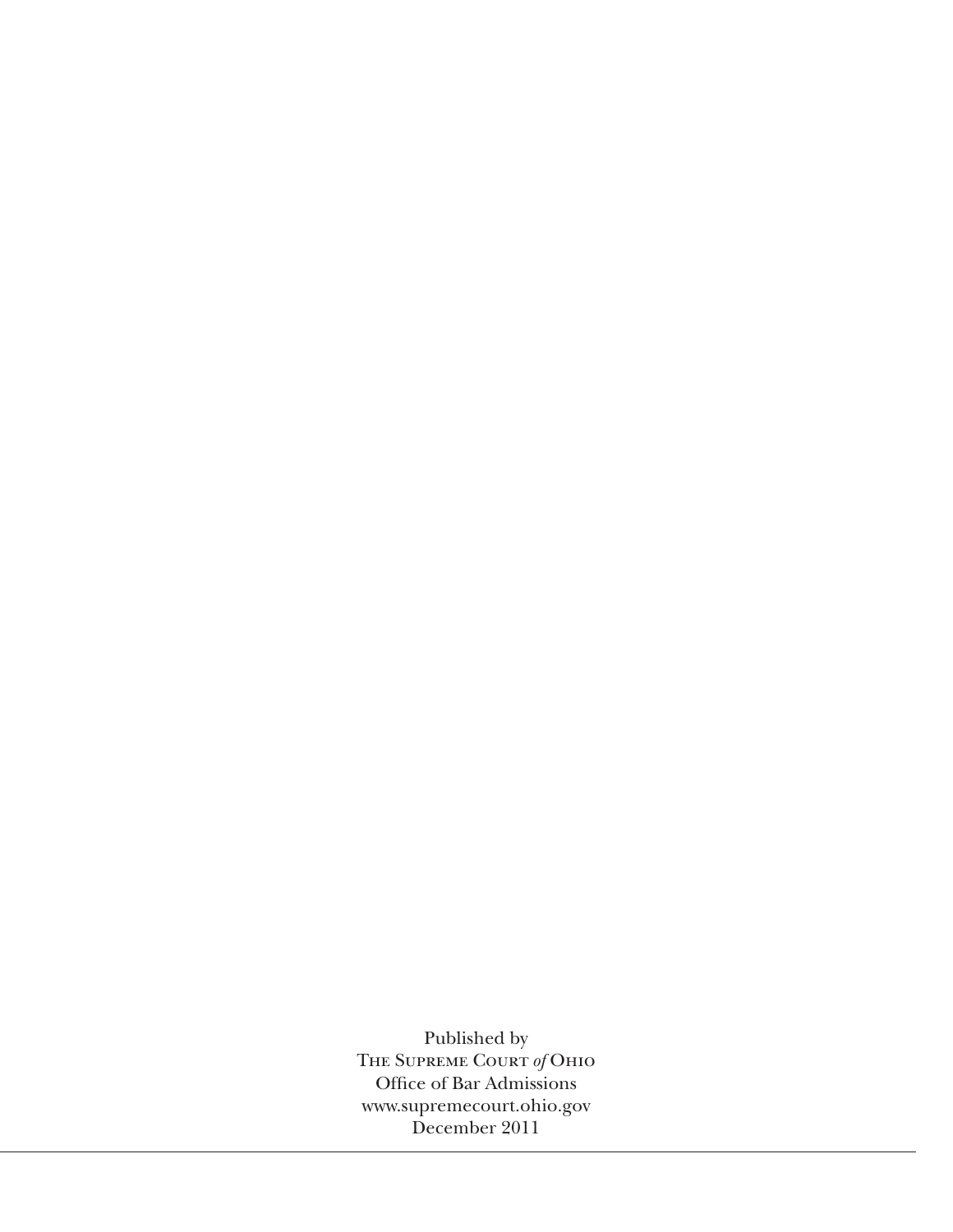Published by The Supreme Court *of* Ohio Office of Bar Admissions www.supremecourt.ohio.gov December 2011